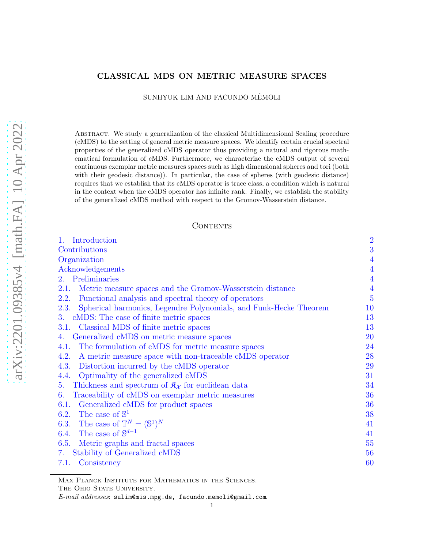# CLASSICAL MDS ON METRIC MEASURE SPACES

SUNHYUK LIM AND FACUNDO MÉMOLI

Abstract. We study a generalization of the classical Multidimensional Scaling procedure (cMDS) to the setting of general metric measure spaces. We identify certain crucial spectral properties of the generalized cMDS operator thus providing a natural and rigorous mathematical formulation of cMDS. Furthermore, we characterize the cMDS output of several continuous exemplar metric measures spaces such as high dimensional spheres and tori (both with their geodesic distance)). In particular, the case of spheres (with geodesic distance) requires that we establish that its cMDS operator is trace class, a condition which is natural in the context when the cMDS operator has infinite rank. Finally, we establish the stability of the generalized cMDS method with respect to the Gromov-Wasserstein distance.

# **CONTENTS**

| Introduction<br>$1_{-}$                                                         | $\overline{2}$ |
|---------------------------------------------------------------------------------|----------------|
| Contributions                                                                   | 3              |
| Organization                                                                    | $\overline{4}$ |
| Acknowledgements                                                                | $\overline{4}$ |
| 2. Preliminaries                                                                | $\overline{4}$ |
| Metric measure spaces and the Gromov-Wasserstein distance<br>2.1.               | $\overline{4}$ |
| Functional analysis and spectral theory of operators<br>2.2.                    | $\overline{5}$ |
| Spherical harmonics, Legendre Polynomials, and Funk-Hecke Theorem<br>2.3.       | 10             |
| cMDS: The case of finite metric spaces<br>3.                                    | 13             |
| Classical MDS of finite metric spaces<br><b>3.1.</b>                            | 13             |
| Generalized cMDS on metric measure spaces<br>4.                                 | 20             |
| The formulation of cMDS for metric measure spaces<br>4.1.                       | 24             |
| A metric measure space with non-traceable cMDS operator<br>4.2.                 | 28             |
| Distortion incurred by the cMDS operator<br>4.3.                                | 29             |
| Optimality of the generalized cMDS<br>4.4.                                      | 31             |
| Thickness and spectrum of $\mathfrak{K}_{\mathcal{X}}$ for euclidean data<br>5. | 34             |
| Traceability of cMDS on exemplar metric measures<br>6.                          | 36             |
| Generalized cMDS for product spaces<br>6.1.                                     | 36             |
| 6.2. The case of $\mathbb{S}^1$                                                 | 38             |
| 6.3. The case of $\mathbb{T}^N = (\mathbb{S}^1)^N$                              | 41             |
| 6.4. The case of $\mathbb{S}^{d-1}$                                             | 41             |
| 6.5.<br>Metric graphs and fractal spaces                                        | 55             |
| Stability of Generalized cMDS<br>7.                                             | 56             |
| Consistency<br>7.1.                                                             | 60             |
|                                                                                 |                |

MAX PLANCK INSTITUTE FOR MATHEMATICS IN THE SCIENCES.

THE OHIO STATE UNIVERSITY.

E-mail addresses: sulim@mis.mpg.de, facundo.memoli@gmail.com.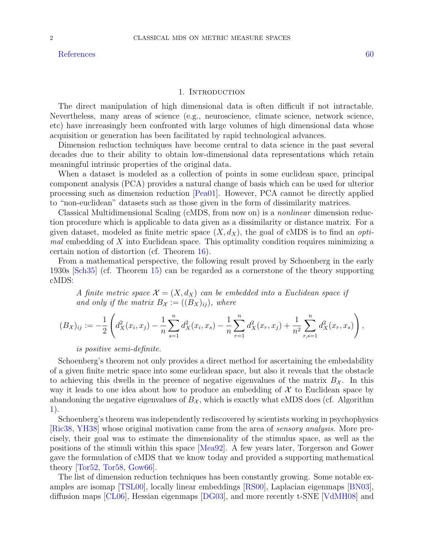[References](#page-59-1) [60](#page-59-1)

<span id="page-1-0"></span>The direct manipulation of high dimensional data is often difficult if not intractable. Nevertheless, many areas of science (e.g., neuroscience, climate science, network science, etc) have increasingly been confronted with large volumes of high dimensional data whose acquisition or generation has been facilitated by rapid technological advances.

Dimension reduction techniques have become central to data science in the past several decades due to their ability to obtain low-dimensional data representations which retain meaningful intrinsic properties of the original data.

When a dataset is modeled as a collection of points in some euclidean space, principal component analysis (PCA) provides a natural change of basis which can be used for ulterior processing such as dimension reduction [\[Pea01\]](#page-60-0). However, PCA cannot be directly applied to "non-euclidean" datasets such as those given in the form of dissimilarity matrices.

Classical Multidimensional Scaling (cMDS, from now on) is a nonlinear dimension reduction procedure which is applicable to data given as a dissimilarity or distance matrix. For a given dataset, modeled as finite metric space  $(X, d_X)$ , the goal of cMDS is to find an *opti*mal embedding of X into Euclidean space. This optimality condition requires minimizing a certain notion of distortion (cf. Theorem [16\)](#page-15-0).

From a mathematical perspective, the following result proved by Schoenberg in the early 1930s [\[Sch35\]](#page-60-1) (cf. Theorem [15\)](#page-13-0) can be regarded as a cornerstone of the theory supporting cMDS:

A finite metric space  $\mathcal{X} = (X, d_X)$  can be embedded into a Euclidean space if and only if the matrix  $B_{\mathcal{X}} := ((B_X)_{ij})$ , where

$$
(B_{\mathcal{X}})_{ij} := -\frac{1}{2} \left( d_{X}^{2}(x_{i}, x_{j}) - \frac{1}{n} \sum_{s=1}^{n} d_{X}^{2}(x_{i}, x_{s}) - \frac{1}{n} \sum_{r=1}^{n} d_{X}^{2}(x_{r}, x_{j}) + \frac{1}{n^{2}} \sum_{r,s=1}^{n} d_{X}^{2}(x_{r}, x_{s}) \right),
$$

is positive semi-definite.

Schoenberg's theorem not only provides a direct method for ascertaining the embedability of a given finite metric space into some euclidean space, but also it reveals that the obstacle to achieving this dwells in the preence of negative eigenvalues of the matrix  $B_{\mathcal{X}}$ . In this way it leads to one idea about how to produce an embedding of  $\mathcal X$  to Euclidean space by abandoning the negative eigenvalues of  $B_{\mathcal{X}}$ , which is exactly what cMDS does (cf. Algorithm [1\)](#page-14-0).

Schoenberg's theorem was independently rediscovered by scientists working in psychophysics [\[Ric38,](#page-60-2) [YH38\]](#page-61-0) whose original motivation came from the area of sensory analysis. More precisely, their goal was to estimate the dimensionality of the stimulus space, as well as the positions of the stimuli within this space [\[Mea92\]](#page-60-3). A few years later, Torgerson and Gower gave the formulation of cMDS that we know today and provided a supporting mathematical theory [\[Tor52,](#page-61-1) [Tor58,](#page-61-2) [Gow66\]](#page-60-4).

The list of dimension reduction techniques has been constantly growing. Some notable examples are isomap [\[TSL00\]](#page-61-3), locally linear embeddings [\[RS00\]](#page-60-5), Laplacian eigenmaps [\[BN03\]](#page-59-2), diffusion maps [\[CL06\]](#page-59-3), Hessian eigenmaps [\[DG03\]](#page-59-4), and more recently t-SNE [\[VdMH08\]](#page-61-4) and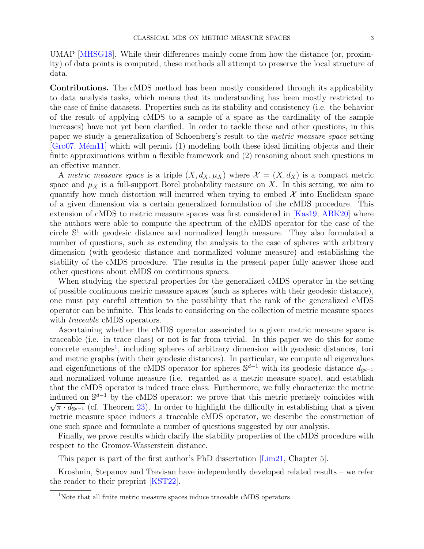UMAP [\[MHSG18\]](#page-60-6). While their differences mainly come from how the distance (or, proximity) of data points is computed, these methods all attempt to preserve the local structure of data.

<span id="page-2-0"></span>Contributions. The cMDS method has been mostly considered through its applicability to data analysis tasks, which means that its understanding has been mostly restricted to the case of finite datasets. Properties such as its stability and consistency (i.e. the behavior of the result of applying cMDS to a sample of a space as the cardinality of the sample increases) have not yet been clarified. In order to tackle these and other questions, in this paper we study a generalization of Schoenberg's result to the metric measure space setting  $[Gro07, Mém11]$  $[Gro07, Mém11]$  which will permit (1) modeling both these ideal limiting objects and their finite approximations within a flexible framework and (2) reasoning about such questions in an effective manner.

A metric measure space is a triple  $(X, d_X, \mu_X)$  where  $\mathcal{X} = (X, d_X)$  is a compact metric space and  $\mu_X$  is a full-support Borel probability measure on X. In this setting, we aim to quantify how much distortion will incurred when trying to embed  $\mathcal{X}$  into Euclidean space of a given dimension via a certain generalized formulation of the cMDS procedure. This extension of cMDS to metric measure spaces was first considered in [\[Kas19,](#page-60-9) [ABK20\]](#page-59-5) where the authors were able to compute the spectrum of the cMDS operator for the case of the circle S <sup>1</sup> with geodesic distance and normalized length measure. They also formulated a number of questions, such as extending the analysis to the case of spheres with arbitrary dimension (with geodesic distance and normalized volume measure) and establishing the stability of the cMDS procedure. The results in the present paper fully answer those and other questions about cMDS on continuous spaces.

When studying the spectral properties for the generalized cMDS operator in the setting of possible continuous metric measure spaces (such as spheres with their geodesic distance), one must pay careful attention to the possibility that the rank of the generalized cMDS operator can be infinite. This leads to considering on the collection of metric measure spaces with *traceable* cMDS operators.

Ascertaining whether the cMDS operator associated to a given metric measure space is traceable (i.e. in trace class) or not is far from trivial. In this paper we do this for some concrete examples<sup>[1](#page-2-1)</sup>, including spheres of arbitrary dimension with geodesic distances, tori and metric graphs (with their geodesic distances). In particular, we compute all eigenvalues and eigenfunctions of the cMDS operator for spheres  $\mathbb{S}^{d-1}$  with its geodesic distance  $d_{\mathbb{S}^{d-1}}$ and normalized volume measure (i.e. regarded as a metric measure space), and establish that the cMDS operator is indeed trace class. Furthermore, we fully characterize the metric induced on  $\mathbb{S}^{d-1}$  by the cMDS operator: we prove that this metric precisely coincides with  $\sqrt{\pi \cdot d_{\mathbb{S}^{d-1}}}$  (cf. Theorem [23\)](#page-46-0). In order to highlight the difficulty in establishing that a given metric measure space induces a traceable cMDS operator, we describe the construction of one such space and formulate a number of questions suggested by our analysis.

Finally, we prove results which clarify the stability properties of the cMDS procedure with respect to the Gromov-Wasserstein distance.

This paper is part of the first author's PhD dissertation [\[Lim21,](#page-60-10) Chapter 5].

Kroshnin, Stepanov and Trevisan have independently developed related results – we refer the reader to their preprint [\[KST22\]](#page-60-11).

<span id="page-2-1"></span><sup>&</sup>lt;sup>1</sup>Note that all finite metric measure spaces induce traceable cMDS operators.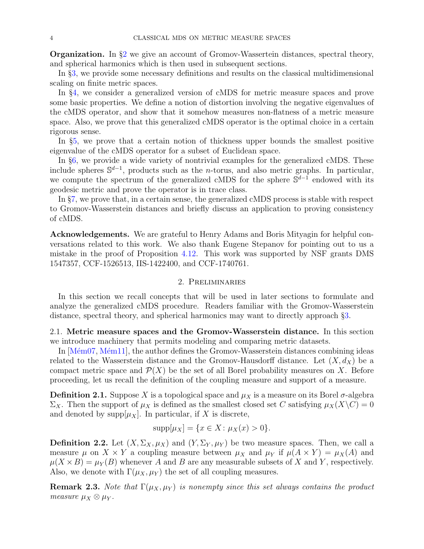<span id="page-3-0"></span>**Organization.** In  $\S2$  $\S2$  we give an account of Gromov-Wassertein distances, spectral theory, and spherical harmonics which is then used in subsequent sections.

In §[3,](#page-12-0) we provide some necessary definitions and results on the classical multidimensional scaling on finite metric spaces.

In §[4,](#page-19-0) we consider a generalized version of cMDS for metric measure spaces and prove some basic properties. We define a notion of distortion involving the negative eigenvalues of the cMDS operator, and show that it somehow measures non-flatness of a metric measure space. Also, we prove that this generalized cMDS operator is the optimal choice in a certain rigorous sense.

In §[5,](#page-33-0) we prove that a certain notion of thickness upper bounds the smallest positive eigenvalue of the cMDS operator for a subset of Euclidean space.

In §[6,](#page-35-0) we provide a wide variety of nontrivial examples for the generalized cMDS. These include spheres  $\mathbb{S}^{d-1}$ , products such as the *n*-torus, and also metric graphs. In particular, we compute the spectrum of the generalized cMDS for the sphere  $\mathbb{S}^{d-1}$  endowed with its geodesic metric and prove the operator is in trace class.

In §[7,](#page-55-0) we prove that, in a certain sense, the generalized cMDS process is stable with respect to Gromov-Wasserstein distances and briefly discuss an application to proving consistency of cMDS.

<span id="page-3-1"></span>Acknowledgements. We are grateful to Henry Adams and Boris Mityagin for helpful conversations related to this work. We also thank Eugene Stepanov for pointing out to us a mistake in the proof of Proposition [4.12.](#page-24-0) This work was supported by NSF grants DMS 1547357, CCF-1526513, IIS-1422400, and CCF-1740761.

### 2. Preliminaries

<span id="page-3-2"></span>In this section we recall concepts that will be used in later sections to formulate and analyze the generalized cMDS procedure. Readers familiar with the Gromov-Wasserstein distance, spectral theory, and spherical harmonics may want to directly approach §[3.](#page-12-0)

<span id="page-3-3"></span>2.1. Metric measure spaces and the Gromov-Wasserstein distance. In this section we introduce machinery that permits modeling and comparing metric datasets.

In  $[\text{Mém07}, \text{Mém11}]$ , the author defines the Gromov-Wasserstein distances combining ideas related to the Wasserstein distance and the Gromov-Hausdorff distance. Let  $(X, d_X)$  be a compact metric space and  $\mathcal{P}(X)$  be the set of all Borel probability measures on X. Before proceeding, let us recall the definition of the coupling measure and support of a measure.

**Definition 2.1.** Suppose X is a topological space and  $\mu_X$  is a measure on its Borel  $\sigma$ -algebra  $\Sigma_X$ . Then the support of  $\mu_X$  is defined as the smallest closed set C satisfying  $\mu_X(X\setminus C) = 0$ and denoted by supp $[\mu_X]$ . In particular, if X is discrete,

$$
supp[\mu_X] = \{ x \in X \colon \mu_X(x) > 0 \}.
$$

**Definition 2.2.** Let  $(X, \Sigma_X, \mu_X)$  and  $(Y, \Sigma_Y, \mu_Y)$  be two measure spaces. Then, we call a measure  $\mu$  on  $X \times Y$  a coupling measure between  $\mu_X$  and  $\mu_Y$  if  $\mu(A \times Y) = \mu_X(A)$  and  $\mu(X \times B) = \mu_Y(B)$  whenever A and B are any measurable subsets of X and Y, respectively. Also, we denote with  $\Gamma(\mu_X, \mu_Y)$  the set of all coupling measures.

**Remark 2.3.** Note that  $\Gamma(\mu_X, \mu_Y)$  is nonempty since this set always contains the product measure  $\mu_X \otimes \mu_Y$ .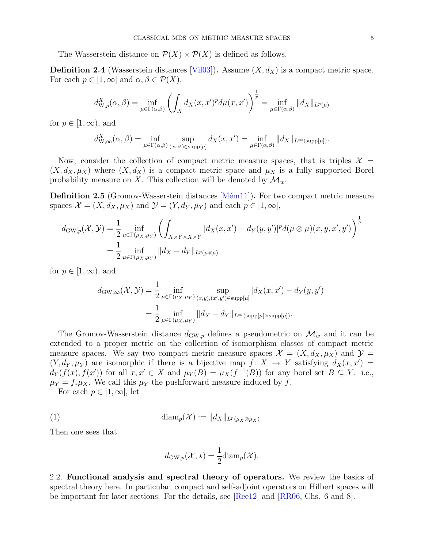The Wasserstein distance on  $\mathcal{P}(X) \times \mathcal{P}(X)$  is defined as follows.

**Definition 2.4** (Wasserstein distances [\[Vil03\]](#page-61-5)). Assume  $(X, d_X)$  is a compact metric space. For each  $p \in [1,\infty]$  and  $\alpha, \beta \in \mathcal{P}(X)$ ,

$$
d_{\mathrm{W},p}^{X}(\alpha,\beta) = \inf_{\mu \in \Gamma(\alpha,\beta)} \left( \int_{X} d_{X}(x,x')^{p} d\mu(x,x') \right)^{\frac{1}{p}} = \inf_{\mu \in \Gamma(\alpha,\beta)} ||d_{X}||_{L^{p}(\mu)}
$$

for  $p \in [1, \infty)$ , and

$$
d_{\mathrm{W},\infty}^X(\alpha,\beta) = \inf_{\mu \in \Gamma(\alpha,\beta)} \sup_{(x,x') \in \mathrm{supp}[\mu]} d_X(x,x') = \inf_{\mu \in \Gamma(\alpha,\beta)} ||d_X||_{L^{\infty}(\mathrm{supp}[\mu])}.
$$

Now, consider the collection of compact metric measure spaces, that is triples  $\mathcal{X} =$  $(X, d_X, \mu_X)$  where  $(X, d_X)$  is a compact metric space and  $\mu_X$  is a fully supported Borel probability measure on X. This collection will be denoted by  $\mathcal{M}_{w}$ .

**Definition 2.5** (Gromov-Wasserstein distances [Mém11]). For two compact metric measure spaces  $\mathcal{X} = (X, d_X, \mu_X)$  and  $\mathcal{Y} = (Y, d_Y, \mu_Y)$  and each  $p \in [1, \infty]$ ,

$$
d_{\mathrm{GW},p}(\mathcal{X},\mathcal{Y}) = \frac{1}{2} \inf_{\mu \in \Gamma(\mu_X,\mu_Y)} \left( \int_{X \times Y \times X \times Y} |d_X(x,x') - d_Y(y,y')|^p d(\mu \otimes \mu)(x,y,x',y') \right)^{\frac{1}{p}}
$$
  
= 
$$
\frac{1}{2} \inf_{\mu \in \Gamma(\mu_X,\mu_Y)} ||d_X - d_Y||_{L^p(\mu \otimes \mu)}
$$

for  $p \in [1,\infty)$ , and

$$
d_{\mathrm{GW},\infty}(\mathcal{X},\mathcal{Y}) = \frac{1}{2} \inf_{\mu \in \Gamma(\mu_X,\mu_Y)} \sup_{(x,y), (x',y') \in \mathrm{supp}[\mu]} |d_X(x,x') - d_Y(y,y')|
$$
  
= 
$$
\frac{1}{2} \inf_{\mu \in \Gamma(\mu_X,\mu_Y)} ||d_X - d_Y||_{L^{\infty}(\mathrm{supp}[\mu] \times \mathrm{supp}[\mu])}.
$$

The Gromov-Wasserstein distance  $d_{\mathrm{GW},p}$  defines a pseudometric on  $\mathcal{M}_w$  and it can be extended to a proper metric on the collection of isomorphism classes of compact metric measure spaces. We say two compact metric measure spaces  $\mathcal{X} = (X, d_X, \mu_X)$  and  $\mathcal{Y} =$  $(Y, d_Y, \mu_Y)$  are isomorphic if there is a bijective map  $f: X \to Y$  satisfying  $d_X(x, x') =$  $d_Y(f(x), f(x'))$  for all  $x, x' \in X$  and  $\mu_Y(B) = \mu_X(f^{-1}(B))$  for any borel set  $B \subseteq Y$ . i.e.,  $\mu_Y = f_* \mu_X$ . We call this  $\mu_Y$  the pushforward measure induced by f.

For each  $p \in [1,\infty]$ , let

(1) 
$$
\text{diam}_p(\mathcal{X}) := ||d_X||_{L^p(\mu_X \otimes \mu_X)}.
$$

Then one sees that

<span id="page-4-1"></span>
$$
d_{\mathrm{GW},p}(\mathcal{X},\star) = \frac{1}{2}\mathrm{diam}_p(\mathcal{X}).
$$

<span id="page-4-0"></span>2.2. Functional analysis and spectral theory of operators. We review the basics of spectral theory here. In particular, compact and self-adjoint operators on Hilbert spaces will be important for later sections. For the details, see [\[Ree12\]](#page-60-13) and [\[RR06,](#page-60-14) Chs. 6 and 8].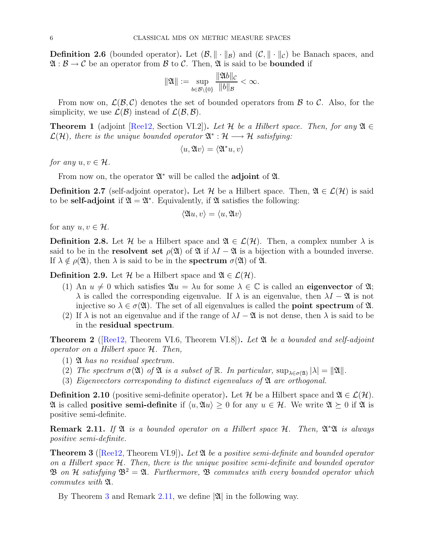**Definition 2.6** (bounded operator). Let  $(\mathcal{B}, \|\cdot\|_{\mathcal{B}})$  and  $(\mathcal{C}, \|\cdot\|_{\mathcal{C}})$  be Banach spaces, and  $\mathfrak{A} : \mathcal{B} \to \mathcal{C}$  be an operator from  $\mathcal{B}$  to  $\mathcal{C}$ . Then,  $\mathfrak{A}$  is said to be **bounded** if

$$
\|\mathfrak{A}\|:=\sup_{b\in\mathcal{B}\backslash\{0\}}\frac{\|\mathfrak{A}b\|_{\mathcal{C}}}{\|b\|_{\mathcal{B}}}<\infty.
$$

From now on,  $\mathcal{L}(\mathcal{B}, \mathcal{C})$  denotes the set of bounded operators from  $\mathcal{B}$  to  $\mathcal{C}$ . Also, for the simplicity, we use  $\mathcal{L}(\mathcal{B})$  instead of  $\mathcal{L}(\mathcal{B}, \mathcal{B})$ .

**Theorem 1** (adjoint [\[Ree12,](#page-60-13) Section VI.2]). Let H be a Hilbert space. Then, for any  $\mathfrak{A} \in$  $\mathcal{L}(\mathcal{H})$ , there is the unique bounded operator  $\mathfrak{A}^{*}:\mathcal{H}\longrightarrow\mathcal{H}$  satisfying:

$$
\langle u,\mathfrak A v\rangle=\langle \mathfrak A^*u,v\rangle
$$

for any  $u, v \in \mathcal{H}$ .

From now on, the operator  $\mathfrak{A}^*$  will be called the **adjoint** of  $\mathfrak{A}$ .

**Definition 2.7** (self-adjoint operator). Let H be a Hilbert space. Then,  $\mathfrak{A} \in \mathcal{L}(\mathcal{H})$  is said to be **self-adjoint** if  $\mathfrak{A} = \mathfrak{A}^*$ . Equivalently, if  $\mathfrak{A}$  satisfies the following:

$$
\langle \mathfrak{A} u, v \rangle = \langle u, \mathfrak{A} v \rangle
$$

for any  $u, v \in \mathcal{H}$ .

**Definition 2.8.** Let H be a Hilbert space and  $\mathfrak{A} \in \mathcal{L}(\mathcal{H})$ . Then, a complex number  $\lambda$  is said to be in the **resolvent set**  $\rho(\mathfrak{A})$  of  $\mathfrak{A}$  if  $\lambda I - \mathfrak{A}$  is a bijection with a bounded inverse. If  $\lambda \notin \rho(\mathfrak{A})$ , then  $\lambda$  is said to be in the **spectrum**  $\sigma(\mathfrak{A})$  of  $\mathfrak{A}$ .

**Definition 2.9.** Let H be a Hilbert space and  $\mathfrak{A} \in \mathcal{L}(\mathcal{H})$ .

- (1) An  $u \neq 0$  which satisfies  $\mathfrak{A}u = \lambda u$  for some  $\lambda \in \mathbb{C}$  is called an **eigenvector** of  $\mathfrak{A}$ ;  $\lambda$  is called the corresponding eigenvalue. If  $\lambda$  is an eigenvalue, then  $\lambda I - \mathfrak{A}$  is not injective so  $\lambda \in \sigma(\mathfrak{A})$ . The set of all eigenvalues is called the **point spectrum** of  $\mathfrak{A}$ .
- (2) If  $\lambda$  is not an eigenvalue and if the range of  $\lambda I \mathfrak{A}$  is not dense, then  $\lambda$  is said to be in the residual spectrum.

<span id="page-5-2"></span>**Theorem 2** ( $\text{Reel2}$ , Theorem VI.6, Theorem VI.8)). Let  $\mathfrak{A}$  be a bounded and self-adjoint operator on a Hilbert space H. Then,

- $(1)$  **24** has no residual spectrum.
- (2) The spectrum  $\sigma(\mathfrak{A})$  of  $\mathfrak{A}$  is a subset of  $\mathbb{R}$ . In particular,  $\sup_{\lambda \in \sigma(\mathfrak{A})} |\lambda| = ||\mathfrak{A}||$ .
- (3) Eigenvectors corresponding to distinct eigenvalues of  $\mathfrak{A}$  are orthogonal.

**Definition 2.10** (positive semi-definite operator). Let H be a Hilbert space and  $\mathfrak{A} \in \mathcal{L}(\mathcal{H})$ .  $\mathfrak A$  is called **positive semi-definite** if  $\langle u, \mathfrak A u \rangle \geq 0$  for any  $u \in \mathcal H$ . We write  $\mathfrak A \succeq 0$  if  $\mathfrak A$  is positive semi-definite.

<span id="page-5-1"></span>**Remark 2.11.** If  $\mathfrak{A}$  is a bounded operator on a Hilbert space  $\mathcal{H}$ . Then,  $\mathfrak{A}^*\mathfrak{A}$  is always positive semi-definite.

<span id="page-5-0"></span>**Theorem 3** ([\[Ree12,](#page-60-13) Theorem VI.9]). Let  $\mathfrak{A}$  be a positive semi-definite and bounded operator on a Hilbert space  $H$ . Then, there is the unique positive semi-definite and bounded operator  $\mathfrak{B}$  on H satisfying  $\mathfrak{B}^2 = \mathfrak{A}$ . Furthermore,  $\mathfrak{B}$  commutes with every bounded operator which commutes with  $\mathfrak{A}$ .

By Theorem [3](#page-5-0) and Remark [2.11,](#page-5-1) we define  $|\mathfrak{A}|$  in the following way.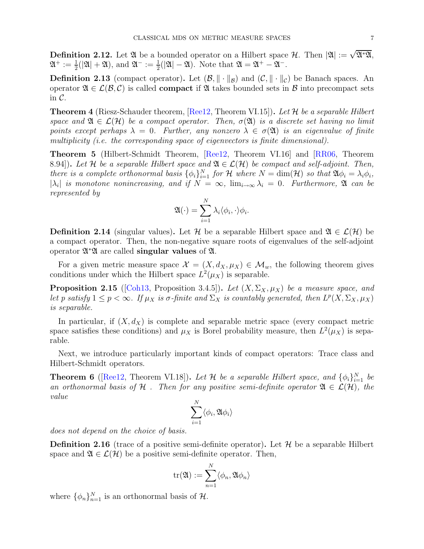**Definition 2.12.** Let  $\mathfrak{A}$  be a bounded operator on a Hilbert space  $\mathcal{H}$ . Then  $|\mathfrak{A}| := \sqrt{\mathfrak{A}^*\mathfrak{A}}$ ,  $\mathfrak{A}^+ := \frac{1}{2}(|\mathfrak{A}| + \mathfrak{A}),$  and  $\mathfrak{A}^- := \frac{1}{2}(|\mathfrak{A}| - \mathfrak{A}).$  Note that  $\mathfrak{A} = \mathfrak{A}^+ - \mathfrak{A}^-$ .

**Definition 2.13** (compact operator). Let  $(\mathcal{B}, \|\cdot\|_{\mathcal{B}})$  and  $(\mathcal{C}, \|\cdot\|_{\mathcal{C}})$  be Banach spaces. An operator  $\mathfrak{A} \in \mathcal{L}(\mathcal{B}, \mathcal{C})$  is called **compact** if  $\mathfrak{A}$  takes bounded sets in  $\mathcal{B}$  into precompact sets in  $\mathcal{C}$ .

<span id="page-6-0"></span>**Theorem 4** (Riesz-Schauder theorem,  $[Re12, Theorem VI.15]$ ). Let H be a separable Hilbert space and  $\mathfrak{A} \in \mathcal{L}(\mathcal{H})$  be a compact operator. Then,  $\sigma(\mathfrak{A})$  is a discrete set having no limit points except perhaps  $\lambda = 0$ . Further, any nonzero  $\lambda \in \sigma(\mathfrak{A})$  is an eigenvalue of finite multiplicity (i.e. the corresponding space of eigenvectors is finite dimensional).

<span id="page-6-1"></span>Theorem 5 (Hilbert-Schmidt Theorem, [\[Ree12,](#page-60-13) Theorem VI.16] and [\[RR06,](#page-60-14) Theorem 8.94]). Let H be a separable Hilbert space and  $\mathfrak{A} \in \mathcal{L}(\mathcal{H})$  be compact and self-adjoint. Then, there is a complete orthonormal basis  $\{\phi_i\}_{i=1}^N$  for  $\mathcal H$  where  $N = \dim(\mathcal H)$  so that  $\mathfrak{A} \phi_i = \lambda_i \phi_i$ ,  $|\lambda_i|$  is monotone nonincreasing, and if  $N = \infty$ ,  $\lim_{i \to \infty} \lambda_i = 0$ . Furthermore,  $\mathfrak A$  can be represented by

$$
\mathfrak{A}(\cdot) = \sum_{i=1}^N \lambda_i \langle \phi_i, \cdot \rangle \phi_i.
$$

**Definition 2.14** (singular values). Let H be a separable Hilbert space and  $\mathfrak{A} \in \mathcal{L}(\mathcal{H})$  be a compact operator. Then, the non-negative square roots of eigenvalues of the self-adjoint operator  $\mathfrak{A}^*\mathfrak{A}$  are called **singular values** of  $\mathfrak{A}$ .

For a given metric measure space  $\mathcal{X} = (X, d_X, \mu_X) \in \mathcal{M}_w$ , the following theorem gives conditions under which the Hilbert space  $L^2(\mu_X)$  is separable.

**Proposition 2.15** ([\[Coh13,](#page-59-6) Proposition 3.4.5]). Let  $(X, \Sigma_X, \mu_X)$  be a measure space, and let p satisfy  $1 \le p < \infty$ . If  $\mu_X$  is  $\sigma$ -finite and  $\Sigma_X$  is countably generated, then  $L^p(X, \Sigma_X, \mu_X)$ is separable.

In particular, if  $(X, d_X)$  is complete and separable metric space (every compact metric space satisfies these conditions) and  $\mu_X$  is Borel probability measure, then  $L^2(\mu_X)$  is separable.

Next, we introduce particularly important kinds of compact operators: Trace class and Hilbert-Schmidt operators.

**Theorem 6** ([\[Ree12,](#page-60-13) Theorem VI.18]). Let H be a separable Hilbert space, and  $\{\phi_i\}_{i=1}^N$  be an orthonormal basis of H. Then for any positive semi-definite operator  $\mathfrak{A} \in \mathcal{L}(\mathcal{H})$ , the value

$$
\sum_{i=1}^N \langle \phi_i, \mathfrak{A} \phi_i \rangle
$$

does not depend on the choice of basis.

**Definition 2.16** (trace of a positive semi-definite operator). Let  $\mathcal{H}$  be a separable Hilbert space and  $\mathfrak{A} \in \mathcal{L}(\mathcal{H})$  be a positive semi-definite operator. Then,

$$
\mathrm{tr}(\mathfrak{A}):=\sum_{n=1}^N\langle\phi_n,\mathfrak{A}\phi_n\rangle
$$

where  $\{\phi_n\}_{n=1}^N$  is an orthonormal basis of  $\mathcal{H}$ .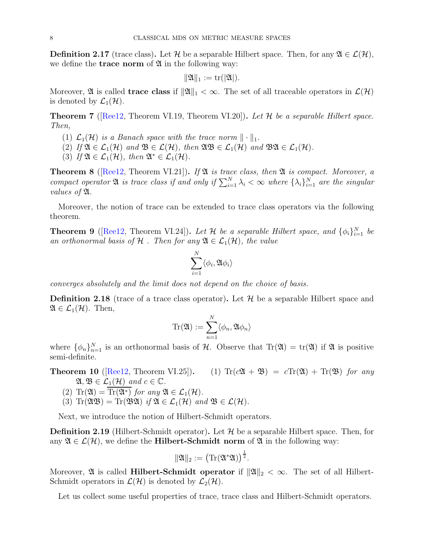<span id="page-7-0"></span>**Definition 2.17** (trace class). Let H be a separable Hilbert space. Then, for any  $\mathfrak{A} \in \mathcal{L}(\mathcal{H})$ , we define the **trace norm** of  $\mathfrak{A}$  in the following way:

$$
\|\mathfrak{A}\|_1:=\mathrm{tr}(|\mathfrak{A}|).
$$

Moreover,  $\mathfrak A$  is called **trace class** if  $\|\mathfrak A\|_1 < \infty$ . The set of all traceable operators in  $\mathcal L(\mathcal H)$ is denoted by  $\mathcal{L}_1(\mathcal{H})$ .

**Theorem 7** ( $[Reel2, Theorem VI.19, Theorem VI.20]$ ). Let  $H$  be a separable Hilbert space. Then,

- (1)  $\mathcal{L}_1(\mathcal{H})$  is a Banach space with the trace norm  $\|\cdot\|_1$ .
- (2) If  $\mathfrak{A} \in \mathcal{L}_1(\mathcal{H})$  and  $\mathfrak{B} \in \mathcal{L}(\mathcal{H})$ , then  $\mathfrak{A} \mathfrak{B} \in \mathcal{L}_1(\mathcal{H})$  and  $\mathfrak{B} \mathfrak{A} \in \mathcal{L}_1(\mathcal{H})$ .
- (3) If  $\mathfrak{A} \in \mathcal{L}_1(\mathcal{H})$ , then  $\mathfrak{A}^* \in \mathcal{L}_1(\mathcal{H})$ .

<span id="page-7-1"></span>**Theorem 8** ([\[Ree12,](#page-60-13) Theorem VI.21]). If  $\mathfrak{A}$  is trace class, then  $\mathfrak{A}$  is compact. Moreover, a compact operator  $\mathfrak A$  is trace class if and only if  $\sum_{i=1}^N \lambda_i < \infty$  where  $\{\lambda_i\}_{i=1}^N$  are the singular values of A.

Moreover, the notion of trace can be extended to trace class operators via the following theorem.

**Theorem 9** ([\[Ree12,](#page-60-13) Theorem VI.24]). Let H be a separable Hilbert space, and  $\{\phi_i\}_{i=1}^N$  be an orthonormal basis of H . Then for any  $\mathfrak{A} \in \mathcal{L}_1(\mathcal{H})$ , the value

$$
\sum_{i=1}^N \langle \phi_i, \mathfrak{A} \phi_i \rangle
$$

converges absolutely and the limit does not depend on the choice of basis.

**Definition 2.18** (trace of a trace class operator). Let  $\mathcal{H}$  be a separable Hilbert space and  $\mathfrak{A} \in \mathcal{L}_1(\mathcal{H})$ . Then,

$$
\mathrm{Tr}(\mathfrak{A}):=\sum_{n=1}^N\langle\phi_n,\mathfrak{A}\phi_n\rangle
$$

where  $\{\phi_n\}_{n=1}^N$  is an orthonormal basis of H. Observe that  $\text{Tr}(\mathfrak{A}) = \text{tr}(\mathfrak{A})$  if  $\mathfrak{A}$  is positive semi-definite.

**Theorem 10** ([\[Ree12,](#page-60-13) Theorem VI.25]). (1)  $\text{Tr}(c\mathfrak{A} + \mathfrak{B}) = c \text{Tr}(\mathfrak{A}) + \text{Tr}(\mathfrak{B})$  for any  $\mathfrak{A}, \mathfrak{B} \in \mathcal{L}_1(\mathcal{H})$  and  $c \in \mathbb{C}$ .

- (2)  $\text{Tr}(\mathfrak{A}) = \text{Tr}(\mathfrak{A}^*)$  for any  $\mathfrak{A} \in \mathcal{L}_1(\mathcal{H})$ .
- (3)  $\text{Tr}(\mathfrak{A}\mathfrak{B}) = \text{Tr}(\mathfrak{B}\mathfrak{A})$  if  $\mathfrak{A} \in \mathcal{L}_1(\mathcal{H})$  and  $\mathfrak{B} \in \mathcal{L}(\mathcal{H})$ .

Next, we introduce the notion of Hilbert-Schmidt operators.

**Definition 2.19** (Hilbert-Schmidt operator). Let  $\mathcal{H}$  be a separable Hilbert space. Then, for any  $\mathfrak{A} \in \mathcal{L}(\mathcal{H})$ , we define the **Hilbert-Schmidt norm** of  $\mathfrak{A}$  in the following way:

$$
\|\mathfrak{A}\|_2:=\big(\mathrm{Tr}(\mathfrak{A}^*\mathfrak{A})\big)^{\frac{1}{2}}.
$$

Moreover,  $\mathfrak A$  is called **Hilbert-Schmidt operator** if  $\|\mathfrak A\|_2 < \infty$ . The set of all Hilbert-Schmidt operators in  $\mathcal{L}(\mathcal{H})$  is denoted by  $\mathcal{L}_2(\mathcal{H})$ .

Let us collect some useful properties of trace, trace class and Hilbert-Schmidt operators.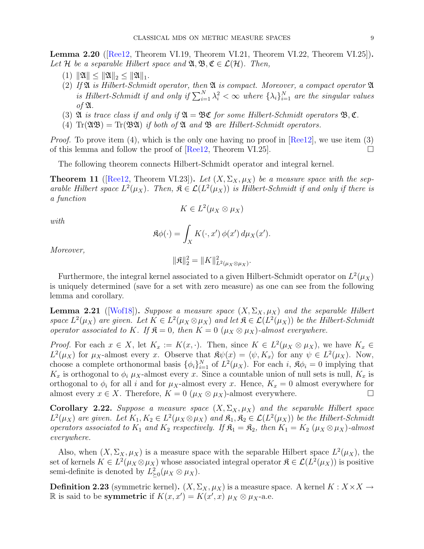<span id="page-8-1"></span>Lemma 2.20 ([\[Ree12,](#page-60-13) Theorem VI.19, Theorem VI.21, Theorem VI.22, Theorem VI.25]). Let H be a separable Hilbert space and  $\mathfrak{A}, \mathfrak{B}, \mathfrak{C} \in \mathcal{L}(\mathcal{H})$ . Then,

- (1)  $\|\mathfrak{A}\| \leq \|\mathfrak{A}\|_2 \leq \|\mathfrak{A}\|_1.$
- (2) If  $\mathfrak A$  is Hilbert-Schmidt operator, then  $\mathfrak A$  is compact. Moreover, a compact operator  $\mathfrak A$ is Hilbert-Schmidt if and only if  $\sum_{i=1}^{N} \lambda_i^2 < \infty$  where  $\{\lambda_i\}_{i=1}^{N}$  are the singular values of  $\mathfrak{A}$ .
- (3)  $\mathfrak A$  is trace class if and only if  $\mathfrak A = \mathfrak B \mathfrak C$  for some Hilbert-Schmidt operators  $\mathfrak B, \mathfrak C$ .
- (4)  $\text{Tr}(\mathfrak{A}\mathfrak{B}) = \text{Tr}(\mathfrak{B}\mathfrak{A})$  if both of  $\mathfrak{A}$  and  $\mathfrak{B}$  are Hilbert-Schmidt operators.

*Proof.* To prove item (4), which is the only one having no proof in  $[Re12]$ , we use item (3) of this lemma and follow the proof of  $[Re12, Theorem VI.25]$ .

The following theorem connects Hilbert-Schmidt operator and integral kernel.

**Theorem 11** ([\[Ree12,](#page-60-13) Theorem VI.23]). Let  $(X, \Sigma_X, \mu_X)$  be a measure space with the separable Hilbert space  $L^2(\mu_X)$ . Then,  $\mathfrak{K} \in \mathcal{L}(L^2(\mu_X))$  is Hilbert-Schmidt if and only if there is a function

$$
K\in L^2(\mu_X\otimes\mu_X)
$$

with

$$
\mathfrak{K}\phi(\cdot) = \int_X K(\cdot, x') \, \phi(x') \, d\mu_X(x').
$$

Moreover,

$$
\|\mathfrak{K}\|_{2}^{2}=\|K\|_{L^{2}(\mu_{X}\otimes\mu_{X})}^{2}.
$$

Furthermore, the integral kernel associated to a given Hilbert-Schmidt operator on  $L^2(\mu_X)$ is uniquely determined (save for a set with zero measure) as one can see from the following lemma and corollary.

**Lemma 2.21** ([\[Wof18\]](#page-61-6)). Suppose a measure space  $(X, \Sigma_X, \mu_X)$  and the separable Hilbert space  $L^2(\mu_X)$  are given. Let  $K \in L^2(\mu_X \otimes \mu_X)$  and let  $\mathfrak{K} \in \mathcal{L}(L^2(\mu_X))$  be the Hilbert-Schmidt operator associated to K. If  $\mathfrak{K} = 0$ , then  $K = 0$  ( $\mu_X \otimes \mu_X$ )-almost everywhere.

*Proof.* For each  $x \in X$ , let  $K_x := K(x, \cdot)$ . Then, since  $K \in L^2(\mu_X \otimes \mu_X)$ , we have  $K_x \in L^2(\mu_X \otimes \mu_X)$ .  $L^2(\mu_X)$  for  $\mu_X$ -almost every x. Observe that  $\mathfrak{R}\psi(x) = \langle \psi, K_x \rangle$  for any  $\psi \in L^2(\mu_X)$ . Now, choose a complete orthonormal basis  $\{\phi_i\}_{i=1}^N$  of  $L^2(\mu_X)$ . For each i,  $\mathfrak{K} \phi_i = 0$  implying that  $K_x$  is orthogonal to  $\phi_i \mu_X$ -almost every x. Since a countable union of null sets is null,  $K_x$  is orthogonal to  $\phi_i$  for all i and for  $\mu_X$ -almost every x. Hence,  $K_x = 0$  almost everywhere for almost every  $x \in X$ . Therefore,  $K = 0$  ( $\mu_X \otimes \mu_X$ )-almost everywhere.

<span id="page-8-0"></span>Corollary 2.22. Suppose a measure space  $(X, \Sigma_X, \mu_X)$  and the separable Hilbert space  $L^2(\mu_X)$  are given. Let  $K_1, K_2 \in L^2(\mu_X \otimes \mu_X)$  and  $\mathfrak{K}_1, \mathfrak{K}_2 \in \mathcal{L}(L^2(\mu_X))$  be the Hilbert-Schmidt operators associated to  $K_1$  and  $K_2$  respectively. If  $\mathfrak{K}_1 = \mathfrak{K}_2$ , then  $K_1 = K_2$  ( $\mu_X \otimes \mu_X$ )-almost everywhere.

Also, when  $(X, \Sigma_X, \mu_X)$  is a measure space with the separable Hilbert space  $L^2(\mu_X)$ , the set of kernels  $K \in L^2(\mu_X \otimes \mu_X)$  whose associated integral operator  $\mathfrak{K} \in \mathcal{L}(L^2(\mu_X))$  is positive semi-definite is denoted by  $L_{\geq 0}^2(\mu_X \otimes \mu_X)$ .

**Definition 2.23** (symmetric kernel).  $(X, \Sigma_X, \mu_X)$  is a measure space. A kernel  $K : X \times X \rightarrow$ R is said to be **symmetric** if  $K(x, x') = K(x', x) \mu_X \otimes \mu_X$ -a.e.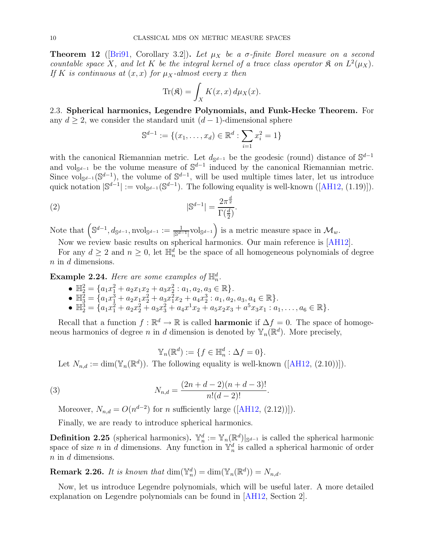<span id="page-9-1"></span>**Theorem 12** ([\[Bri91,](#page-59-7) Corollary 3.2]). Let  $\mu_X$  be a  $\sigma$ -finite Borel measure on a second countable space X, and let K be the integral kernel of a trace class operator  $\mathfrak{K}$  on  $L^2(\mu_X)$ . If K is continuous at  $(x, x)$  for  $\mu_X$ -almost every x then

$$
\text{Tr}(\mathfrak{K}) = \int_X K(x, x) \, d\mu_X(x).
$$

<span id="page-9-0"></span>2.3. Spherical harmonics, Legendre Polynomials, and Funk-Hecke Theorem. For any  $d \geq 2$ , we consider the standard unit  $(d-1)$ -dimensional sphere

$$
\mathbb{S}^{d-1} := \{(x_1, \dots, x_d) \in \mathbb{R}^d : \sum_{i=1}^d x_i^2 = 1\}
$$

with the canonical Riemannian metric. Let  $d_{\mathbb{S}^{d-1}}$  be the geodesic (round) distance of  $\mathbb{S}^{d-1}$ and vol<sub>Sd-1</sub> be the volume measure of  $\mathbb{S}^{d-1}$  induced by the canonical Riemannian metric. Since vol<sub>Sd-1</sub>(S<sup>d-1</sup>), the volume of S<sup>d-1</sup>, will be used multiple times later, let us introduce quicknotation  $\mathcal{S}^{d-1}$  := vol $_{\mathbb{S}^{d-1}}(\mathbb{S}^{d-1})$ . The following equality is well-known ([\[AH12,](#page-59-8) (1.19)]).

.

$$
|\mathbb{S}^{d-1}| = \frac{2\pi^{\frac{d}{2}}}{\Gamma(\frac{d}{2})}
$$

Note that  $(S^{d-1}, d_{S^{d-1}}, \text{nvol}_{S^{d-1}}) := \frac{1}{|S^{d-1}|} \text{vol}_{S^{d-1}}$  is a metric measure space in  $\mathcal{M}_w$ .

Now we review basic results on spherical harmonics. Our main reference is [\[AH12\]](#page-59-8).

For any  $d \geq 2$  and  $n \geq 0$ , let  $\mathbb{H}_n^d$  be the space of all homogeneous polynomials of degree n in d dimensions.

**Example 2.24.** Here are some examples of  $\mathbb{H}_n^d$ .

- $\mathbb{H}_{2}^{2} = \{a_1x_1^2 + a_2x_1x_2 + a_3x_2^2 : a_1, a_2, a_3 \in \mathbb{R}\}.$
- $\mathbb{H}_{3}^{\overline{2}} = \{a_1x_1^3 + a_2x_1x_2^2 + a_3x_1^2x_2 + a_4x_2^3 : a_1, a_2, a_3, a_4 \in \mathbb{R}\}.$
- $\mathbb{H}_{2}^{3} = \{a_{1}x_{1}^{2} + a_{2}x_{2}^{2} + a_{3}x_{3}^{2} + a_{4}x^{1}x_{2} + a_{5}x_{2}x_{3} + a^{5}x_{3}x_{1} : a_{1},..., a_{6} \in \mathbb{R}\}.$

Recall that a function  $f : \mathbb{R}^d \to \mathbb{R}$  is called **harmonic** if  $\Delta f = 0$ . The space of homogeneous harmonics of degree n in d dimension is denoted by  $\mathbb{Y}_n(\mathbb{R}^d)$ . More precisely,

$$
\mathbb{Y}_n(\mathbb{R}^d) := \{ f \in \mathbb{H}_n^d : \Delta f = 0 \}.
$$

Let $N_{n,d} := \dim(\mathbb{Y}_n(\mathbb{R}^d))$ . The following equality is well-known ([\[AH12,](#page-59-8) (2.10))]).

(3) 
$$
N_{n,d} = \frac{(2n+d-2)(n+d-3)!}{n!(d-2)!}.
$$

Moreover, $N_{n,d} = O(n^{d-2})$  for *n* sufficiently large ([\[AH12,](#page-59-8) (2.12))]).

Finally, we are ready to introduce spherical harmonics.

**Definition 2.25** (spherical harmonics).  $\mathbb{Y}_n^d := \mathbb{Y}_n(\mathbb{R}^d)|_{\mathbb{S}^{d-1}}$  is called the spherical harmonic space of size n in d dimensions. Any function in  $\mathbb{Y}_n^d$  is called a spherical harmonic of order n in d dimensions.

**Remark 2.26.** It is known that  $\dim(\mathbb{Y}_n^d) = \dim(\mathbb{Y}_n(\mathbb{R}^d)) = N_{n,d}$ .

Now, let us introduce Legendre polynomials, which will be useful later. A more detailed explanation on Legendre polynomials can be found in [\[AH12,](#page-59-8) Section 2].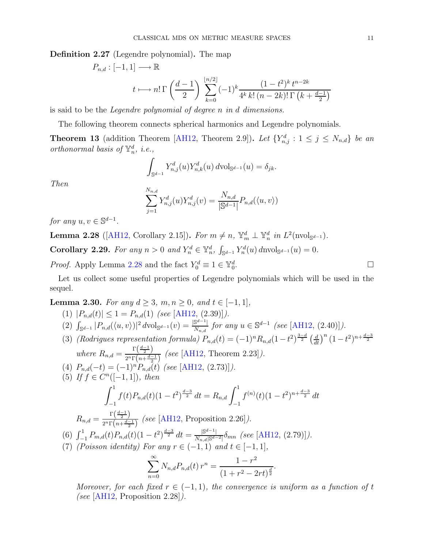Definition 2.27 (Legendre polynomial). The map

$$
P_{n,d} : [-1,1] \longrightarrow \mathbb{R}
$$
  

$$
t \longmapsto n! \Gamma\left(\frac{d-1}{2}\right) \sum_{k=0}^{\lfloor n/2 \rfloor} (-1)^k \frac{(1-t^2)^k t^{n-2k}}{4^k k! (n-2k)! \Gamma\left(k + \frac{d-1}{2}\right)}
$$

is said to be the Legendre polynomial of degree n in d dimensions.

The following theorem connects spherical harmonics and Legendre polynomials.

<span id="page-10-3"></span>**Theorem 13** (addition Theorem [\[AH12,](#page-59-8) Theorem 2.9]). Let  $\{Y_{n,j}^d : 1 \leq j \leq N_{n,d}\}$  be an orthonormal basis of  $\mathbb{Y}_n^d$ , *i.e.*,

$$
\int_{\mathbb{S}^{d-1}} Y_{n,j}^d(u) Y_{n,k}^d(u) d\text{vol}_{\mathbb{S}^{d-1}}(u) = \delta_{jk}.
$$

Then

$$
\sum_{j=1}^{N_{n,d}} Y_{n,j}^d(u) Y_{n,j}^d(v) = \frac{N_{n,d}}{|\mathbb{S}^{d-1}|} P_{n,d}(\langle u, v \rangle)
$$

for any  $u, v \in \mathbb{S}^{d-1}$ .

<span id="page-10-0"></span>**Lemma 2.28** ([\[AH12,](#page-59-8) Corollary 2.15]). For  $m \neq n$ ,  $\mathbb{Y}_m^d \perp \mathbb{Y}_n^d$  in  $L^2(\text{nvol}_{\mathbb{S}^{d-1}})$ . Corollary 2.29. For any  $n > 0$  and  $Y_n^d \in \mathbb{Y}_n^d$ ,  $\int_{\mathbb{S}^{d-1}} Y_n^d(u) d\text{nvol}_{\mathbb{S}^{d-1}}(u) = 0$ .

<span id="page-10-1"></span>*Proof.* Apply Lemma [2.28](#page-10-0) and the fact  $Y_0^d \equiv 1 \in \mathbb{Y}_0^d$ .

Let us collect some useful properties of Legendre polynomials which will be used in the sequel.

<span id="page-10-2"></span>Lemma 2.30. For any  $d \ge 3$ ,  $m, n \ge 0$ , and  $t \in [-1, 1]$ ,

(1) 
$$
|P_{n,d}(t)| \leq 1 = P_{n,d}(1)
$$
 (see [AH12, (2.39)]).  
\n(2)  $\int_{\mathbb{S}^{d-1}} |P_{n,d}(\langle u, v \rangle)|^2 dv \text{ol}_{\mathbb{S}^{d-1}}(v) = \frac{|\mathbb{S}^{d-1}|}{N_{n,d}} \text{ for any } u \in \mathbb{S}^{d-1}$  (see [AH12, (2.40)]).  
\n(3) (Rodrigues representation formula)  $P_{n,d}(t) = (-1)^n R_{n,d}(1-t^2)^{\frac{3-d}{2}} \left(\frac{d}{dt}\right)^n (1-t^2)^{n+\frac{d-3}{2}}$   
\nwhere  $R_{n,d} = \frac{\Gamma\left(\frac{d-1}{2}\right)}{2^n \Gamma\left(n+\frac{d-1}{2}\right)}$  (see [AH12, Theorem 2.23]).  
\n(4)  $P_{n,d}(-t) = (-1)^n P_{n,d}(t)$  (see [AH12, (2.73)]).  
\n(5) If  $f \in C^n([-1, 1])$ , then  
\n
$$
\int_{-1}^1 f(t) P_{n,d}(t) (1-t^2)^{\frac{d-3}{2}} dt = R_{n,d} \int_{-1}^1 f^{(n)}(t) (1-t^2)^{n+\frac{d-3}{2}} dt
$$
\n
$$
R_{n,d} = \frac{\Gamma\left(\frac{d-1}{2}\right)}{2^n \Gamma\left(n+\frac{d-1}{2}\right)}
$$
 (see [AH12, Proposition 2.26]).  
\n(6)  $\int_{-1}^1 P_{m,d}(t) P_{n,d}(t) (1-t^2)^{\frac{d-3}{2}} dt = \frac{|\mathbb{S}^{d-1}|}{N_{n,d}|\mathbb{S}^{d-2}|} \delta_{mn}$  (see [AH12, (2.79)]).  
\n(7) (Poisson identity) For any  $r \in (-1, 1)$  and  $t \in [-1, 1]$ ,  
\n
$$
\sum_{n=0}^{\infty} N_{n,d} P_{n,d}(t) r^n = \frac{1-r^2}{(1+r^2-2rt)^{\frac{d}{2}}}.
$$

Moreover, for each fixed  $r \in (-1,1)$ , the convergence is uniform as a function of t (see [\[AH12,](#page-59-8) Proposition 2.28]).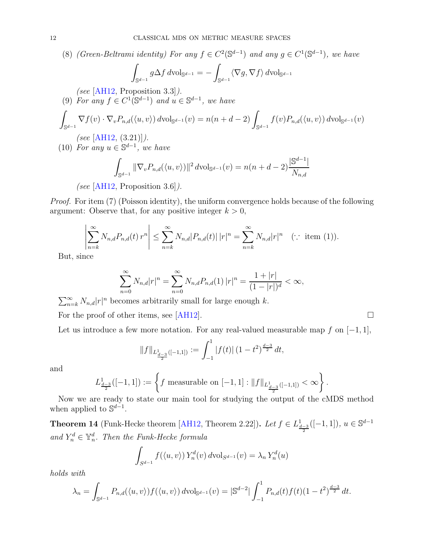(8) (Green-Beltrami identity) For any  $f \in C^2(\mathbb{S}^{d-1})$  and any  $g \in C^1(\mathbb{S}^{d-1})$ , we have

$$
\int_{\mathbb{S}^{d-1}} g \Delta f \, d\text{\rm vol}_{\mathbb{S}^{d-1}} = - \int_{\mathbb{S}^{d-1}} \langle \nabla g, \nabla f \rangle \, d\text{\rm vol}_{\mathbb{S}^{d-1}}
$$

(see [\[AH12,](#page-59-8) Proposition 3.3]).

(9) For any 
$$
f \in C^1(\mathbb{S}^{d-1})
$$
 and  $u \in \mathbb{S}^{d-1}$ , we have\n
$$
\int_{\mathbb{S}^{d-1}} \nabla f(v) \cdot \nabla_v P_{n,d}(\langle u, v \rangle) \, d\text{vol}_{\mathbb{S}^{d-1}}(v) = n(n+d-2) \int_{\mathbb{S}^{d-1}} f(v) P_{n,d}(\langle u, v \rangle) \, d\text{vol}_{\mathbb{S}^{d-1}}(v)
$$
\n(see [AHI2, (3.21)]).

(10) For any  $u \in \mathbb{S}^{d-1}$ , we have

$$
\int_{\mathbb{S}^{d-1}} \|\nabla_v P_{n,d}(\langle u, v \rangle)\|^2 \, d\text{vol}_{\mathbb{S}^{d-1}}(v) = n(n+d-2) \frac{|\mathbb{S}^{d-1}|}{N_{n,d}}
$$

(see [\[AH12,](#page-59-8) Proposition 3.6]).

Proof. For item (7) (Poisson identity), the uniform convergence holds because of the following argument: Observe that, for any positive integer  $k > 0$ ,

$$
\left|\sum_{n=k}^{\infty} N_{n,d} P_{n,d}(t) r^n\right| \leq \sum_{n=k}^{\infty} N_{n,d} |P_{n,d}(t)| |r|^n = \sum_{n=k}^{\infty} N_{n,d} |r|^n \quad (\because \text{ item } (1)).
$$

But, since

$$
\sum_{n=0}^{\infty} N_{n,d} |r|^n = \sum_{n=0}^{\infty} N_{n,d} P_{n,d}(1) |r|^n = \frac{1+|r|}{(1-|r|)^d} < \infty,
$$

 $\sum_{n=k}^{\infty} N_{n,d} |r|^n$  becomes arbitrarily small for large enough k.

For the proof of other items, see [\[AH12\]](#page-59-8).  $\Box$ 

Let us introduce a few more notation. For any real-valued measurable map f on  $[-1, 1]$ ,

$$
||f||_{L^1_{\frac{d-3}{2}}([-1,1])} := \int_{-1}^1 |f(t)| (1-t^2)^{\frac{d-3}{2}} dt,
$$

and

$$
L^1_{\frac{d-3}{2}}([-1,1]):=\left\{f\ \text{measurable on}\ [-1,1]:\|f\|_{L^1_{\frac{d-3}{2}}([-1,1])}<\infty\right\}.
$$

Now we are ready to state our main tool for studying the output of the cMDS method when applied to  $\mathbb{S}^{d-1}$ .

<span id="page-11-0"></span>**Theorem 14** (Funk-Hecke theorem [\[AH12,](#page-59-8) Theorem 2.22]). Let  $f \in L^1_{\frac{d-3}{2}}([-1,1])$ ,  $u \in \mathbb{S}^{d-1}$ and  $Y_n^d \in \mathbb{Y}_n^d$ . Then the Funk-Hecke formula

$$
\int_{S^{d-1}} f(\langle u, v \rangle) Y_n^d(v) dvol_{S^{d-1}}(v) = \lambda_n Y_n^d(u)
$$

holds with

$$
\lambda_n = \int_{\mathbb{S}^{d-1}} P_{n,d}(\langle u, v \rangle) f(\langle u, v \rangle) d\mathrm{vol}_{\mathbb{S}^{d-1}}(v) = |\mathbb{S}^{d-2}| \int_{-1}^1 P_{n,d}(t) f(t) (1-t^2)^{\frac{d-3}{2}} dt.
$$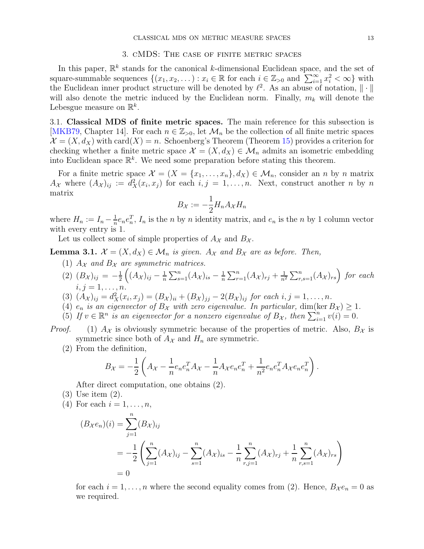#### 3. cMDS: The case of finite metric spaces

<span id="page-12-0"></span>In this paper,  $\mathbb{R}^k$  stands for the canonical k-dimensional Euclidean space, and the set of square-summable sequences  $\{(x_1, x_2, \dots) : x_i \in \mathbb{R} \text{ for each } i \in \mathbb{Z}_{\geq 0} \text{ and } \sum_{i=1}^{\infty} x_i^2 < \infty\}$  with the Euclidean inner product structure will be denoted by  $\ell^2$ . As an abuse of notation,  $\|\cdot\|$ will also denote the metric induced by the Euclidean norm. Finally,  $m_k$  will denote the Lebesgue measure on  $\mathbb{R}^k$ .

<span id="page-12-1"></span>3.1. Classical MDS of finite metric spaces. The main reference for this subsection is [\[MKB79,](#page-60-15) Chapter 14]. For each  $n \in \mathbb{Z}_{>0}$ , let  $\mathcal{M}_n$  be the collection of all finite metric spaces  $\mathcal{X} = (X, d_X)$  with card $(X) = n$ . Schoenberg's Theorem (Theorem [15\)](#page-13-0) provides a criterion for checking whether a finite metric space  $\mathcal{X} = (X, d_X) \in \mathcal{M}_n$  admits an isometric embedding into Euclidean space  $\mathbb{R}^k$ . We need some preparation before stating this theorem.

For a finite metric space  $\mathcal{X} = \{X = \{x_1, \ldots, x_n\}, d_X\} \in \mathcal{M}_n$ , consider an n by n matrix  $A_{\mathcal{X}}$  where  $(A_{\mathcal{X}})_{ij} := d_{X}^{2}(x_{i}, x_{j})$  for each  $i, j = 1, ..., n$ . Next, construct another n by n matrix

$$
B_{\mathcal{X}} := -\frac{1}{2} H_n A_{\mathcal{X}} H_n
$$

where  $H_n := I_n - \frac{1}{n}$  $\frac{1}{n}e_ne_n^T$ ,  $I_n$  is the *n* by *n* identity matrix, and  $e_n$  is the *n* by 1 column vector with every entry is 1.

Let us collect some of simple properties of  $A_{\mathcal{X}}$  and  $B_{\mathcal{X}}$ .

<span id="page-12-2"></span>**Lemma 3.1.**  $\mathcal{X} = (X, d_X) \in \mathcal{M}_n$  is given.  $A_{\mathcal{X}}$  and  $B_{\mathcal{X}}$  are as before. Then, (1)  $A_{\mathcal{X}}$  and  $B_{\mathcal{X}}$  are symmetric matrices.

- (1)  $A_{\mathcal{X}}$  and  $B_{\mathcal{X}}$  are symmetric matrices.
- (2)  $(B_{\mathcal{X}})_{ij} = -\frac{1}{2}$ 2  $\Big((A_{\mathcal{X}})_{ij}-\frac{1}{n}\Big)$  $\frac{1}{n}\sum_{s=1}^n (A_{\mathcal{X}})_{is} - \frac{1}{n}$  $\frac{1}{n}\sum_{r=1}^n (A_{\mathcal{X}})_{rj} + \frac{1}{n^2}\sum_{r,s=1}^n (A_{\mathcal{X}})_{rs}$  for each  $i, j = 1, \ldots, n$ .
- (3)  $(A_{\mathcal{X}})_{ij} = d_{X}^{2}(x_{i}, x_{j}) = (B_{\mathcal{X}})_{ii} + (B_{\mathcal{X}})_{jj} 2(B_{\mathcal{X}})_{ij}$  for each  $i, j = 1, ..., n$ .
- (4)  $e_n$  is an eigenvector of  $B_\chi$  with zero eigenvalue. In particular,  $\dim(\ker B_\chi) \geq 1$ .
- (5) If  $v \in \mathbb{R}^n$  is an eigenvector for a nonzero eigenvalue of  $B_{\mathcal{X}}$ , then  $\sum_{i=1}^n v(i) = 0$ .
- *Proof.* (1)  $A_{\mathcal{X}}$  is obviously symmetric because of the properties of metric. Also,  $B_{\mathcal{X}}$  is symmetric since both of  $A_{\mathcal{X}}$  and  $H_n$  are symmetric.
	- (2) From the definition,

$$
B_{\mathcal{X}} = -\frac{1}{2} \left( A_{\mathcal{X}} - \frac{1}{n} e_n e_n^T A_{\mathcal{X}} - \frac{1}{n} A_{\mathcal{X}} e_n e_n^T + \frac{1}{n^2} e_n e_n^T A_{\mathcal{X}} e_n e_n^T \right).
$$

After direct computation, one obtains (2).

- (3) Use item (2).
- (4) For each  $i=1,\ldots,n$ ,

$$
(B_{\mathcal{X}}e_n)(i) = \sum_{j=1}^n (B_{\mathcal{X}})_{ij}
$$
  
=  $-\frac{1}{2} \left( \sum_{j=1}^n (A_{\mathcal{X}})_{ij} - \sum_{s=1}^n (A_{\mathcal{X}})_{is} - \frac{1}{n} \sum_{r,j=1}^n (A_{\mathcal{X}})_{rj} + \frac{1}{n} \sum_{r,s=1}^n (A_{\mathcal{X}})_{rs} \right)$   
= 0

for each  $i = 1, ..., n$  where the second equality comes from (2). Hence,  $B_{\chi}e_n = 0$  as we required.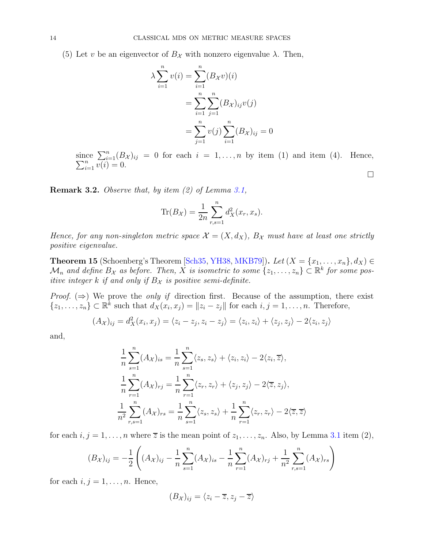(5) Let v be an eigenvector of  $B_{\mathcal{X}}$  with nonzero eigenvalue  $\lambda$ . Then,

$$
\lambda \sum_{i=1}^{n} v(i) = \sum_{i=1}^{n} (B_{\mathcal{X}}v)(i)
$$

$$
= \sum_{i=1}^{n} \sum_{j=1}^{n} (B_{\mathcal{X}})_{ij}v(j)
$$

$$
= \sum_{j=1}^{n} v(j) \sum_{i=1}^{n} (B_{\mathcal{X}})_{ij} = 0
$$

since  $\sum_{i=1}^n$ <br> $\sum_{i=1}^n v(i) =$  $\sum_{i=1}^{n} (B_{\mathcal{X}})_{ij} = 0$  for each  $i = 1, ..., n$  by item (1) and item (4). Hence,  $\sum_{i=1}^{n} v(i) = 0$ .

 $\Box$ 

**Remark 3.2.** Observe that, by item  $(2)$  of Lemma [3.1,](#page-12-2)

$$
\text{Tr}(B_{\mathcal{X}}) = \frac{1}{2n} \sum_{r,s=1}^{n} d_{X}^{2}(x_{r}, x_{s}).
$$

Hence, for any non-singleton metric space  $\mathcal{X} = (X, d_X)$ ,  $B_{\mathcal{X}}$  must have at least one strictly positive eigenvalue.

<span id="page-13-0"></span>**Theorem 15** (Schoenberg's Theorem [\[Sch35,](#page-60-1) [YH38,](#page-61-0) [MKB79\]](#page-60-15)). Let  $(X = \{x_1, \ldots, x_n\}, d_X) \in$  $\mathcal{M}_n$  and define  $B_{\mathcal{X}}$  as before. Then, X is isometric to some  $\{z_1, \ldots, z_n\} \subset \mathbb{R}^k$  for some positive integer k if and only if  $B_{\mathcal{X}}$  is positive semi-definite.

*Proof.* ( $\Rightarrow$ ) We prove the *only if* direction first. Because of the assumption, there exist  $\{z_1, \ldots, z_n\} \subset \mathbb{R}^k$  such that  $d_X(x_i, x_j) = ||z_i - z_j||$  for each  $i, j = 1, \ldots, n$ . Therefore,

$$
(A_{\mathcal{X}})_{ij} = d_{X}^{2}(x_{i}, x_{j}) = \langle z_{i} - z_{j}, z_{i} - z_{j} \rangle = \langle z_{i}, z_{i} \rangle + \langle z_{j}, z_{j} \rangle - 2\langle z_{i}, z_{j} \rangle
$$

and,

$$
\frac{1}{n}\sum_{s=1}^{n}(A_{\mathcal{X}})_{is} = \frac{1}{n}\sum_{s=1}^{n}\langle z_{s}, z_{s}\rangle + \langle z_{i}, z_{i}\rangle - 2\langle z_{i}, \overline{z}\rangle,
$$
  

$$
\frac{1}{n}\sum_{r=1}^{n}(A_{\mathcal{X}})_{rj} = \frac{1}{n}\sum_{r=1}^{n}\langle z_{r}, z_{r}\rangle + \langle z_{j}, z_{j}\rangle - 2\langle \overline{z}, z_{j}\rangle,
$$
  

$$
\frac{1}{n^{2}}\sum_{r,s=1}^{n}(A_{\mathcal{X}})_{rs} = \frac{1}{n}\sum_{s=1}^{n}\langle z_{s}, z_{s}\rangle + \frac{1}{n}\sum_{r=1}^{n}\langle z_{r}, z_{r}\rangle - 2\langle \overline{z}, \overline{z}\rangle
$$

for each  $i, j = 1, \ldots, n$  where  $\overline{z}$  is the mean point of  $z_1, \ldots, z_n$ . Also, by Lemma [3.1](#page-12-2) item (2),

$$
(B_{\mathcal{X}})_{ij} = -\frac{1}{2} \left( (A_{\mathcal{X}})_{ij} - \frac{1}{n} \sum_{s=1}^{n} (A_{\mathcal{X}})_{is} - \frac{1}{n} \sum_{r=1}^{n} (A_{\mathcal{X}})_{rj} + \frac{1}{n^2} \sum_{r,s=1}^{n} (A_{\mathcal{X}})_{rs} \right)
$$

for each  $i, j = 1, \ldots, n$ . Hence,

$$
(B_{\mathcal{X}})_{ij} = \langle z_i - \overline{z}, z_j - \overline{z} \rangle
$$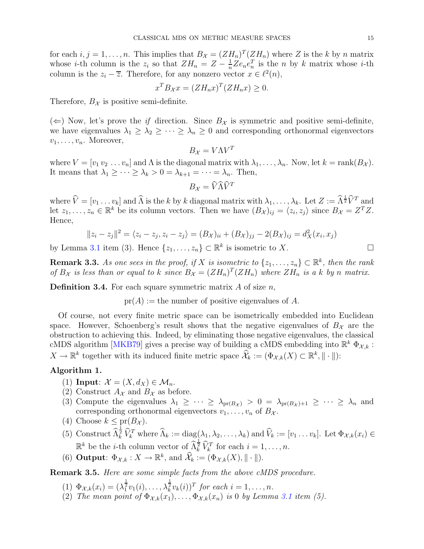for each  $i, j = 1, \ldots, n$ . This implies that  $B_{\mathcal{X}} = (ZH_n)^T(ZH_n)$  where Z is the k by n matrix whose *i*-th column is the  $z_i$  so that  $ZH_n = Z - \frac{1}{n}$  $\frac{1}{n}Ze_ne_n^T$  is the *n* by *k* matrix whose *i*-th column is the  $z_i - \overline{z}$ . Therefore, for any nonzero vector  $x \in \ell^2(n)$ ,

$$
x^T B_{\mathcal{X}} x = (Z H_n x)^T (Z H_n x) \ge 0.
$$

Therefore,  $B_{\mathcal{X}}$  is positive semi-definite.

 $(\Leftarrow)$  Now, let's prove the *if* direction. Since  $B_{\mathcal{X}}$  is symmetric and positive semi-definite, we have eigenvalues  $\lambda_1 \geq \lambda_2 \geq \cdots \geq \lambda_n \geq 0$  and corresponding orthonormal eigenvectors  $v_1, \ldots, v_n$ . Moreover,

$$
B_{\mathcal{X}} = V \Lambda V^T
$$

where  $V = [v_1 v_2 ... v_n]$  and  $\Lambda$  is the diagonal matrix with  $\lambda_1, ..., \lambda_n$ . Now, let  $k = \text{rank}(B_{\mathcal{X}})$ . It means that  $\lambda_1 \geq \cdots \geq \lambda_k > 0 = \lambda_{k+1} = \cdots = \lambda_n$ . Then,

$$
B_{\mathcal{X}} = \widehat{V}\widehat{\Lambda}\widehat{V}^T
$$

where  $\hat{V} = [v_1 \dots v_k]$  and  $\hat{\Lambda}$  is the k by k diagonal matrix with  $\lambda_1, \dots, \lambda_k$ . Let  $Z := \hat{\Lambda}^{\frac{1}{2}} \hat{V}^T$  and let  $z_1, \ldots, z_n \in \mathbb{R}^k$  be its column vectors. Then we have  $(B_{\mathcal{X}})_{ij} = \langle z_i, z_j \rangle$  since  $B_{\mathcal{X}} = Z^T Z$ . Hence,

$$
||z_i - z_j||^2 = \langle z_i - z_j, z_i - z_j \rangle = (B_{\mathcal{X}})_{ii} + (B_{\mathcal{X}})_{jj} - 2(B_{\mathcal{X}})_{ij} = d_{\mathcal{X}}^2(x_i, x_j)
$$

by Lemma [3.1](#page-12-2) item (3). Hence  $\{z_1, \ldots, z_n\} \subset \mathbb{R}^k$  is isometric to X.

**Remark 3.3.** As one sees in the proof, if X is isometric to  $\{z_1, \ldots, z_n\} \subset \mathbb{R}^k$ , then the rank of  $B_{\mathcal{X}}$  is less than or equal to k since  $B_{\mathcal{X}} = (ZH_n)^T(ZH_n)$  where  $ZH_n$  is a k by n matrix.

**Definition 3.4.** For each square symmetric matrix  $A$  of size  $n$ ,

 $pr(A) :=$  the number of positive eigenvalues of A.

Of course, not every finite metric space can be isometrically embedded into Euclidean space. However, Schoenberg's result shows that the negative eigenvalues of  $B_{\mathcal{X}}$  are the obstruction to achieving this. Indeed, by eliminating those negative eigenvalues, the classical cMDS algorithm [\[MKB79\]](#page-60-15) gives a precise way of building a cMDS embedding into  $\mathbb{R}^k \Phi_{\mathcal{X},k}$ :  $X \to \mathbb{R}^k$  together with its induced finite metric space  $\widehat{\mathcal{X}}_k := (\Phi_{\mathcal{X},k}(X) \subset \mathbb{R}^k, \|\cdot\|)$ :

#### <span id="page-14-0"></span>Algorithm 1.

- (1) Input:  $\mathcal{X} = (X, d_X) \in \mathcal{M}_n$ .
- (2) Construct  $A_{\mathcal{X}}$  and  $B_{\mathcal{X}}$  as before.
- (3) Compute the eigenvalues  $\lambda_1 \geq \cdots \geq \lambda_{pr(B_{\mathcal{X}})} > 0 = \lambda_{pr(B_{\mathcal{X}})+1} \geq \cdots \geq \lambda_n$  and corresponding orthonormal eigenvectors  $v_1, \ldots, v_n$  of  $B_{\mathcal{X}}$ .
- (4) Choose  $k \leq pr(B_{\mathcal{X}})$ .
- (5) Construct  $\widehat{\Lambda}_k^{\frac{1}{2}} \widehat{V}_k^T$  where  $\widehat{\Lambda}_k := \text{diag}(\lambda_1, \lambda_2, \dots, \lambda_k)$  and  $\widehat{V}_k := [v_1 \dots v_k]$ . Let  $\Phi_{\mathcal{X},k}(x_i) \in$  $\mathbb{R}^k$  be the *i*-th column vector of  $\widehat{\Lambda}_k^{\frac{1}{2}} \widehat{V}_k^T$  for each  $i = 1, \ldots, n$ .
- (6) **Output**:  $\Phi_{\mathcal{X},k}: X \to \mathbb{R}^k$ , and  $\widehat{\mathcal{X}}_k := (\Phi_{\mathcal{X},k}(X), \|\cdot\|)$ .

<span id="page-14-1"></span>Remark 3.5. Here are some simple facts from the above cMDS procedure.

(1)  $\Phi_{\mathcal{X},k}(x_i) = (\lambda_1^{\frac{1}{2}}v_1(i), \ldots, \lambda_k^{\frac{1}{2}}v_k(i))^T$  for each  $i = 1, \ldots, n$ .

(2) The mean point of  $\Phi_{\mathcal{X},k}(x_1), \ldots, \Phi_{\mathcal{X},k}(x_n)$  is 0 by Lemma [3.1](#page-12-2) item (5).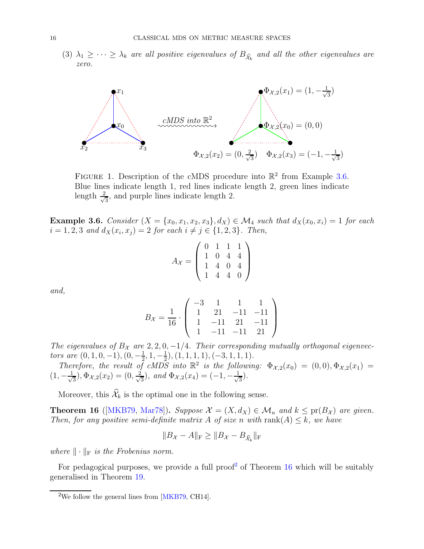(3)  $\lambda_1 \geq \cdots \geq \lambda_k$  are all positive eigenvalues of  $B_{\hat{\mathcal{X}}_k}$  and all the other eigenvalues are zero.



FIGURE 1. Description of the cMDS procedure into  $\mathbb{R}^2$  from Example [3.6.](#page-15-1) Blue lines indicate length 1, red lines indicate length 2, green lines indicate length  $\frac{2}{\sqrt{2}}$  $\frac{1}{3}$ , and purple lines indicate length 2.

<span id="page-15-1"></span>**Example 3.6.** Consider  $(X = \{x_0, x_1, x_2, x_3\}, d_X) \in \mathcal{M}_4$  such that  $d_X(x_0, x_i) = 1$  for each  $i = 1, 2, 3 \text{ and } d_X(x_i, x_j) = 2 \text{ for each } i \neq j \in \{1, 2, 3\}.$  Then,

$$
A_{\mathcal{X}} = \left( \begin{array}{rrr} 0 & 1 & 1 & 1 \\ 1 & 0 & 4 & 4 \\ 1 & 4 & 0 & 4 \\ 1 & 4 & 4 & 0 \end{array} \right)
$$

and,

$$
B_{\mathcal{X}} = \frac{1}{16} \cdot \left( \begin{array}{rrrr} -3 & 1 & 1 & 1 \\ 1 & 21 & -11 & -11 \\ 1 & -11 & 21 & -11 \\ 1 & -11 & -11 & 21 \end{array} \right)
$$

The eigenvalues of  $B_{\mathcal{X}}$  are  $2, 2, 0, -1/4$ . Their corresponding mutually orthogonal eigenvectors are  $(0, 1, 0, -1), (0, -\frac{1}{2})$  $\frac{1}{2}$ , 1,  $-\frac{1}{2}$  $(\frac{1}{2}), (1, 1, 1, 1), (-3, 1, 1, 1).$ 

Therefore, the result of cMDS into  $\mathbb{R}^2$  is the following:  $\Phi_{\mathcal{X},2}(x_0) = (0,0), \Phi_{\mathcal{X},2}(x_1) =$  $(1, -\frac{1}{\sqrt{2}})$  $(\frac{1}{3}), \Phi_{\mathcal{X},2}(x_2) = (0, \frac{2}{\sqrt{3}})$  $(\frac{1}{3})$ , and  $\Phi_{\mathcal{X},2}(x_4) = (-1,-\frac{1}{\sqrt{3}})$  $\frac{1}{3}$ .

Moreover, this  $\widehat{\mathcal{X}}_k$  is the optimal one in the following sense.

<span id="page-15-0"></span>**Theorem 16** ([\[MKB79,](#page-60-15) [Mar78\]](#page-60-16)). Suppose  $\mathcal{X} = (X, d_X) \in \mathcal{M}_n$  and  $k \leq pr(B_{\mathcal{X}})$  are given. Then, for any positive semi-definite matrix A of size n with rank(A)  $\leq k$ , we have

$$
||B_{\mathcal{X}} - A||_{\mathcal{F}} \ge ||B_{\mathcal{X}} - B_{\widehat{\mathcal{X}}_k}||_{\mathcal{F}}
$$

where  $\|\cdot\|_{\mathrm{F}}$  is the Frobenius norm.

For pedagogical purposes, we provide a full proof<sup>[2](#page-15-2)</sup> of Theorem [16](#page-15-0) which will be suitably generalised in Theorem [19.](#page-30-1)

<span id="page-15-2"></span><sup>&</sup>lt;sup>2</sup>We follow the general lines from  $[MKB79, CH14]$ .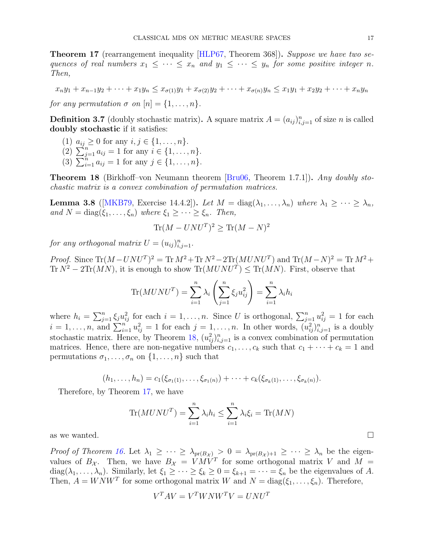<span id="page-16-1"></span>**Theorem 17** (rearrangement inequality [\[HLP67,](#page-60-17) Theorem 368]). Suppose we have two sequences of real numbers  $x_1 \leq \cdots \leq x_n$  and  $y_1 \leq \cdots \leq y_n$  for some positive integer n. Then,

$$
x_n y_1 + x_{n-1} y_2 + \dots + x_1 y_n \le x_{\sigma(1)} y_1 + x_{\sigma(2)} y_2 + \dots + x_{\sigma(n)} y_n \le x_1 y_1 + x_2 y_2 + \dots + x_n y_n
$$

for any permutation  $\sigma$  on  $[n] = \{1, \ldots, n\}.$ 

**Definition 3.7** (doubly stochastic matrix). A square matrix  $A = (a_{ij})_{i,j=1}^n$  of size n is called doubly stochastic if it satisfies:

- (1)  $a_{ij} \ge 0$  for any  $i, j \in \{1, ..., n\}.$
- (2)  $\sum_{j=1}^{n} a_{ij} = 1$  for any  $i \in \{1, ..., n\}.$
- (3)  $\sum_{i=1}^{n} a_{ij} = 1$  for any  $j \in \{1, ..., n\}$ .

<span id="page-16-0"></span>**Theorem 18** (Birkhoff–von Neumann theorem [\[Bru06,](#page-59-9) Theorem 1.7.1]). Any doubly stochastic matrix is a convex combination of permutation matrices.

<span id="page-16-2"></span>**Lemma 3.8** ([\[MKB79,](#page-60-15) Exercise 14.4.2]). Let  $M = \text{diag}(\lambda_1, \ldots, \lambda_n)$  where  $\lambda_1 \geq \cdots \geq \lambda_n$ , and  $N = \text{diag}(\xi_1, \ldots, \xi_n)$  where  $\xi_1 \geq \cdots \geq \xi_n$ . Then,

$$
\text{Tr}(M - UNU^T)^2 \ge \text{Tr}(M - N)^2
$$

for any orthogonal matrix  $U = (u_{ij})_{i,j=1}^n$ .

Proof. Since  $\text{Tr}(M - UNU^T)^2 = \text{Tr} M^2 + \text{Tr} N^2 - 2\text{Tr}(MUNU^T)$  and  $\text{Tr}(M - N)^2 = \text{Tr} M^2 + \text{Tr} M^2$ Tr  $N^2 - 2\text{Tr}(MN)$ , it is enough to show  $\text{Tr}(MUNU^T) \leq \text{Tr}(MN)$ . First, observe that

$$
\text{Tr}(MUNU^T) = \sum_{i=1}^n \lambda_i \left( \sum_{j=1}^n \xi_j u_{ij}^2 \right) = \sum_{i=1}^n \lambda_i h_i
$$

where  $h_i = \sum_{j=1}^n \xi_j u_{ij}^2$  for each  $i = 1, \ldots, n$ . Since U is orthogonal,  $\sum_{j=1}^n u_{ij}^2 = 1$  for each  $i = 1, \ldots, n$ , and  $\sum_{i=1}^{n} u_{ij}^2 = 1$  for each  $j = 1, \ldots, n$ . In other words,  $(u_{ij}^2)_{i,j=1}^n$  is a doubly stochastic matrix. Hence, by Theorem [18,](#page-16-0)  $(u_{ij}^2)_{i,j=1}^n$  is a convex combination of permutation matrices. Hence, there are non-negative numbers  $c_1, \ldots, c_k$  such that  $c_1 + \cdots + c_k = 1$  and permutations  $\sigma_1, \ldots, \sigma_n$  on  $\{1, \ldots, n\}$  such that

$$
(h_1,\ldots,h_n)=c_1(\xi_{\sigma_1(1)},\ldots,\xi_{\sigma_1(n)})+\cdots+c_k(\xi_{\sigma_k(1)},\ldots,\xi_{\sigma_k(n)}).
$$

Therefore, by Theorem [17,](#page-16-1) we have

$$
\text{Tr}(MUNU^T) = \sum_{i=1}^n \lambda_i h_i \le \sum_{i=1}^n \lambda_i \xi_i = \text{Tr}(MN)
$$

as we wanted.  $\square$ 

*Proof of Theorem [16.](#page-15-0)* Let  $\lambda_1 \geq \cdots \geq \lambda_{pr(B_{\mathcal{X}})} > 0 = \lambda_{pr(B_{\mathcal{X}})+1} \geq \cdots \geq \lambda_n$  be the eigenvalues of  $B_{\mathcal{X}}$ . Then, we have  $B_{\mathcal{X}} = VMV^T$  for some orthogonal matrix V and  $M =$ diag( $\lambda_1, \ldots, \lambda_n$ ). Similarly, let  $\xi_1 \geq \cdots \geq \xi_k \geq 0 = \xi_{k+1} = \cdots = \xi_n$  be the eigenvalues of A. Then,  $A = W N W^T$  for some orthogonal matrix W and  $N = diag(\xi_1, \ldots, \xi_n)$ . Therefore,

$$
V^T A V = V^T W N W^T V = U N U^T
$$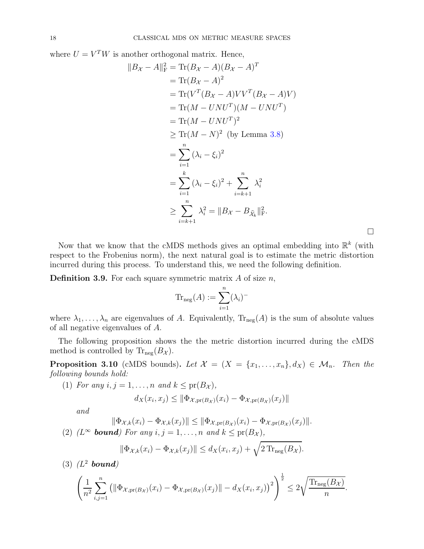where  $U = V<sup>T</sup>W$  is another orthogonal matrix. Hence,

$$
||B_{\mathcal{X}} - A||_{\mathcal{F}}^2 = \text{Tr}(B_{\mathcal{X}} - A)(B_{\mathcal{X}} - A)^T
$$
  
=  $\text{Tr}(B_{\mathcal{X}} - A)^2$   
=  $\text{Tr}(V^T(B_{\mathcal{X}} - A)VV^T(B_{\mathcal{X}} - A)V)$   
=  $\text{Tr}(M - UNU^T)(M - UNU^T)$   
=  $\text{Tr}(M - UNU^T)^2$   
 $\geq \text{Tr}(M - N)^2$  (by Lemma 3.8)  
=  $\sum_{i=1}^n (\lambda_i - \xi_i)^2$   
=  $\sum_{i=1}^k (\lambda_i - \xi_i)^2 + \sum_{i=k+1}^n \lambda_i^2$   
 $\geq \sum_{i=k+1}^n \lambda_i^2 = ||B_{\mathcal{X}} - B_{\widehat{\mathcal{X}}_k}||_{\mathcal{F}}^2.$ 

Now that we know that the cMDS methods gives an optimal embedding into  $\mathbb{R}^k$  (with respect to the Frobenius norm), the next natural goal is to estimate the metric distortion incurred during this process. To understand this, we need the following definition.

**Definition 3.9.** For each square symmetric matrix  $A$  of size  $n$ ,

$$
\mathrm{Tr}_{\mathrm{neg}}(A) := \sum_{i=1}^n (\lambda_i)^-
$$

where  $\lambda_1, \ldots, \lambda_n$  are eigenvalues of A. Equivalently,  $\text{Tr}_{\text{neg}}(A)$  is the sum of absolute values of all negative eigenvalues of A.

The following proposition shows the the metric distortion incurred during the cMDS method is controlled by  $\text{Tr}_{\text{neg}}(B_{\mathcal{X}})$ .

<span id="page-17-0"></span>**Proposition 3.10** (cMDS bounds). Let  $\mathcal{X} = \{X = \{x_1, \ldots, x_n\}, d_X\} \in \mathcal{M}_n$ . Then the following bounds hold:

(1) For any  $i, j = 1, \ldots, n$  and  $k \leq pr(B_{\mathcal{X}})$ ,

$$
d_X(x_i, x_j) \leq \|\Phi_{\mathcal{X},\mathrm{pr}(B_{\mathcal{X}})}(x_i) - \Phi_{\mathcal{X},\mathrm{pr}(B_{\mathcal{X}})}(x_j)\|
$$

and

$$
\|\Phi_{\mathcal{X},k}(x_i)-\Phi_{\mathcal{X},k}(x_j)\| \leq \|\Phi_{\mathcal{X},pr(B_{\mathcal{X}})}(x_i)-\Phi_{\mathcal{X},pr(B_{\mathcal{X}})}(x_j)\|.
$$
  
(2) *(L<sup>∞</sup> bound)* For any  $i, j = 1, ..., n$  and  $k \leq pr(B_{\mathcal{X}})$ ,

$$
\|\Phi_{\mathcal{X},k}(x_i) - \Phi_{\mathcal{X},k}(x_j)\| \le d_X(x_i, x_j) + \sqrt{2 \operatorname{Tr}_{\operatorname{neg}}(B_{\mathcal{X}})}.
$$

 $(3)$   $(L^2$  bound)

$$
\left(\frac{1}{n^2}\sum_{i,j=1}^n \left(\|\Phi_{\mathcal{X},\mathrm{pr}(B_{\mathcal{X}})}(x_i) - \Phi_{\mathcal{X},\mathrm{pr}(B_{\mathcal{X}})}(x_j)\| - d_X(x_i,x_j)\right)^2\right)^{\frac{1}{2}} \leq 2\sqrt{\frac{\mathrm{Tr}_{\mathrm{neg}(B_{\mathcal{X}})}}{n}}.
$$

 $\Box$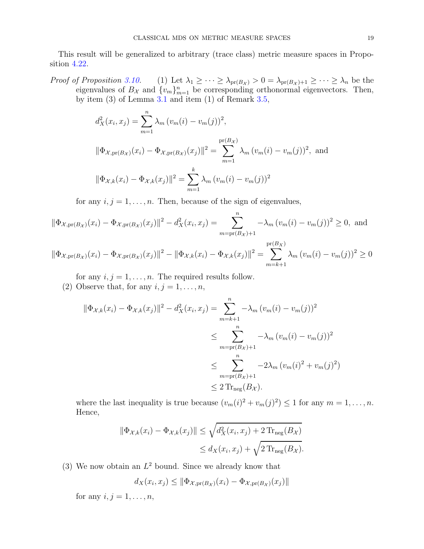This result will be generalized to arbitrary (trace class) metric measure spaces in Proposition [4.22.](#page-28-1)

Proof of Proposition [3.10.](#page-17-0) (1) Let  $\lambda_1 \geq \cdots \geq \lambda_{pr(B_\mathcal{X})} > 0 = \lambda_{pr(B_\mathcal{X})+1} \geq \cdots \geq \lambda_n$  be the eigenvalues of  $B_{\mathcal{X}}$  and  $\{v_m\}_{m=1}^n$  be corresponding orthonormal eigenvectors. Then, by item  $(3)$  of Lemma [3.1](#page-12-2) and item  $(1)$  of Remark [3.5,](#page-14-1)

$$
d_X^2(x_i, x_j) = \sum_{m=1}^n \lambda_m (v_m(i) - v_m(j))^2,
$$
  

$$
\|\Phi_{\mathcal{X}, pr(B_{\mathcal{X}})}(x_i) - \Phi_{\mathcal{X}, pr(B_{\mathcal{X}})}(x_j)\|^2 = \sum_{m=1}^{pr(B_{\mathcal{X}})} \lambda_m (v_m(i) - v_m(j))^2, \text{ and}
$$
  

$$
\|\Phi_{\mathcal{X}, k}(x_i) - \Phi_{\mathcal{X}, k}(x_j)\|^2 = \sum_{m=1}^k \lambda_m (v_m(i) - v_m(j))^2
$$

for any  $i, j = 1, \ldots, n$ . Then, because of the sign of eigenvalues,

$$
\|\Phi_{\mathcal{X},\mathrm{pr}(B_{\mathcal{X}})}(x_i) - \Phi_{\mathcal{X},\mathrm{pr}(B_{\mathcal{X}})}(x_j)\|^2 - d_X^2(x_i, x_j) = \sum_{m=\mathrm{pr}(B_{\mathcal{X}})+1}^n -\lambda_m (v_m(i) - v_m(j))^2 \ge 0, \text{ and}
$$

 $\|\Phi_{\mathcal{X},\text{pr}(B_{\mathcal{X}})}(x_i) - \Phi_{\mathcal{X},\text{pr}(B_{\mathcal{X}})}(x_j)\|^2 - \|\Phi_{\mathcal{X},k}(x_i) - \Phi_{\mathcal{X},k}(x_j)\|^2 =$ pr(  $\sum$  $B_X)$  $m=k+1$  $\lambda_m (v_m(i) - v_m(j))^2 \ge 0$ 

for any  $i, j = 1, \ldots, n$ . The required results follow.

(2) Observe that, for any  $i, j = 1, \ldots, n$ ,

$$
\|\Phi_{\mathcal{X},k}(x_i) - \Phi_{\mathcal{X},k}(x_j)\|^2 - d_X^2(x_i, x_j) = \sum_{m=k+1}^n -\lambda_m (v_m(i) - v_m(j))^2
$$
  

$$
\leq \sum_{m=\text{pr}(B_{\mathcal{X}})+1}^n -\lambda_m (v_m(i) - v_m(j))^2
$$
  

$$
\leq \sum_{m=\text{pr}(B_{\mathcal{X}})+1}^n -2\lambda_m (v_m(i)^2 + v_m(j)^2)
$$
  

$$
\leq 2 \operatorname{Tr}_{\text{neg}}(B_{\mathcal{X}}).
$$

where the last inequality is true because  $(v_m(i)^2 + v_m(j)^2) \leq 1$  for any  $m = 1, \ldots, n$ . Hence,

$$
\|\Phi_{\mathcal{X},k}(x_i) - \Phi_{\mathcal{X},k}(x_j)\| \le \sqrt{d_X^2(x_i, x_j) + 2 \operatorname{Tr}_{\text{neg}}(B_\mathcal{X})}
$$
  

$$
\le d_X(x_i, x_j) + \sqrt{2 \operatorname{Tr}_{\text{neg}}(B_\mathcal{X})}.
$$

(3) We now obtain an  $L^2$  bound. Since we already know that

$$
d_X(x_i, x_j) \leq \|\Phi_{\mathcal{X},\text{pr}(B_{\mathcal{X}})}(x_i) - \Phi_{\mathcal{X},\text{pr}(B_{\mathcal{X}})}(x_j)\|
$$

for any  $i, j = 1, \ldots, n$ ,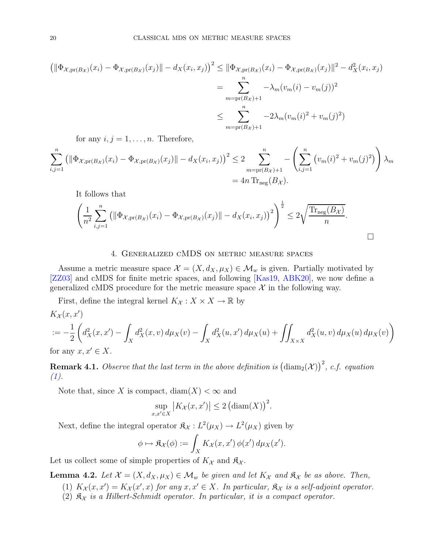$$
\begin{aligned} \left( \|\Phi_{\mathcal{X},\mathrm{pr}(B_{\mathcal{X}})}(x_{i}) - \Phi_{\mathcal{X},\mathrm{pr}(B_{\mathcal{X}})}(x_{j})\| - d_{X}(x_{i},x_{j}) \right)^{2} &\leq \|\Phi_{\mathcal{X},\mathrm{pr}(B_{\mathcal{X}})}(x_{i}) - \Phi_{\mathcal{X},\mathrm{pr}(B_{\mathcal{X}})}(x_{j})\|^{2} - d_{X}^{2}(x_{i},x_{j}) \\ &= \sum_{m=\mathrm{pr}(B_{\mathcal{X}})+1}^{n} -\lambda_{m}(v_{m}(i) - v_{m}(j))^{2} \\ &\leq \sum_{m=\mathrm{pr}(B_{\mathcal{X}})+1}^{n} -2\lambda_{m}(v_{m}(i)^{2} + v_{m}(j)^{2}) \end{aligned}
$$

for any  $i, j = 1, \ldots, n$ . Therefore,

$$
\sum_{i,j=1}^{n} \left( \|\Phi_{\mathcal{X},\mathrm{pr}(B_{\mathcal{X}})}(x_{i}) - \Phi_{\mathcal{X},\mathrm{pr}(B_{\mathcal{X}})}(x_{j})\| - d_{X}(x_{i},x_{j}) \right)^{2} \leq 2 \sum_{m=\mathrm{pr}(B_{\mathcal{X}})+1}^{n} - \left( \sum_{i,j=1}^{n} \left( v_{m}(i)^{2} + v_{m}(j)^{2} \right) \right) \lambda_{m}
$$
  
= 4n \operatorname{Tr}\_{\mathrm{neg}}(B\_{\mathcal{X}}).

It follows that

$$
\left(\frac{1}{n^2}\sum_{i,j=1}^n (||\Phi_{\mathcal{X},\mathrm{pr}(B_{\mathcal{X}})}(x_i) - \Phi_{\mathcal{X},\mathrm{pr}(B_{\mathcal{X}})}(x_j)|| - d_X(x_i,x_j))^2\right)^{\frac{1}{2}} \le 2\sqrt{\frac{\mathrm{Tr}_{\mathrm{neg}(B_{\mathcal{X}})}}{n}}.
$$

# 4. Generalized cMDS on metric measure spaces

<span id="page-19-0"></span>Assume a metric measure space  $\mathcal{X} = (X, d_X, \mu_X) \in \mathcal{M}_w$  is given. Partially motivated by [\[ZZ03\]](#page-61-7) and cMDS for finite metric spaces, and following [\[Kas19,](#page-60-9) [ABK20\]](#page-59-5), we now define a generalized cMDS procedure for the metric measure space  $\mathcal X$  in the following way.

First, define the integral kernel  $K_{\mathcal{X}} : X \times X \to \mathbb{R}$  by

$$
K_{\mathcal{X}}(x, x')
$$
  
 :=  $-\frac{1}{2} \left( d_{X}^{2}(x, x') - \int_{X} d_{X}^{2}(x, v) d\mu_{X}(v) - \int_{X} d_{X}^{2}(u, x') d\mu_{X}(u) + \iint_{X \times X} d_{X}^{2}(u, v) d\mu_{X}(u) d\mu_{X}(v) \right)$   
for any  $x \leq X$ 

for any  $x, x' \in X$ .

**Remark 4.1.** Observe that the last term in the above definition is  $(\text{diam}_2(\mathcal{X}))^2$ , c.f. equation  $(1).$  $(1).$ 

Note that, since X is compact,  $\text{diam}(X) < \infty$  and

$$
\sup_{x,x'\in X} |K_{\mathcal{X}}(x,x')| \leq 2 \left(\text{diam}(X)\right)^2.
$$

Next, define the integral operator  $\mathfrak{K}_{\mathcal{X}} : L^2(\mu_X) \to L^2(\mu_X)$  given by

$$
\phi \mapsto \mathfrak{K}_{\mathcal{X}}(\phi) := \int_X K_{\mathcal{X}}(x, x') \, \phi(x') \, d\mu_X(x').
$$

Let us collect some of simple properties of  $K_{\mathcal{X}}$  and  $\mathfrak{K}_{\mathcal{X}}$ .

<span id="page-19-1"></span>**Lemma 4.2.** Let  $\mathcal{X} = (X, d_X, \mu_X) \in \mathcal{M}_w$  be given and let  $K_{\mathcal{X}}$  and  $\mathfrak{K}_{\mathcal{X}}$  be as above. Then,

- (1)  $K_{\mathcal{X}}(x, x') = K_{\mathcal{X}}(x', x)$  for any  $x, x' \in X$ . In particular,  $\mathfrak{K}_{\mathcal{X}}$  is a self-adjoint operator.
- (2)  $\mathfrak{K}_{\mathcal{X}}$  is a Hilbert-Schmidt operator. In particular, it is a compact operator.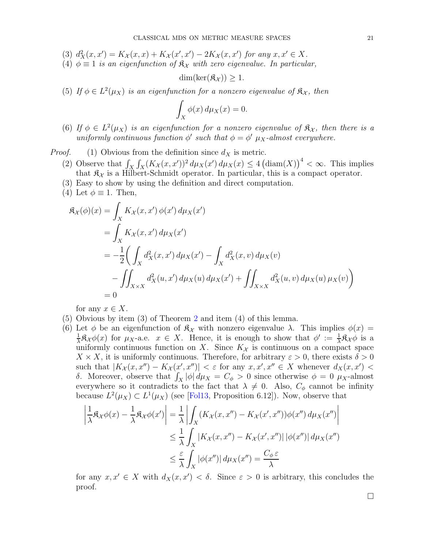- (3)  $d_X^2(x, x') = K_X(x, x) + K_X(x', x') 2K_X(x, x')$  for any  $x, x' \in X$ .
- (4)  $\phi \equiv 1$  is an eigenfunction of  $\mathfrak{K}_{\mathcal{X}}$  with zero eigenvalue. In particular,

$$
\dim(\ker(\mathfrak{K}_\mathcal{X}))\geq 1.
$$

(5) If  $\phi \in L^2(\mu_X)$  is an eigenfunction for a nonzero eigenvalue of  $\mathfrak{K}_{\mathcal{X}}$ , then

$$
\int_X \phi(x) \, d\mu_X(x) = 0.
$$

(6) If  $\phi \in L^2(\mu_X)$  is an eigenfunction for a nonzero eigenvalue of  $\mathfrak{K}_{\mathcal{X}}$ , then there is a uniformly continuous function  $\phi'$  such that  $\phi = \phi'$   $\mu_X$ -almost everywhere.

*Proof.* (1) Obvious from the definition since  $d_X$  is metric.

- (2) Observe that  $\int_X \int_X (K_{\mathcal{X}}(x, x'))^2 d\mu_X(x) d\mu_X(x) \leq 4 (\text{diam}(X))^4 < \infty$ . This implies that  $\mathfrak{K}_{\mathcal{X}}$  is a Hilbert-Schmidt operator. In particular, this is a compact operator.
- (3) Easy to show by using the definition and direct computation.
- (4) Let  $\phi \equiv 1$ . Then,

$$
\mathfrak{K}_{\mathcal{X}}(\phi)(x) = \int_{X} K_{\mathcal{X}}(x, x') \phi(x') d\mu_{X}(x')
$$
  
\n
$$
= \int_{X} K_{\mathcal{X}}(x, x') d\mu_{X}(x')
$$
  
\n
$$
= -\frac{1}{2} \Big( \int_{X} d_{X}^{2}(x, x') d\mu_{X}(x') - \int_{X} d_{X}^{2}(x, v) d\mu_{X}(v)
$$
  
\n
$$
- \int_{X \times X} d_{X}^{2}(u, x') d\mu_{X}(u) d\mu_{X}(x') + \int_{X \times X} d_{X}^{2}(u, v) d\mu_{X}(u) \mu_{X}(v) \Big)
$$
  
\n
$$
= 0
$$

for any  $x \in X$ .

- (5) Obvious by item (3) of Theorem [2](#page-5-2) and item (4) of this lemma.
- (6) Let  $\phi$  be an eigenfunction of  $\mathfrak{K}_{\mathcal{X}}$  with nonzero eigenvalue  $\lambda$ . This implies  $\phi(x)$  = 1  $\frac{1}{\lambda} \mathfrak{K}_{\mathcal{X}} \phi(x)$  for  $\mu_X$ -a.e.  $x \in X$ . Hence, it is enough to show that  $\phi' := \frac{1}{\lambda} \mathfrak{K}_{\mathcal{X}} \phi$  is a uniformly continuous function on X. Since  $K_{\mathcal{X}}$  is continuous on a compact space  $X \times X$ , it is uniformly continuous. Therefore, for arbitrary  $\varepsilon > 0$ , there exists  $\delta > 0$ such that  $|K_{\mathcal{X}}(x, x'') - K_{\mathcal{X}}(x', x'')| < \varepsilon$  for any  $x, x', x'' \in X$  whenever  $d_X(x, x') <$ δ. Moreover, observe that  $\int_X |\phi| d\mu_X = C_\phi > 0$  since otherwise  $\phi = 0$  μx-almost everywhere so it contradicts to the fact that  $\lambda \neq 0$ . Also,  $C_{\phi}$  cannot be infinity because  $L^2(\mu_X) \subset L^1(\mu_X)$  (see [\[Fol13,](#page-60-18) Proposition 6.12]). Now, observe that

$$
\left| \frac{1}{\lambda} \mathfrak{K}_{\mathcal{X}} \phi(x) - \frac{1}{\lambda} \mathfrak{K}_{\mathcal{X}} \phi(x') \right| = \frac{1}{\lambda} \left| \int_{X} (K_{\mathcal{X}}(x, x'') - K_{\mathcal{X}}(x', x'')) \phi(x'') d\mu_X(x'') \right|
$$
  

$$
\leq \frac{1}{\lambda} \int_{X} |K_{\mathcal{X}}(x, x'') - K_{\mathcal{X}}(x', x'')| |\phi(x'')| d\mu_X(x'')
$$
  

$$
\leq \frac{\varepsilon}{\lambda} \int_{X} |\phi(x'')| d\mu_X(x'') = \frac{C_{\phi} \varepsilon}{\lambda}
$$

for any  $x, x' \in X$  with  $d_X(x, x') < \delta$ . Since  $\varepsilon > 0$  is arbitrary, this concludes the proof.

 $\Box$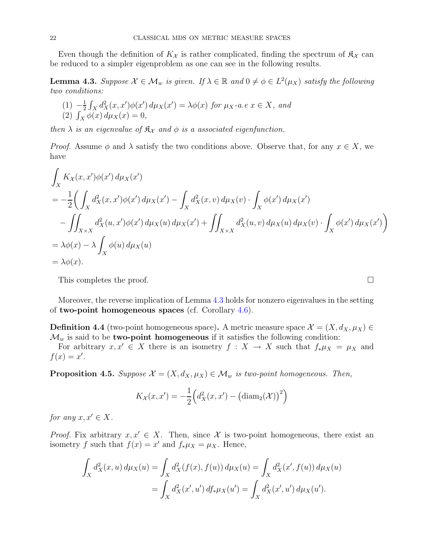Even though the definition of  $K_{\mathcal{X}}$  is rather complicated, finding the spectrum of  $\mathfrak{K}_{\mathcal{X}}$  can be reduced to a simpler eigenproblem as one can see in the following results.

<span id="page-21-0"></span>**Lemma 4.3.** Suppose  $\mathcal{X} \in \mathcal{M}_w$  is given. If  $\lambda \in \mathbb{R}$  and  $0 \neq \phi \in L^2(\mu_X)$  satisfy the following two conditions:

(1) 
$$
-\frac{1}{2} \int_X d_X^2(x, x') \phi(x') d\mu_X(x') = \lambda \phi(x)
$$
 for  $\mu_X$ -a.e  $x \in X$ , and  
(2)  $\int_X \phi(x) d\mu_X(x) = 0$ ,

then  $\lambda$  is an eigenvalue of  $\mathfrak{K}_{\mathcal{X}}$  and  $\phi$  is a associated eigenfunction.

*Proof.* Assume  $\phi$  and  $\lambda$  satisfy the two conditions above. Observe that, for any  $x \in X$ , we have

$$
\int_{X} K_{X}(x, x')\phi(x') d\mu_{X}(x')
$$
\n
$$
= -\frac{1}{2} \Biggl( \int_{X} d_{X}^{2}(x, x')\phi(x') d\mu_{X}(x') - \int_{X} d_{X}^{2}(x, v) d\mu_{X}(v) \cdot \int_{X} \phi(x') d\mu_{X}(x') - \int_{X \times X} d_{X}^{2}(u, x')\phi(x') d\mu_{X}(u) d\mu_{X}(x') + \int_{X \times X} d_{X}^{2}(u, v) d\mu_{X}(u) d\mu_{X}(v) \cdot \int_{X} \phi(x') d\mu_{X}(x') \Biggr)
$$
\n
$$
= \lambda \phi(x) - \lambda \int_{X} \phi(u) d\mu_{X}(u)
$$
\n
$$
= \lambda \phi(x).
$$

This completes the proof.

Moreover, the reverse implication of Lemma [4.3](#page-21-0) holds for nonzero eigenvalues in the setting of two-point homogeneous spaces (cf. Corollary [4.6\)](#page-22-0).

**Definition 4.4** (two-point homogeneous space). A metric measure space  $\mathcal{X} = (X, d_X, \mu_X) \in$  $\mathcal{M}_w$  is said to be **two-point homogeneous** if it satisfies the following condition:

For arbitrary  $x, x' \in X$  there is an isometry  $f : X \to X$  such that  $f_* \mu_X = \mu_X$  and  $f(x)=x'.$ 

<span id="page-21-1"></span>**Proposition 4.5.** Suppose  $\mathcal{X} = (X, d_X, \mu_X) \in \mathcal{M}_w$  is two-point homogeneous. Then,

$$
K_{\mathcal{X}}(x, x') = -\frac{1}{2} \Big( d_X^2(x, x') - \big( \text{diam}_2(\mathcal{X}) \big)^2 \Big)
$$

for any  $x, x' \in X$ .

*Proof.* Fix arbitrary  $x, x' \in X$ . Then, since X is two-point homogeneous, there exist an isometry f such that  $f(x) = x'$  and  $f_* \mu_X = \mu_X$ . Hence,

$$
\int_X d_X^2(x, u) d\mu_X(u) = \int_X d_X^2(f(x), f(u)) d\mu_X(u) = \int_X d_X^2(x', f(u)) d\mu_X(u)
$$
  
= 
$$
\int_X d_X^2(x', u') d f_* \mu_X(u') = \int_X d_X^2(x', u') d\mu_X(u').
$$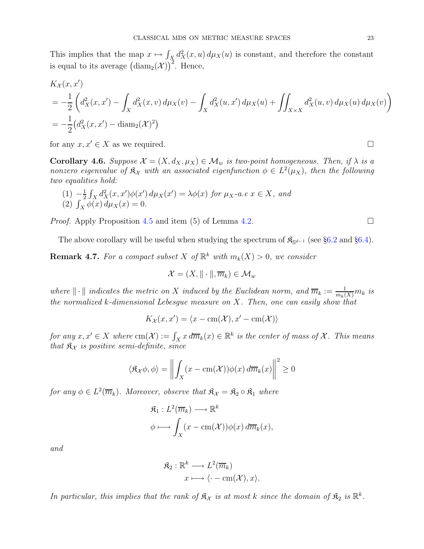This implies that the map  $x \mapsto \int_X d_X^2(x, u) d\mu_X(u)$  is constant, and therefore the constant is equal to its average  $(\text{diam}_2(\mathcal{X}))^2$ . Hence,

$$
K_X(x, x')
$$
  
=  $-\frac{1}{2} \left( d_X^2(x, x') - \int_X d_X^2(x, v) d\mu_X(v) - \int_X d_X^2(u, x') d\mu_X(u) + \iint_{X \times X} d_X^2(u, v) d\mu_X(u) d\mu_X(v) \right)$   
=  $-\frac{1}{2} (d_X^2(x, x') - \text{diam}_2(\mathcal{X})^2)$ 

for any  $x, x' \in X$  as we required.

<span id="page-22-0"></span>**Corollary 4.6.** Suppose  $\mathcal{X} = (X, d_X, \mu_X) \in \mathcal{M}_w$  is two-point homogeneous. Then, if  $\lambda$  is a nonzero eigenvalue of  $\mathfrak{K}_\mathcal{X}$  with an associated eigenfunction  $\phi \in L^2(\mu_X)$ , then the following two equalities hold:

(1) 
$$
-\frac{1}{2} \int_X d_X^2(x, x') \phi(x') d\mu_X(x') = \lambda \phi(x)
$$
 for  $\mu_X$ -a.e  $x \in X$ , and  
(2)  $\int_X \phi(x) d\mu_X(x) = 0$ .

*Proof.* Apply Proposition [4.5](#page-21-1) and item (5) of Lemma [4.2.](#page-19-1)

The above corollary will be useful when studying the spectrum of  $\mathfrak{K}_{S^{d-1}}$  (see §[6.2](#page-37-0) and §[6.4\)](#page-40-1).

<span id="page-22-1"></span>**Remark 4.7.** For a compact subset X of  $\mathbb{R}^k$  with  $m_k(X) > 0$ , we consider

$$
\mathcal{X} = (X, \|\cdot\|, \overline{m}_k) \in \mathcal{M}_w
$$

where  $\|\cdot\|$  indicates the metric on X induced by the Euclidean norm, and  $\overline{m}_k := \frac{1}{m_k(X)} m_k$  is the normalized k-dimensional Lebesgue measure on  $X$ . Then, one can easily show that

$$
K_{\mathcal{X}}(x, x') = \langle x - \text{cm}(\mathcal{X}), x' - \text{cm}(\mathcal{X}) \rangle
$$

for any  $x, x' \in X$  where  $cm(\mathcal{X}) := \int_X x \, d\overline{m}_k(x) \in \mathbb{R}^k$  is the center of mass of  $\mathcal{X}$ . This means that  $\mathfrak{K}_{\mathcal{X}}$  is positive semi-definite, since

$$
\langle \mathfrak{K}_{\mathcal{X}} \phi, \phi \rangle = \left\| \int_{X} (x - \mathrm{cm}(\mathcal{X})) \phi(x) d\overline{m}_k(x) \right\|^2 \ge 0
$$

for any  $\phi \in L^2(\overline{m}_k)$ . Moreover, observe that  $\mathfrak{K}_{\mathcal{X}} = \mathfrak{K}_2 \circ \mathfrak{K}_1$  where

$$
\mathfrak{K}_1: L^2(\overline{m}_k) \longrightarrow \mathbb{R}^k
$$
  

$$
\phi \longmapsto \int_X (x - \text{cm}(\mathcal{X})) \phi(x) d\overline{m}_k(x),
$$

and

$$
\mathfrak{K}_2 : \mathbb{R}^k \longrightarrow L^2(\overline{m}_k)
$$

$$
x \longmapsto \langle \cdot - \text{cm}(\mathcal{X}), x \rangle.
$$

In particular, this implies that the rank of  $\mathfrak{K}_{\mathcal{X}}$  is at most k since the domain of  $\mathfrak{K}_2$  is  $\mathbb{R}^k$ .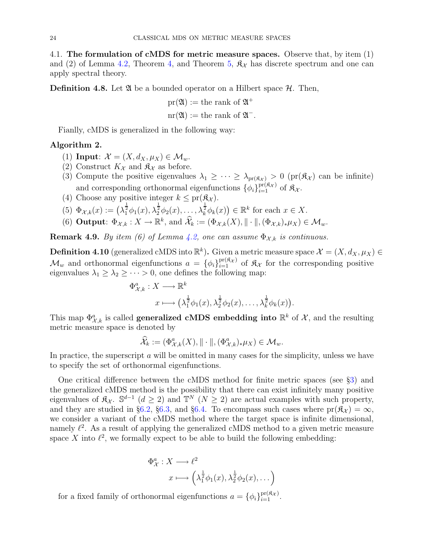<span id="page-23-0"></span>4.1. The formulation of cMDS for metric measure spaces. Observe that, by item (1) and (2) of Lemma [4.2,](#page-19-1) Theorem [4,](#page-6-0) and Theorem [5,](#page-6-1)  $\mathfrak{K}_{\mathcal{X}}$  has discrete spectrum and one can apply spectral theory.

**Definition 4.8.** Let  $\mathfrak{A}$  be a bounded operator on a Hilbert space  $\mathcal{H}$ . Then,

$$
pr(\mathfrak{A}) := the rank of \mathfrak{A}^+ nr(\mathfrak{A}) := the rank of \mathfrak{A}^-.
$$

Fianlly, cMDS is generalized in the following way:

# Algorithm 2.

- (1) Input:  $\mathcal{X} = (X, d_X, \mu_X) \in \mathcal{M}_w$ .
- (2) Construct  $K_{\mathcal{X}}$  and  $\mathfrak{K}_{\mathcal{X}}$  as before.
- (3) Compute the positive eigenvalues  $\lambda_1 \geq \cdots \geq \lambda_{pr(\mathfrak{K}_{\mathcal{X}})} > 0$  (pr $(\mathfrak{K}_{\mathcal{X}})$  can be infinite) and corresponding orthonormal eigenfunctions  $\{\phi_i\}_{i=1}^{\text{pr}(\mathfrak{K}_\mathcal{X})}$  of  $\mathfrak{K}_\mathcal{X}$ .
- (4) Choose any positive integer  $k \leq pr(\mathfrak{K}_{\mathcal{X}})$ .
- (5)  $\Phi_{\mathcal{X},k}(x) := \left(\lambda_1^{\frac{1}{2}} \phi_1(x), \lambda_2^{\frac{1}{2}} \phi_2(x), \ldots, \lambda_k^{\frac{1}{2}} \phi_k(x)\right) \in \mathbb{R}^k$  for each  $x \in X$ .
- (6) **Output**:  $\Phi_{\mathcal{X},k}: X \to \mathbb{R}^k$ , and  $\widehat{\mathcal{X}}_k := (\Phi_{\mathcal{X},k}(X), || \cdot ||, (\Phi_{\mathcal{X},k})_* \mu_X) \in \mathcal{M}_w$ .

**Remark 4.9.** By item (6) of Lemma [4.2,](#page-19-1) one can assume  $\Phi_{\mathcal{X},k}$  is continuous.

**Definition 4.10** (generalized cMDS into  $\mathbb{R}^k$ ). Given a metric measure space  $\mathcal{X} = (X, d_X, \mu_X) \in$  $\mathcal{M}_w$  and orthonormal eigenfunctions  $a = {\phi_i}_{i=1}^{\text{pr}(\mathfrak{K}_\mathcal{X})}$  of  $\mathfrak{K}_\mathcal{X}$  for the corresponding positive eigenvalues  $\lambda_1 \geq \lambda_2 \geq \cdots > 0$ , one defines the following map:

$$
\Phi_{\mathcal{X},k}^a: X \longrightarrow \mathbb{R}^k
$$

$$
x \longmapsto \left(\lambda_1^{\frac{1}{2}} \phi_1(x), \lambda_2^{\frac{1}{2}} \phi_2(x), \dots, \lambda_k^{\frac{1}{2}} \phi_k(x)\right).
$$

This map  $\Phi_{\mathcal{X},k}^a$  is called **generalized cMDS** embedding into  $\mathbb{R}^k$  of  $\mathcal{X}$ , and the resulting metric measure space is denoted by

$$
\widehat{\mathcal{X}}_k := (\Phi^a_{\mathcal{X},k}(X), \|\cdot\|, (\Phi^a_{\mathcal{X},k})_* \mu_X) \in \mathcal{M}_w.
$$

In practice, the superscript  $\alpha$  will be omitted in many cases for the simplicity, unless we have to specify the set of orthonormal eigenfunctions.

One critical difference between the cMDS method for finite metric spaces (see §[3\)](#page-12-0) and the generalized cMDS method is the possibility that there can exist infinitely many positive eigenvalues of  $\mathfrak{K}_{\mathcal{X}}$ .  $\mathbb{S}^{d-1}$  ( $d \geq 2$ ) and  $\mathbb{T}^N$  ( $N \geq 2$ ) are actual examples with such property, and they are studied in §[6.2,](#page-37-0) §[6.3,](#page-40-0) and §[6.4.](#page-40-1) To encompass such cases where  $pr(\mathfrak{K}_{\chi}) = \infty$ , we consider a variant of the cMDS method where the target space is infinite dimensional, namely  $\ell^2$ . As a result of applying the generalized cMDS method to a given metric measure space X into  $\ell^2$ , we formally expect to be able to build the following embedding:

$$
\Phi_{\mathcal{X}}^{a}: X \longrightarrow \ell^{2}
$$

$$
x \longmapsto \left(\lambda_{1}^{\frac{1}{2}}\phi_{1}(x), \lambda_{2}^{\frac{1}{2}}\phi_{2}(x), \dots\right)
$$

for a fixed family of orthonormal eigenfunctions  $a = {\phi_i}_{i=1}^{pr(\mathfrak{K}_{\mathcal{X}})}$ .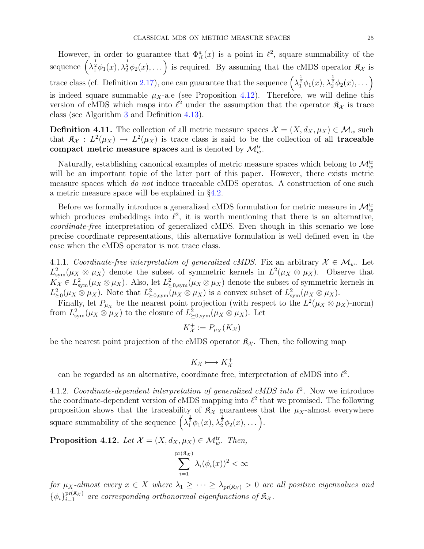However, in order to guarantee that  $\Phi_{\mathcal{X}}^a(x)$  is a point in  $\ell^2$ , square summability of the sequence  $\left(\lambda_1^{\frac{1}{2}}\phi_1(x),\lambda_2^{\frac{1}{2}}\phi_2(x),\ldots\right)$  is required. By assuming that the cMDS operator  $\mathfrak{K}_\mathcal{X}$  is trace class (cf. Definition [2.17\)](#page-7-0), one can guarantee that the sequence  $\left(\lambda_1^{\frac{1}{2}}\phi_1(x),\lambda_2^{\frac{1}{2}}\phi_2(x),\dots\right)$ is indeed square summable  $\mu_X$ -a.e (see Proposition [4.12\)](#page-24-0). Therefore, we will define this version of cMDS which maps into  $\ell^2$  under the assumption that the operator  $\mathfrak{K}_{\chi}$  is trace class (see Algorithm [3](#page-25-0) and Definition [4.13\)](#page-25-1).

**Definition 4.11.** The collection of all metric measure spaces  $\mathcal{X} = (X, d_X, \mu_X) \in \mathcal{M}_w$  such that  $\mathfrak{K}_{\mathcal{X}}: L^2(\mu_X) \to L^2(\mu_X)$  is trace class is said to be the collection of all **traceable** compact metric measure spaces and is denoted by  $\mathcal{M}_w^{tr}$ .

Naturally, establishing canonical examples of metric measure spaces which belong to  $\mathcal{M}_w^{\text{tr}}$ will be an important topic of the later part of this paper. However, there exists metric measure spaces which do not induce traceable cMDS operatos. A construction of one such a metric measure space will be explained in §[4.2.](#page-27-0)

Before we formally introduce a generalized cMDS formulation for metric measure in  $\mathcal{M}_w^{\text{tr}}$ which produces embeddings into  $\ell^2$ , it is worth mentioning that there is an alternative, coordinate-free interpretation of generalized cMDS. Even though in this scenario we lose precise coordinate representations, this alternative formulation is well defined even in the case when the cMDS operator is not trace class.

4.1.1. Coordinate-free interpretation of generalized cMDS. Fix an arbitrary  $X \in \mathcal{M}_w$ . Let  $L^2_{sym}(\mu_X \otimes \mu_X)$  denote the subset of symmetric kernels in  $L^2(\mu_X \otimes \mu_X)$ . Observe that  $K_X \in L^2_{sym}(\mu_X \otimes \mu_X)$ . Also, let  $L^2_{\geq 0, sym}(\mu_X \otimes \mu_X)$  denote the subset of symmetric kernels in  $L_{\geq 0}^2(\mu_X \otimes \mu_X)$ . Note that  $L_{\geq 0, sym}^2(\mu_X \otimes \mu_X)$  is a convex subset of  $L_{sym}^2(\mu_X \otimes \mu_X)$ .

Finally, let  $P_{\mu_X}$  be the nearest point projection (with respect to the  $L^2(\mu_X \otimes \mu_X)$ -norm) from  $L^2_{\text{sym}}(\mu_X \otimes \mu_X)$  to the closure of  $L^2_{\geq 0,\text{sym}}(\mu_X \otimes \mu_X)$ . Let

$$
K_{\mathcal{X}}^+ := P_{\mu_X}(K_{\mathcal{X}})
$$

be the nearest point projection of the cMDS operator  $\mathfrak{K}_{\mathcal{X}}$ . Then, the following map

$$
K_{\mathcal{X}} \longmapsto K_{\mathcal{X}}^{+}
$$

can be regarded as an alternative, coordinate free, interpretation of cMDS into  $l^2$ .

4.1.2. Coordinate-dependent interpretation of generalized cMDS into  $\ell^2$ . Now we introduce the coordinate-dependent version of cMDS mapping into  $\ell^2$  that we promised. The following proposition shows that the traceability of  $\mathfrak{K}_{\mathcal{X}}$  guarantees that the  $\mu_X$ -almost everywhere square summability of the sequence  $\left(\lambda_1^{\frac{1}{2}}\phi_1(x),\lambda_2^{\frac{1}{2}}\phi_2(x),\dots\right)$ .

<span id="page-24-0"></span>**Proposition 4.12.** Let  $\mathcal{X} = (X, d_X, \mu_X) \in \mathcal{M}_w^{\text{tr}}$ . Then,

$$
\sum_{i=1}^{\text{pr}(\mathfrak{K}_{\mathcal{X}})} \lambda_i(\phi_i(x))^2 < \infty
$$

for  $\mu_X$ -almost every  $x \in X$  where  $\lambda_1 \geq \cdots \geq \lambda_{pr(\mathfrak{K}_\mathcal{X})} > 0$  are all positive eigenvalues and  $\{\phi_i\}_{i=1}^{\text{pr}(\mathfrak{K}_\mathcal{X})}$  are corresponding orthonormal eigenfunctions of  $\mathfrak{K}_\mathcal{X}$ .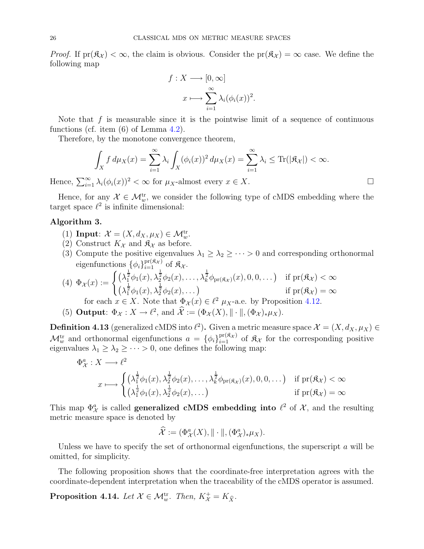*Proof.* If  $pr(\hat{\mathfrak{K}}_{\mathcal{X}}) < \infty$ , the claim is obvious. Consider the  $pr(\hat{\mathfrak{K}}_{\mathcal{X}}) = \infty$  case. We define the following map

$$
f: X \longrightarrow [0, \infty]
$$

$$
x \longmapsto \sum_{i=1}^{\infty} \lambda_i (\phi_i(x))^2.
$$

Note that  $f$  is measurable since it is the pointwise limit of a sequence of continuous functions (cf. item (6) of Lemma [4.2\)](#page-19-1).

Therefore, by the monotone convergence theorem,

$$
\int_X f d\mu_X(x) = \sum_{i=1}^{\infty} \lambda_i \int_X (\phi_i(x))^2 d\mu_X(x) = \sum_{i=1}^{\infty} \lambda_i \le \text{Tr}(|\mathfrak{K}_X|) < \infty.
$$

Hence,  $\sum_{i=1}^{\infty} \lambda_i(\phi_i(x))^2 < \infty$  for  $\mu_X$ -almost every  $x \in X$ .

Hence, for any  $\mathcal{X} \in \mathcal{M}_w^{\text{tr}}$ , we consider the following type of cMDS embedding where the target space  $\ell^2$  is infinite dimensional:

## <span id="page-25-0"></span>Algorithm 3.

- (1) Input:  $\mathcal{X} = (X, d_X, \mu_X) \in \mathcal{M}_w^{\text{tr}}$ .
- (2) Construct  $K_{\mathcal{X}}$  and  $\mathfrak{K}_{\mathcal{X}}$  as before.
- (3) Compute the positive eigenvalues  $\lambda_1 \geq \lambda_2 \geq \cdots > 0$  and corresponding orthonormal eigenfunctions  $\{\phi_i\}_{i=1}^{\text{pr}(\mathfrak{K}_\mathcal{X})}$  of  $\mathfrak{K}_\mathcal{X}$ .

(4) 
$$
\Phi_{\mathcal{X}}(x) := \begin{cases} \left(\lambda_1^{\frac{1}{2}}\phi_1(x), \lambda_2^{\frac{1}{2}}\phi_2(x), \dots, \lambda_k^{\frac{1}{2}}\phi_{\text{pr}(\mathfrak{K}_{\mathcal{X}})}(x), 0, 0, \dots\right) & \text{if } \text{pr}(\mathfrak{K}_{\mathcal{X}}) < \infty \\ \left(\lambda_1^{\frac{1}{2}}\phi_1(x), \lambda_2^{\frac{1}{2}}\phi_2(x), \dots\right) & \text{if } \text{pr}(\mathfrak{K}_{\mathcal{X}}) = \infty \end{cases}
$$
for each  $x \in X$ . Note that  $\Phi_{\mathcal{X}}(x) \in \ell^2$   $\mu_X$ -a.e. by Proposition 4.12.

(5) **Output**:  $\Phi_{\mathcal{X}} : X \to \ell^2$ , and  $\widehat{\mathcal{X}} := (\Phi_{\mathcal{X}}(X), || \cdot ||, (\Phi_{\mathcal{X}})_* \mu_X)$ .

<span id="page-25-1"></span>**Definition 4.13** (generalized cMDS into  $\ell^2$ ). Given a metric measure space  $\mathcal{X} = (X, d_X, \mu_X) \in$  $\mathcal{M}_w^{\text{tr}}$  and orthonormal eigenfunctions  $a = {\phi_i}_{i=1}^{\text{pr}(\mathfrak{K}_\mathcal{X})}$  of  $\mathfrak{K}_\mathcal{X}$  for the corresponding positive eigenvalues  $\lambda_1 \geq \lambda_2 \geq \cdots > 0$ , one defines the following map:

$$
\Phi_{\mathcal{X}}^{a}: X \longrightarrow \ell^{2}
$$
\n
$$
x \longmapsto \begin{cases}\n(\lambda_{1}^{\frac{1}{2}}\phi_{1}(x), \lambda_{2}^{\frac{1}{2}}\phi_{2}(x), \dots, \lambda_{k}^{\frac{1}{2}}\phi_{\mathrm{pr}(\mathfrak{K}_{\mathcal{X}})}(x), 0, 0, \dots) & \text{if } \mathrm{pr}(\mathfrak{K}_{\mathcal{X}}) < \infty \\
(\lambda_{1}^{\frac{1}{2}}\phi_{1}(x), \lambda_{2}^{\frac{1}{2}}\phi_{2}(x), \dots) & \text{if } \mathrm{pr}(\mathfrak{K}_{\mathcal{X}}) = \infty\n\end{cases}
$$

This map  $\Phi^a_{\mathcal{X}}$  is called **generalized cMDS** embedding into  $\ell^2$  of  $\mathcal{X}$ , and the resulting metric measure space is denoted by

$$
\widehat{\mathcal{X}} := (\Phi^a_{\mathcal{X}}(X), \|\cdot\|, (\Phi^a_{\mathcal{X}})_*\mu_X).
$$

Unless we have to specify the set of orthonormal eigenfunctions, the superscript  $a$  will be omitted, for simplicity.

The following proposition shows that the coordinate-free interpretation agrees with the coordinate-dependent interpretation when the traceability of the cMDS operator is assumed.

**Proposition 4.14.** Let  $\mathcal{X} \in \mathcal{M}_{w}^{tr}$ . Then,  $K_{\mathcal{X}}^{+} = K_{\hat{X}}$ .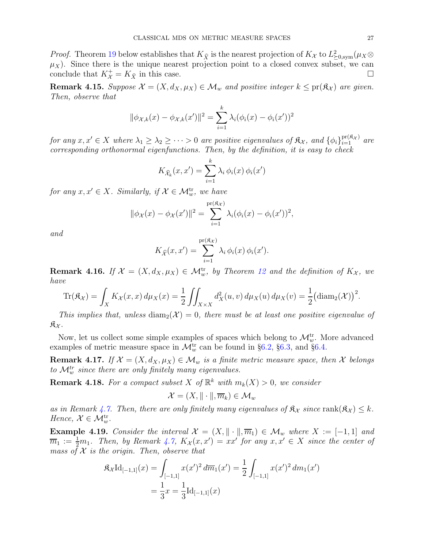*Proof.* Theorem [19](#page-30-1) below establishes that  $K_{\hat{X}}$  is the nearest projection of  $K_X$  to  $L^2_{\geq 0, \text{sym}}(\mu_X \otimes$  $\mu_X$ ). Since there is the unique nearest projection point to a closed convex subset, we can conclude that  $K_{\mathcal{X}}^+ = K_{\widehat{X}}$  in this case.

Remark 4.15. Suppose  $\mathcal{X} = (X, d_X, \mu_X) \in \mathcal{M}_w$  and positive integer  $k \leq \text{pr}(\mathfrak{K}_{\mathcal{X}})$  are given. Then, observe that

$$
\|\phi_{\mathcal{X},k}(x) - \phi_{\mathcal{X},k}(x')\|^2 = \sum_{i=1}^k \lambda_i (\phi_i(x) - \phi_i(x'))^2
$$

for any  $x, x' \in X$  where  $\lambda_1 \geq \lambda_2 \geq \cdots > 0$  are positive eigenvalues of  $\mathfrak{K}_{\mathcal{X}}$ , and  $\{\phi_i\}_{i=1}^{\text{pr}(\mathfrak{K}_{\mathcal{X}})}$  are corresponding orthonormal eigenfunctions. Then, by the definition, it is easy to check

$$
K_{\widehat{\mathcal{X}}_k}(x, x') = \sum_{i=1}^k \lambda_i \, \phi_i(x) \, \phi_i(x')
$$

for any  $x, x' \in X$ . Similarly, if  $\mathcal{X} \in \mathcal{M}_w^{\text{tr}}$ , we have

$$
\|\phi_{\mathcal{X}}(x) - \phi_{\mathcal{X}}(x')\|^2 = \sum_{i=1}^{\text{pr}(\mathfrak{K}_{\mathcal{X}})} \lambda_i(\phi_i(x) - \phi_i(x'))^2,
$$

and

$$
K_{\widehat{\mathcal{X}}}(x, x') = \sum_{i=1}^{\text{pr}(\widehat{\mathfrak{K}}_{\mathcal{X}})} \lambda_i \, \phi_i(x) \, \phi_i(x').
$$

**Remark 4.16.** If  $\mathcal{X} = (X, d_X, \mu_X) \in \mathcal{M}_w^{\text{tr}}$ , by Theorem [12](#page-9-1) and the definition of  $K_{\mathcal{X}}$ , we have

$$
\operatorname{Tr}(\mathfrak{K}_\mathcal{X}) = \int_X K_\mathcal{X}(x,x) d\mu_X(x) = \frac{1}{2} \iint_{X \times X} d_X^2(u,v) d\mu_X(u) d\mu_X(v) = \frac{1}{2} (\operatorname{diam}_2(\mathcal{X}))^2.
$$

This implies that, unless diam<sub>2</sub>( $\mathcal{X}$ ) = 0, there must be at least one positive eigenvalue of  $\mathfrak{K}_{\mathcal{X}}$ .

Now, let us collect some simple examples of spaces which belong to  $\mathcal{M}_{w}^{\text{tr}}$ . More advanced examples of metric measure space in  $\mathcal{M}_w^{\text{tr}}$  can be found in §[6.2,](#page-37-0) §[6.3,](#page-40-0) and §[6.4.](#page-40-1)

**Remark 4.17.** If  $\mathcal{X} = (X, d_X, \mu_X) \in \mathcal{M}_w$  is a finite metric measure space, then  $\mathcal{X}$  belongs to  $\mathcal{M}_w^{tr}$  since there are only finitely many eigenvalues.

**Remark 4.18.** For a compact subset X of  $\mathbb{R}^k$  with  $m_k(X) > 0$ , we consider

$$
\mathcal{X} = (X, \|\cdot\|, \overline{m}_k) \in \mathcal{M}_w
$$

as in Remark [4.7.](#page-22-1) Then, there are only finitely many eigenvalues of  $\mathfrak{K}_{\mathcal{X}}$  since  $\text{rank}(\mathfrak{K}_{\mathcal{X}}) \leq k$ . Hence,  $\mathcal{X} \in \mathcal{M}_w^{\text{tr}}$ .

**Example 4.19.** Consider the interval  $\mathcal{X} = (X, \|\cdot\|, \overline{m}_1) \in \mathcal{M}_w$  where  $X := [-1, 1]$  and  $\overline{m}_1 := \frac{1}{2}m_1$ . Then, by Remark [4.7,](#page-22-1)  $K_{\mathcal{X}}(x, x') = xx'$  for any  $x, x' \in X$  since the center of mass of  $X$  is the origin. Then, observe that

$$
\mathfrak{K}_{\mathcal{X}}\mathrm{Id}_{[-1,1]}(x) = \int_{[-1,1]} x(x')^2 d\overline{m}_1(x') = \frac{1}{2} \int_{[-1,1]} x(x')^2 dm_1(x')
$$

$$
= \frac{1}{3}x = \frac{1}{3} \mathrm{Id}_{[-1,1]}(x)
$$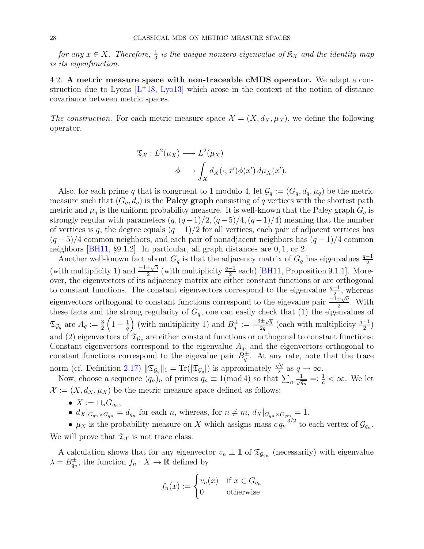for any  $x \in X$ . Therefore,  $\frac{1}{3}$  is the unique nonzero eigenvalue of  $\mathfrak{K}_\mathcal{X}$  and the identity map is its eigenfunction.

<span id="page-27-0"></span>4.2. A metric measure space with non-traceable cMDS operator. We adapt a construction due to Lyons  $[L^+18, Lyo13]$  $[L^+18, Lyo13]$  $[L^+18, Lyo13]$  $[L^+18, Lyo13]$  which arose in the context of the notion of distance covariance between metric spaces.

The construction. For each metric measure space  $\mathcal{X} = (X, d_X, \mu_X)$ , we define the following operator.

$$
\mathfrak{T}_X: L^2(\mu_X) \longrightarrow L^2(\mu_X)
$$

$$
\phi \longmapsto \int_X d_X(\cdot, x') \phi(x') d\mu_X(x').
$$

Also, for each prime q that is congruent to 1 modulo 4, let  $\mathcal{G}_q := (G_q, d_q, \mu_q)$  be the metric measure such that  $(G_q, d_q)$  is the **Paley graph** consisting of q vertices with the shortest path metric and  $\mu_q$  is the uniform probability measure. It is well-known that the Paley graph  $G_q$  is strongly regular with parameters  $(q,(q-1)/2,(q-5)/4,(q-1)/4)$  meaning that the number of vertices is q, the degree equals  $(q-1)/2$  for all vertices, each pair of adjacent vertices has  $(q-5)/4$  common neighbors, and each pair of nonadjacent neighbors has  $(q-1)/4$  common neighbors [\[BH11,](#page-59-10) §9.1.2]. In particular, all graph distances are 0, 1, or 2.

Another well-known fact about  $G_q$  is that the adjacency matrix of  $G_q$  has eigenvalues  $\frac{q-1}{2}$ (with multiplicity 1) and  $\frac{-1 \pm \sqrt{q}}{2}$  $\frac{\pm\sqrt{q}}{2}$  (with multiplicity  $\frac{q-1}{2}$  each) [\[BH11,](#page-59-10) Proposition 9.1.1]. Moreover, the eigenvectors of its adjacency matrix are either constant functions or are orthogonal to constant functions. The constant eigenvectors correspond to the eigenvalue  $\frac{q-1}{2}$ , whereas eigenvectors orthogonal to constant functions correspond to the eigevalue pair  $\frac{-\tilde{1} \pm \sqrt{q}}{2}$  $rac{\pm \sqrt{q}}{2}$ . With these facts and the strong regularity of  $G_q$ , one can easily check that (1) the eigenvalues of  $\mathfrak{T}_{\mathcal{G}_q}$  are  $A_q:=\frac{3}{2}$  $\left(1-\frac{1}{q}\right)$ q (with multiplicity 1) and  $B_q^{\pm} := \frac{-3 \pm \sqrt{q}}{2q}$  $\frac{d\pm\sqrt{q}}{2q}$  (each with multiplicity  $\frac{q-1}{2}$ ) and (2) eigenvectors of  $\mathfrak{T}_{\mathcal{G}_q}$  are either constant functions or orthogonal to constant functions: Constant eigenvectors correspond to the eigenvalue  $A<sub>q</sub>$ , and the eigenvectors orthogonal to constant functions correspond to the eigevalue pair  $B_q^{\pm}$ . At any rate, note that the trace norm (cf. Definition [2.17\)](#page-7-0)  $\|\mathfrak{T}_{\mathcal{G}_q}\|_1 = \text{Tr}(|\mathfrak{T}_{\mathcal{G}_q}|)$  is approximately  $\frac{\sqrt{q}}{2}$  $\frac{\sqrt{q}}{2}$  as  $q \to \infty$ .

Now, choose a sequence  $(q_n)_n$  of primes  $q_n \equiv 1 \pmod{4}$  so that  $\sum_n$  $\frac{1}{\sqrt{q_n}} =: \frac{1}{c} < \infty$ . We let  $\mathcal{X} := (X, d_X, \mu_X)$  be the metric measure space defined as follows:

- $X := \sqcup_n G_{q_n},$
- $d_X|_{G_{qn} \times G_{qn}} = d_{q_n}$  for each n, whereas, for  $n \neq m$ ,  $d_X|_{G_{qn} \times G_{qn}} = 1$ .

•  $\mu_X$  is the probability measure on X which assigns mass  $c q_n^{-3/2}$  to each vertex of  $\mathcal{G}_{q_n}$ . We will prove that  $\mathfrak{T}_{\mathcal{X}}$  is not trace class.

A calculation shows that for any eigenvector  $v_n \perp \mathbf{1}$  of  $\mathfrak{T}_{\mathcal{G}_{q_n}}$  (necessarily) with eigenvalue  $\lambda = B_{q_n}^{\pm}$ , the function  $f_n: X \to \mathbb{R}$  defined by

$$
f_n(x) := \begin{cases} v_n(x) & \text{if } x \in G_{q_n} \\ 0 & \text{otherwise} \end{cases}
$$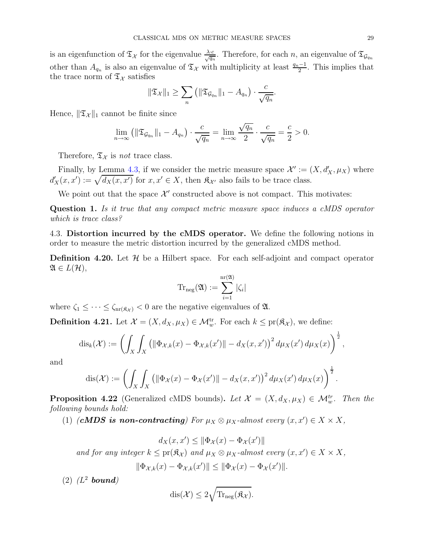is an eigenfunction of  $\mathfrak{T}_{\mathcal{X}}$  for the eigenvalue  $\frac{\lambda \cdot c}{\sqrt{q_n}}$ . Therefore, for each n, an eigenvalue of  $\mathfrak{T}_{\mathcal{G}_{q_n}}$ other than  $A_{q_n}$  is also an eigenvalue of  $\mathfrak{T}_{\mathcal{X}}$  with multiplicity at least  $\frac{q_n-1}{2}$ . This implies that the trace norm of  $\mathfrak{T}_{\mathcal{X}}$  satisfies

$$
\|\mathfrak{T}_{\mathcal{X}}\|_1 \geq \sum_n \left( \|\mathfrak{T}_{\mathcal{G}_{q_n}}\|_1 - A_{q_n} \right) \cdot \frac{c}{\sqrt{q_n}}.
$$

Hence,  $\|\mathfrak{T}_{\mathcal{X}}\|_1$  cannot be finite since

$$
\lim_{n \to \infty} \left( \|\mathfrak{T}_{\mathcal{G}_{q_n}}\|_1 - A_{q_n} \right) \cdot \frac{c}{\sqrt{q_n}} = \lim_{n \to \infty} \frac{\sqrt{q_n}}{2} \cdot \frac{c}{\sqrt{q_n}} = \frac{c}{2} > 0.
$$

Therefore,  $\mathfrak{T}_{\mathcal{X}}$  is not trace class.

Finally, by Lemma [4.3,](#page-21-0) if we consider the metric measure space  $\mathcal{X}' := (X, d'_X, \mu_X)$  where  $d'_{X}(x, x') := \sqrt{d_{X}(x, x')}$  for  $x, x' \in X$ , then  $\mathfrak{K}_{\mathcal{X}'}$  also fails to be trace class.

We point out that the space  $\mathcal{X}'$  constructed above is not compact. This motivates:

Question 1. Is it true that any compact metric measure space induces a cMDS operator which is trace class?

<span id="page-28-0"></span>4.3. Distortion incurred by the cMDS operator. We define the following notions in order to measure the metric distortion incurred by the generalized cMDS method.

**Definition 4.20.** Let  $\mathcal{H}$  be a Hilbert space. For each self-adjoint and compact operator  $\mathfrak{A} \in L(\mathcal{H}),$ 

$$
\mathrm{Tr}_{\mathrm{neg}}(\mathfrak{A}):=\sum_{i=1}^{\mathrm{nr}(\mathfrak{A})}|\zeta_i|
$$

where  $\zeta_1 \leq \cdots \leq \zeta_{nr(\mathfrak{K}_{\mathcal{X}})} < 0$  are the negative eigenvalues of  $\mathfrak{A}$ .

**Definition 4.21.** Let  $\mathcal{X} = (X, d_X, \mu_X) \in \mathcal{M}_w^{\text{tr}}$ . For each  $k \leq \text{pr}(\mathfrak{K}_\mathcal{X})$ , we define:

$$
\mathrm{dis}_{k}(\mathcal{X}) := \left( \int_{X} \int_{X} \left( \left\| \Phi_{\mathcal{X},k}(x) - \Phi_{\mathcal{X},k}(x') \right\| - d_{X}(x,x') \right)^2 d\mu_X(x') d\mu_X(x) \right)^{\frac{1}{2}},
$$

and

$$
\operatorname{dis}(\mathcal{X}) := \left( \int_X \int_X \left( \|\Phi_{\mathcal{X}}(x) - \Phi_{\mathcal{X}}(x')\| - d_X(x, x') \right)^2 d\mu_X(x') d\mu_X(x) \right)^{\frac{1}{2}}.
$$

<span id="page-28-1"></span>**Proposition 4.22** (Generalized cMDS bounds). Let  $\mathcal{X} = (X, d_X, \mu_X) \in \mathcal{M}_w^{tr}$ . Then the following bounds hold:

(1) (**cMDS** is non-contracting) For  $\mu_X \otimes \mu_X$ -almost every  $(x, x') \in X \times X$ ,

$$
d_X(x, x') \le ||\Phi_{\mathcal{X}}(x) - \Phi_{\mathcal{X}}(x')||
$$
  
and for any integer  $k \le \text{pr}(\mathfrak{K}_{\mathcal{X}})$  and  $\mu_X \otimes \mu_X$ -almost every  $(x, x') \in X \times X$ ,  
 $||\Phi_{\mathcal{X},k}(x) - \Phi_{\mathcal{X},k}(x')|| \le ||\Phi_{\mathcal{X}}(x) - \Phi_{\mathcal{X}}(x')||.$ 

 $(2)$   $(L^2$  bound)

$$
\mathrm{dis}(\mathcal{X}) \leq 2\sqrt{\mathrm{Tr}_{\mathrm{neg}}(\mathfrak{K}_{\mathcal{X}})}.
$$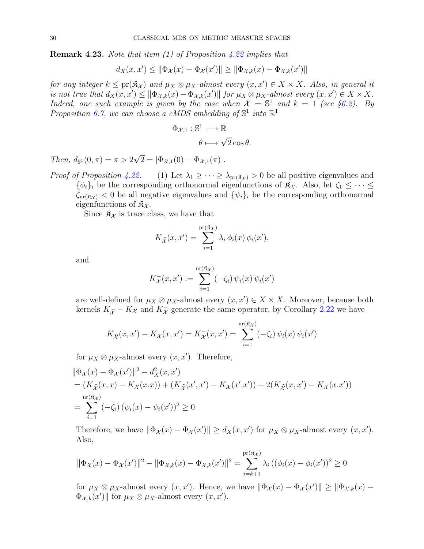**Remark 4.23.** Note that item (1) of Proposition  $\angle 22$  implies that

$$
d_X(x, x') \le ||\Phi_{\mathcal{X}}(x) - \Phi_{\mathcal{X}}(x')|| \ge ||\Phi_{\mathcal{X},k}(x) - \Phi_{\mathcal{X},k}(x')||
$$

for any integer  $k \leq pr(\mathfrak{K}_{\mathcal{X}})$  and  $\mu_X \otimes \mu_X$ -almost every  $(x, x') \in X \times X$ . Also, in general it is not true that  $d_X(x, x') \le ||\Phi_{\mathcal{X},k}(x) - \Phi_{\mathcal{X},k}(x')||$  for  $\mu_X \otimes \mu_X$ -almost every  $(x, x') \in X \times X$ . Indeed, one such example is given by the case when  $\mathcal{X} = \mathbb{S}^1$  and  $k = 1$  (see §[6.2\)](#page-37-0). By Proposition [6.7,](#page-38-0) we can choose a cMDS embedding of  $\mathbb{S}^1$  into  $\mathbb{R}^1$ 

$$
\Phi_{\mathcal{X},1} : \mathbb{S}^1 \longrightarrow \mathbb{R}
$$

$$
\theta \longmapsto \sqrt{2} \cos \theta.
$$

Then,  $d_{\mathbb{S}^1}(0, \pi) = \pi > 2\sqrt{2} = |\Phi_{\mathcal{X},1}(0) - \Phi_{\mathcal{X},1}(\pi)|.$ 

*Proof of Proposition [4.22.](#page-28-1)* (1) Let  $\lambda_1 \geq \cdots \geq \lambda_{pr(\mathfrak{K}_{\mathcal{X}})}>0$  be all positive eigenvalues and  $\{\phi_i\}_i$  be the corresponding orthonormal eigenfunctions of  $\mathfrak{K}_{\mathcal{X}}$ . Also, let  $\zeta_1 \leq \cdots \leq \zeta_n$  $\zeta_{\text{nr}(\mathfrak{K}_{\mathcal{X}})}$  < 0 be all negative eigenvalues and  $\{\psi_i\}_i$  be the corresponding orthonormal eigenfunctions of  $\mathfrak{K}_{\mathcal{X}}$ .

Since  $\mathfrak{K}_{\mathcal{X}}$  is trace class, we have that

$$
K_{\widehat{\mathcal{X}}}(x, x') = \sum_{i=1}^{\text{pr}(\mathfrak{K}_{\mathcal{X}})} \lambda_i \, \phi_i(x) \, \phi_i(x'),
$$

and

$$
K_{\mathcal{X}}^{-}(x, x') := \sum_{i=1}^{\mathrm{nr}(\mathfrak{K}_{\mathcal{X}})} (-\zeta_i) \psi_i(x) \psi_i(x')
$$

are well-defined for  $\mu_X \otimes \mu_X$ -almost every  $(x, x') \in X \times X$ . Moreover, because both kernels  $K_{\hat{\mathcal{X}}} - K_{\mathcal{X}}$  and  $K_{\mathcal{X}}^-$  generate the same operator, by Corollary [2.22](#page-8-0) we have

$$
K_{\widehat{\mathcal{X}}}(x, x') - K_{\mathcal{X}}(x, x') = K_{\mathcal{X}}^-(x, x') = \sum_{i=1}^{\text{nr}(\widehat{\mathfrak{X}}_i)} (-\zeta_i) \psi_i(x) \psi_i(x')
$$

for  $\mu_X \otimes \mu_X$ -almost every  $(x, x')$ . Therefore,

$$
\|\Phi_{\mathcal{X}}(x) - \Phi_{\mathcal{X}}(x')\|^2 - d_X^2(x, x')
$$
  
=  $(K_{\hat{\mathcal{X}}}(x, x) - K_{\mathcal{X}}(x, x)) + (K_{\hat{\mathcal{X}}}(x', x') - K_{\mathcal{X}}(x', x')) - 2(K_{\hat{\mathcal{X}}}(x, x') - K_{\mathcal{X}}(x, x'))$   
=  $\sum_{i=1}^{\text{nr}(\mathfrak{K}_{\mathcal{X}})} (-\zeta_i) (\psi_i(x) - \psi_i(x'))^2 \ge 0$ 

Therefore, we have  $\|\Phi_{\mathcal{X}}(x) - \Phi_{\mathcal{X}}(x')\| \ge d_X(x, x')$  for  $\mu_X \otimes \mu_X$ -almost every  $(x, x')$ . Also,

$$
\|\Phi_{\mathcal{X}}(x) - \Phi_{\mathcal{X}}(x')\|^2 - \|\Phi_{\mathcal{X},k}(x) - \Phi_{\mathcal{X},k}(x')\|^2 = \sum_{i=k+1}^{\text{pr}(\mathfrak{K}_{\mathcal{X}})} \lambda_i \left( (\phi_i(x) - \phi_i(x'))^2 \ge 0 \right)
$$

for  $\mu_X \otimes \mu_X$ -almost every  $(x, x')$ . Hence, we have  $\|\Phi_\mathcal{X}(x) - \Phi_\mathcal{X}(x')\| \ge \|\Phi_{\mathcal{X},k}(x) - \Phi_\mathcal{X}(x')\|$  $\Phi_{\mathcal{X},k}(x')$  for  $\mu_X \otimes \mu_X$ -almost every  $(x, x')$ .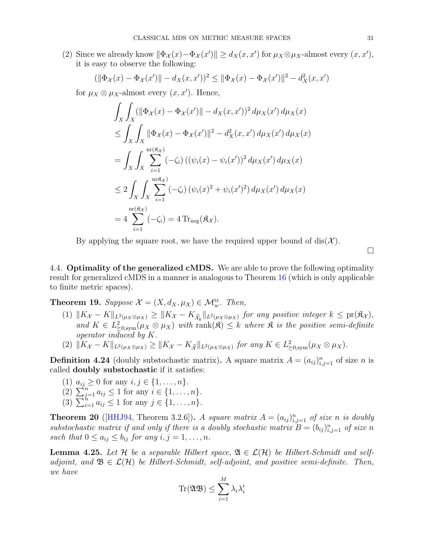(2) Since we already know  $\|\Phi_{\mathcal{X}}(x) - \Phi_{\mathcal{X}}(x')\| \ge d_X(x, x')$  for  $\mu_X \otimes \mu_X$ -almost every  $(x, x')$ , it is easy to observe the following:

$$
(\|\Phi_{\mathcal{X}}(x) - \Phi_{\mathcal{X}}(x')\| - d_{X}(x, x'))^{2} \le \|\Phi_{\mathcal{X}}(x) - \Phi_{\mathcal{X}}(x')\|^{2} - d_{X}^{2}(x, x')
$$

for  $\mu_X \otimes \mu_X$ -almost every  $(x, x')$ . Hence,

$$
\int_{X} \int_{X} (\|\Phi_{\mathcal{X}}(x) - \Phi_{\mathcal{X}}(x')\| - d_{X}(x, x'))^{2} d\mu_{X}(x') d\mu_{X}(x)
$$
\n
$$
\leq \int_{X} \int_{X} \|\Phi_{\mathcal{X}}(x) - \Phi_{\mathcal{X}}(x')\|^{2} - d_{X}^{2}(x, x') d\mu_{X}(x') d\mu_{X}(x)
$$
\n
$$
= \int_{X} \int_{X} \sum_{i=1}^{\text{nr}(\mathfrak{K}_{\mathcal{X}})} (-\zeta_{i}) \left( (\psi_{i}(x) - \psi_{i}(x'))^{2} d\mu_{X}(x') d\mu_{X}(x) \right)
$$
\n
$$
\leq 2 \int_{X} \int_{X} \sum_{i=1}^{\text{nr}(\mathfrak{K}_{\mathcal{X}})} (-\zeta_{i}) (\psi_{i}(x)^{2} + \psi_{i}(x')^{2}) d\mu_{X}(x') d\mu_{X}(x)
$$
\n
$$
= 4 \sum_{i=1}^{\text{nr}(\mathfrak{K}_{\mathcal{X}})} (-\zeta_{i}) = 4 \text{Tr}_{\text{neg}}(\mathfrak{K}_{\mathcal{X}}).
$$

By applying the square root, we have the required upper bound of dis( $\mathcal{X}$ ).

 $\Box$ 

<span id="page-30-0"></span>4.4. **Optimality of the generalized cMDS.** We are able to prove the following optimality result for generalized cMDS in a manner is analogous to Theorem [16](#page-15-0) (which is only applicable to finite metric spaces).

<span id="page-30-1"></span>**Theorem 19.** Suppose  $\mathcal{X} = (X, d_X, \mu_X) \in \mathcal{M}_w^{\text{tr}}$ . Then,

- (1)  $||K_{\mathcal{X}} K||_{L^2(\mu_X \otimes \mu_X)} \ge ||K_{\mathcal{X}} K_{\widehat{\mathcal{X}}_k}||_{L^2(\mu_X \otimes \mu_X)}$  for any positive integer  $k \le \text{pr}(\mathfrak{K}_{\mathcal{X}})$ , and  $K \in L^2_{\succeq 0, \text{sym}}(\mu_X \otimes \mu_X)$  with rank $(\mathfrak{K}) \leq k$  where  $\mathfrak{K}$  is the positive semi-definite operator induced by K.
- (2)  $||K_{\mathcal{X}} K||_{L^2(\mu_X \otimes \mu_X)} \ge ||K_{\mathcal{X}} K_{\widehat{\mathcal{X}}}||_{L^2(\mu_X \otimes \mu_X)}$  for any  $K \in L^2_{\geq 0, \text{sym}}(\mu_X \otimes \mu_X)$ .

**Definition 4.24** (doubly substochastic matrix). A square matrix  $A = (a_{ij})_{i,j=1}^n$  of size n is called doubly substochastic if it satisfies:

- (1)  $a_{ij} \ge 0$  for any  $i, j \in \{1, ..., n\}.$
- (2)  $\sum_{j=1}^{n} a_{ij} \le 1$  for any  $i \in \{1, ..., n\}.$
- (3)  $\sum_{i=1}^{n} a_{ij} \le 1$  for any  $j \in \{1, ..., n\}$ .

<span id="page-30-2"></span>**Theorem 20** ([\[HHJ94,](#page-60-21) Theorem 3.2.6]). A square matrix  $A = (a_{ij})_{i,j=1}^n$  of size n is doubly substochastic matrix if and only if there is a doubly stochastic matrix  $B = (b_{ij})_{i,j=1}^n$  of size n such that  $0 \leq a_{ij} \leq b_{ij}$  for any  $i, j = 1, \ldots, n$ .

<span id="page-30-3"></span>**Lemma 4.25.** Let H be a separable Hilbert space,  $\mathfrak{A} \in \mathcal{L}(\mathcal{H})$  be Hilbert-Schmidt and selfadjoint, and  $\mathfrak{B} \in \mathcal{L}(\mathcal{H})$  be Hilbert-Schmidt, self-adjoint, and positive semi-definite. Then, we have

$$
\mathrm{Tr}(\mathfrak{AB}) \leq \sum_{i=1}^M \lambda_i \lambda_i'
$$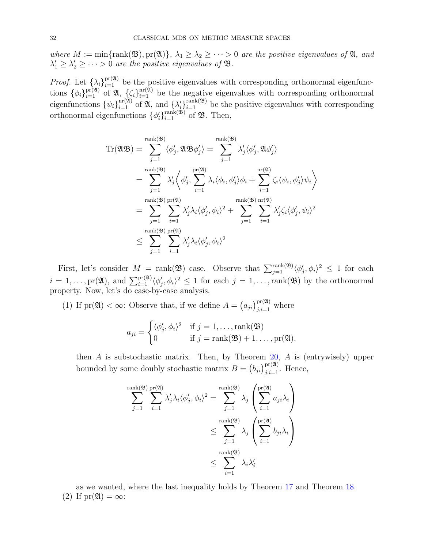where  $M := \min\{\text{rank}(\mathfrak{B}), \text{pr}(\mathfrak{A})\}, \lambda_1 \geq \lambda_2 \geq \cdots > 0$  are the positive eigenvalues of  $\mathfrak{A}$ , and  $\lambda'_1 \geq \lambda'_2 \geq \cdots > 0$  are the positive eigenvalues of **B**.

*Proof.* Let  $\{\lambda_i\}_{i=1}^{\text{pr}(\mathfrak{A})}$  be the positive eigenvalues with corresponding orthonormal eigenfunctions  $\{\phi_i\}_{i=1}^{\text{pr}(\mathfrak{A})}$  of  $\mathfrak{A}, \{\zeta_i\}_{i=1}^{\text{nr}(\mathfrak{A})}$  be the negative eigenvalues with corresponding orthonormal eigenfunctions  $\{\psi_i\}_{i=1}^{\text{nr}(\mathfrak{A})}$  of  $\mathfrak{A}$ , and  $\{\lambda'_i\}$  $\text{rank}(\mathfrak{B})$  be the positive eigenvalues with corresponding orthonormal eigenfunctions  $\{\phi'_i\}$  $\lim_{i=1}^{\text{rank}(\mathfrak{B})}$  of  $\mathfrak{B}$ . Then,

$$
\begin{split} \text{Tr}(\mathfrak{A}\mathfrak{B})&=\sum_{j=1}^{\text{rank}(\mathfrak{B})}\langle\phi'_j,\mathfrak{A}\mathfrak{B}\phi'_j\rangle=\sum_{j=1}^{\text{rank}(\mathfrak{B})}\lambda'_j\langle\phi'_j,\mathfrak{A}\phi'_j\rangle\\ &=\sum_{j=1}^{\text{rank}(\mathfrak{B})}\lambda'_j\bigg\langle\phi'_j,\sum_{i=1}^{\text{pr}(\mathfrak{A})}\lambda_i\langle\phi_i,\phi'_j\rangle\phi_i+\sum_{i=1}^{\text{nr}(\mathfrak{A})}\zeta_i\langle\psi_i,\phi'_j\rangle\psi_i\bigg\rangle\\ &=\sum_{j=1}^{\text{rank}(\mathfrak{B})}\sum_{i=1}^{\text{pr}(\mathfrak{A})}\lambda'_j\lambda_i\langle\phi'_j,\phi_i\rangle^2+\sum_{j=1}^{\text{rank}(\mathfrak{B})}\sum_{i=1}^{\text{nr}(\mathfrak{A})}\lambda'_j\zeta_i\langle\phi'_j,\psi_i\rangle^2\\ &\leq \sum_{j=1}^{\text{rank}(\mathfrak{B})}\sum_{i=1}^{\text{pr}(\mathfrak{A})}\lambda'_j\lambda_i\langle\phi'_j,\phi_i\rangle^2\end{split}
$$

First, let's consider  $M = \text{rank}(\mathfrak{B})$  case. Observe that  $\sum_{j=1}^{\text{rank}(\mathfrak{B})} \langle \phi'_j, \phi_i \rangle^2 \leq 1$  for each  $i = 1, \ldots, \text{pr}(\mathfrak{A}), \text{ and } \sum_{i=1}^{\text{pr}(\mathfrak{A})} \langle \phi'_j, \phi_i \rangle^2 \leq 1 \text{ for each } j = 1, \ldots, \text{rank}(\mathfrak{B})$  by the orthonormal property. Now, let's do case-by-case analysis.

(1) If  $pr(\mathfrak{A}) < \infty$ : Observe that, if we define  $A = (a_{ji})_{j,i=1}^{pr(\mathfrak{A})}$  where

$$
a_{ji} = \begin{cases} \langle \phi'_j, \phi_i \rangle^2 & \text{if } j = 1, \dots, \text{rank}(\mathfrak{B}) \\ 0 & \text{if } j = \text{rank}(\mathfrak{B}) + 1, \dots, \text{pr}(\mathfrak{A}), \end{cases}
$$

then A is substochastic matrix. Then, by Theorem  $20$ , A is (entrywisely) upper bounded by some doubly stochastic matrix  $B = (b_{ji})_{j,i=1}^{\text{pr}(\mathfrak{A})}$ . Hence,

$$
\sum_{j=1}^{\text{rank}(\mathfrak{B})} \sum_{i=1}^{\text{pr}(\mathfrak{A})} \lambda'_j \lambda_i \langle \phi'_j, \phi_i \rangle^2 = \sum_{j=1}^{\text{rank}(\mathfrak{B})} \lambda_j \left( \sum_{i=1}^{\text{pr}(\mathfrak{A})} a_{ji} \lambda_i \right)
$$
  

$$
\leq \sum_{j=1}^{\text{rank}(\mathfrak{B})} \lambda_j \left( \sum_{i=1}^{\text{pr}(\mathfrak{A})} b_{ji} \lambda_i \right)
$$
  

$$
\leq \sum_{i=1}^{\text{rank}(\mathfrak{B})} \lambda_i \lambda'_i
$$

as we wanted, where the last inequality holds by Theorem [17](#page-16-1) and Theorem [18.](#page-16-0) (2) If  $pr(\mathfrak{A}) = \infty$ :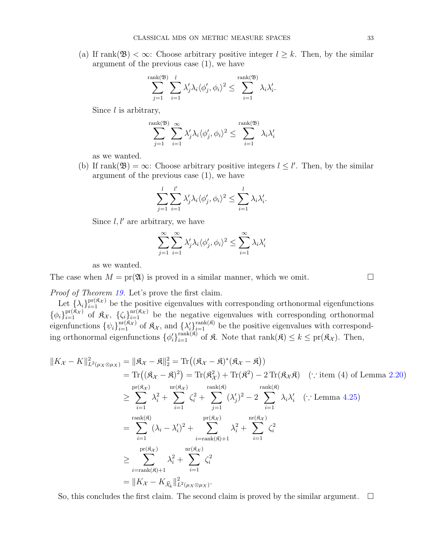(a) If rank( $\mathfrak{B}$ ) <  $\infty$ : Choose arbitrary positive integer  $l \geq k$ . Then, by the similar argument of the previous case (1), we have

$$
\sum_{j=1}^{\text{rank}(\mathfrak{B})} \sum_{i=1}^{l} \lambda'_j \lambda_i \langle \phi'_j, \phi_i \rangle^2 \leq \sum_{i=1}^{\text{rank}(\mathfrak{B})} \lambda_i \lambda'_i.
$$

Since  $l$  is arbitrary,

$$
\sum_{j=1}^{\text{rank}(\mathfrak{B})} \sum_{i=1}^{\infty} \lambda'_j \lambda_i \langle \phi'_j, \phi_i \rangle^2 \le \sum_{i=1}^{\text{rank}(\mathfrak{B})} \lambda_i \lambda'_i
$$

as we wanted.

(b) If rank $(\mathfrak{B}) = \infty$ : Choose arbitrary positive integers  $l \leq l'$ . Then, by the similar argument of the previous case (1), we have

$$
\sum_{j=1}^l \sum_{i=1}^{l'} \lambda'_j \lambda_i \langle \phi'_j, \phi_i \rangle^2 \le \sum_{i=1}^l \lambda_i \lambda'_i.
$$

Since  $l, l'$  are arbitrary, we have

$$
\sum_{j=1}^{\infty} \sum_{i=1}^{\infty} \lambda'_j \lambda_i \langle \phi'_j, \phi_i \rangle^2 \le \sum_{i=1}^{\infty} \lambda_i \lambda'_i
$$

as we wanted.

The case when  $M = \text{pr}(\mathfrak{A})$  is proved in a similar manner, which we omit.

Proof of Theorem [19.](#page-30-1) Let's prove the first claim.

Let  $\{\lambda_i\}_{i=1}^{\text{pr}(\mathfrak{K}_{\mathcal{X}})}$  be the positive eigenvalues with corresponding orthonormal eigenfunctions  $\{\phi_i\}_{i=1}^{\text{pr}(\hat{\mathfrak{K}}_{\mathcal{X}})}$  of  $\hat{\mathfrak{K}}_{\mathcal{X}}, \{\zeta_i\}_{i=1}^{\text{nr}(\hat{\mathfrak{K}}_{\mathcal{X}})}$  be the negative eigenvalues with corresponding orthonormal eigenfunctions  $\{\psi_i\}_{i=1}^{\text{nr}(\mathfrak{K}_\mathcal{X})}$  of  $\mathfrak{K}_\mathcal{X}$ , and  $\{\lambda'_i\}$  $\chi_{i=1}^{\text{rank}(\mathfrak{K})}$  be the positive eigenvalues with corresponding orthonormal eigenfunctions  $\{\phi'_i\}$  $\text{rank}(\widehat{\mathfrak{K}})$  of  $\widehat{\mathfrak{K}}$ . Note that  $\text{rank}(\widehat{\mathfrak{K}}) \leq k \leq \text{pr}(\widehat{\mathfrak{K}}_{\mathcal{X}})$ . Then,

$$
||K_{\mathcal{X}} - K||_{L^{2}(\mu_{X}\otimes\mu_{X})}^{2} = ||\mathfrak{K}_{\mathcal{X}} - \mathfrak{K}||_{2}^{2} = \text{Tr}\left((\mathfrak{K}_{\mathcal{X}} - \mathfrak{K})^{*}(\mathfrak{K}_{\mathcal{X}} - \mathfrak{K})\right)
$$
  
\n
$$
= \text{Tr}\left((\mathfrak{K}_{\mathcal{X}} - \mathfrak{K})^{2}\right) = \text{Tr}(\mathfrak{K}_{\mathcal{X}}^{2}) + \text{Tr}(\mathfrak{K}^{2}) - 2 \text{Tr}(\mathfrak{K}_{\mathcal{X}}\mathfrak{K}) \quad (\because \text{item (4) of Lemma 2.20})
$$
  
\n
$$
\geq \sum_{i=1}^{\text{pr}(\mathfrak{K}_{\mathcal{X}})} \lambda_{i}^{2} + \sum_{i=1}^{\text{nr}(\mathfrak{K}_{\mathcal{X}})} \zeta_{i}^{2} + \sum_{j=1}^{\text{rank}(\mathfrak{K})} (\lambda_{j}')^{2} - 2 \sum_{i=1}^{\text{rank}(\mathfrak{K})} \lambda_{i}\lambda_{i}' \quad (\because \text{Lemma 4.25})
$$
  
\n
$$
= \sum_{i=1}^{\text{rank}(\mathfrak{K})} (\lambda_{i} - \lambda_{i}')^{2} + \sum_{i=\text{rank}(\mathfrak{K})+1}^{\text{pr}(\mathfrak{K}_{\mathcal{X}})} \lambda_{i}^{2} + \sum_{i=1}^{\text{nr}(\mathfrak{K}_{\mathcal{X}})} \zeta_{i}^{2}
$$
  
\n
$$
\geq \sum_{i=\text{rank}(\mathfrak{K})+1}^{\text{pr}(\mathfrak{K}_{\mathcal{X}})} \lambda_{i}^{2} + \sum_{i=1}^{\text{nr}(\mathfrak{K}_{\mathcal{X}})} \zeta_{i}^{2}
$$
  
\n
$$
= ||K_{\mathcal{X}} - K_{\mathfrak{K}_{k}}||_{L^{2}(\mu_{\mathcal{X}}\otimes\mu_{\mathcal{X}})}^{2}.
$$

So, this concludes the first claim. The second claim is proved by the similar argument.  $\square$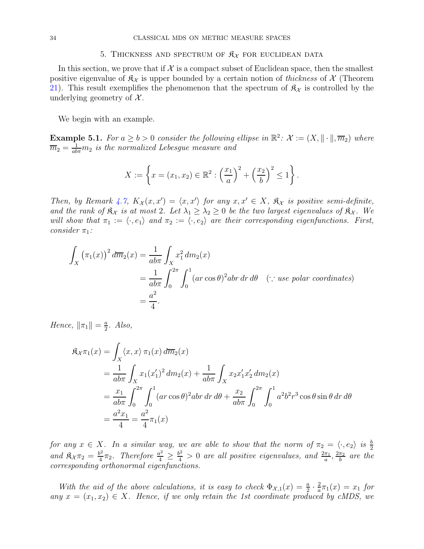#### <span id="page-33-0"></span>34 CLASSICAL MDS ON METRIC MEASURE SPACES

#### 5. THICKNESS AND SPECTRUM OF  $\mathfrak{K}_{\mathcal{X}}$  for euclidean data

In this section, we prove that if  $\mathcal X$  is a compact subset of Euclidean space, then the smallest positive eigenvalue of  $\mathfrak{K}_{\mathcal{X}}$  is upper bounded by a certain notion of thickness of X (Theorem [21\)](#page-34-0). This result exemplifies the phenomenon that the spectrum of  $\mathfrak{K}_{\mathcal{X}}$  is controlled by the underlying geometry of  $\mathcal{X}$ .

We begin with an example.

**Example 5.1.** For  $a \ge b > 0$  consider the following ellipse in  $\mathbb{R}^2$ :  $\mathcal{X} := (X, \|\cdot\|, \overline{m}_2)$  where  $\overline{m}_2 = \frac{1}{ab\pi}m_2$  is the normalized Lebesgue measure and

$$
X := \left\{ x = (x_1, x_2) \in \mathbb{R}^2 : \left( \frac{x_1}{a} \right)^2 + \left( \frac{x_2}{b} \right)^2 \le 1 \right\}.
$$

Then, by Remark [4.7,](#page-22-1)  $K_{\mathcal{X}}(x, x') = \langle x, x' \rangle$  for any  $x, x' \in X$ ,  $\mathfrak{K}_{\mathcal{X}}$  is positive semi-definite, and the rank of  $\mathfrak{K}_{\chi}$  is at most 2. Let  $\lambda_1 \geq \lambda_2 \geq 0$  be the two largest eigenvalues of  $\mathfrak{K}_{\chi}$ . We will show that  $\pi_1 := \langle \cdot, e_1 \rangle$  and  $\pi_2 := \langle \cdot, e_2 \rangle$  are their corresponding eigenfunctions. First, consider  $\pi_1$ :

$$
\int_{X} (\pi_1(x))^2 d\overline{m}_2(x) = \frac{1}{ab\pi} \int_{X} x_1^2 dm_2(x)
$$
  
=  $\frac{1}{ab\pi} \int_{0}^{2\pi} \int_{0}^{1} (ar \cos \theta)^2 abr dr d\theta$  (: use polar coordinates)  
=  $\frac{a^2}{4}$ .

Hence,  $\|\pi_1\| = \frac{a}{2}$  $\frac{a}{2}$ . Also,

$$
\mathfrak{K}_{\mathcal{X}}\pi_1(x) = \int_X \langle x, x \rangle \, \pi_1(x) \, d\overline{m}_2(x)
$$
  
=  $\frac{1}{ab\pi} \int_X x_1(x'_1)^2 \, dm_2(x) + \frac{1}{ab\pi} \int_X x_2 x'_1 x'_2 \, dm_2(x)$   
=  $\frac{x_1}{ab\pi} \int_0^{2\pi} \int_0^1 (ar \cos \theta)^2 \, dr \, dr \, d\theta + \frac{x_2}{ab\pi} \int_0^{2\pi} \int_0^1 a^2 b^2 r^3 \cos \theta \sin \theta \, dr \, d\theta$   
=  $\frac{a^2 x_1}{4} = \frac{a^2}{4} \pi_1(x)$ 

for any  $x \in X$ . In a similar way, we are able to show that the norm of  $\pi_2 = \langle \cdot, e_2 \rangle$  is  $\frac{b}{2}$ and  $\mathfrak{K}_{\mathcal{X}}\pi_2=\frac{b^2}{4}$  $\frac{b^2}{4}\pi_2$ . Therefore  $\frac{a^2}{4} \ge \frac{b^2}{4} > 0$  are all positive eigenvalues, and  $\frac{2\pi_1}{a}, \frac{2\pi_2}{b}$  $\frac{\pi_2}{b}$  are the corresponding orthonormal eigenfunctions.

With the aid of the above calculations, it is easy to check  $\Phi_{\mathcal{X},1}(x) = \frac{a}{2} \cdot \frac{2}{a}$  $\frac{2}{a}\pi_1(x) = x_1$  for any  $x = (x_1, x_2) \in X$ . Hence, if we only retain the 1st coordinate produced by cMDS, we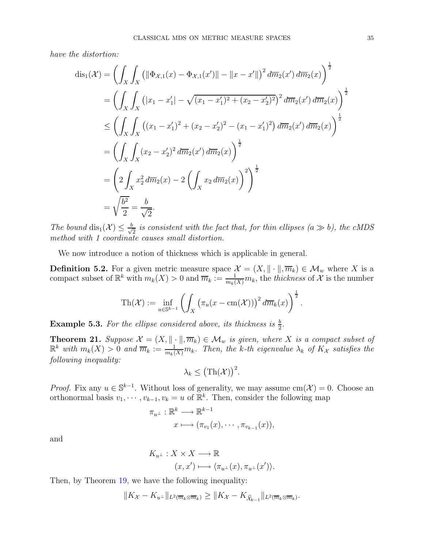have the distortion:

$$
\begin{split} \operatorname{dis}_{1}(\mathcal{X}) &= \left( \int_{X} \int_{X} \left( \left\| \Phi_{\mathcal{X},1}(x) - \Phi_{\mathcal{X},1}(x') \right\| - \left\| x - x' \right\| \right)^{2} d\overline{m}_{2}(x') d\overline{m}_{2}(x) \right)^{\frac{1}{2}} \\ &= \left( \int_{X} \int_{X} \left( \left| x_{1} - x_{1}' \right| - \sqrt{(x_{1} - x_{1}')^{2} + (x_{2} - x_{2}')^{2}} \right)^{2} d\overline{m}_{2}(x') d\overline{m}_{2}(x') \right)^{\frac{1}{2}} \\ &\leq \left( \int_{X} \int_{X} \left( (x_{1} - x_{1}')^{2} + (x_{2} - x_{2}')^{2} - (x_{1} - x_{1}')^{2} \right) d\overline{m}_{2}(x') d\overline{m}_{2}(x) \right)^{\frac{1}{2}} \\ &= \left( \int_{X} \int_{X} (x_{2} - x_{2}')^{2} d\overline{m}_{2}(x') d\overline{m}_{2}(x) \right)^{\frac{1}{2}} \\ &= \left( 2 \int_{X} x_{2}^{2} d\overline{m}_{2}(x) - 2 \left( \int_{X} x_{2} d\overline{m}_{2}(x) \right)^{2} \right)^{\frac{1}{2}} \\ &= \sqrt{\frac{b^{2}}{2}} = \frac{b}{\sqrt{2}}. \end{split}
$$

The bound  $dis_1(\mathcal{X}) \leq \frac{b}{\sqrt{b}}$  $\frac{1}{2}$  is consistent with the fact that, for thin ellipses (a  $\gg$  b), the cMDS method with 1 coordinate causes small distortion.

We now introduce a notion of thickness which is applicable in general.

**Definition 5.2.** For a given metric measure space  $\mathcal{X} = (X, \|\cdot\|, \overline{m}_k) \in \mathcal{M}_w$  where X is a compact subset of  $\mathbb{R}^k$  with  $m_k(X) > 0$  and  $\overline{m}_k := \frac{1}{m_k(X)} m_k$ , the thickness of X is the number

$$
\mathrm{Th}(\mathcal{X}) := \inf_{u \in \mathbb{S}^{k-1}} \left( \int_X \left( \pi_u(x - \mathrm{cm}(\mathcal{X})) \right)^2 d\overline{m}_k(x) \right)^{\frac{1}{2}}.
$$

**Example 5.3.** For the ellipse considered above, its thickness is  $\frac{b}{2}$ .

<span id="page-34-0"></span>**Theorem 21.** Suppose  $\mathcal{X} = (X, \|\cdot\|, \overline{m}_k) \in \mathcal{M}_w$  is given, where X is a compact subset of  $\mathbb{R}^k$  with  $m_k(X) > 0$  and  $\overline{m}_k := \frac{1}{m_k(X)} m_k$ . Then, the k-th eigenvalue  $\lambda_k$  of  $K_{\mathcal{X}}$  satisfies the following inequality:

$$
\lambda_k \leq (\mathrm{Th}(\mathcal{X}))^2.
$$

*Proof.* Fix any  $u \in \mathbb{S}^{k-1}$ . Without loss of generality, we may assume  $\text{cm}(\mathcal{X}) = 0$ . Choose an orthonormal basis  $v_1, \dots, v_{k-1}, v_k = u$  of  $\mathbb{R}^k$ . Then, consider the following map

$$
\pi_{u^{\perp}} : \mathbb{R}^k \longrightarrow \mathbb{R}^{k-1}
$$

$$
x \longmapsto (\pi_{v_1}(x), \cdots, \pi_{v_{k-1}}(x)),
$$

and

$$
K_{u^{\perp}}: X \times X \longrightarrow \mathbb{R}
$$

$$
(x, x') \longmapsto \langle \pi_{u^{\perp}}(x), \pi_{u^{\perp}}(x') \rangle.
$$

Then, by Theorem [19,](#page-30-1) we have the following inequality:

$$
||K_{\mathcal{X}}-K_{u^{\perp}}||_{L^{2}(\overline{m}_{k}\otimes\overline{m}_{k})}\geq ||K_{\mathcal{X}}-K_{\widehat{\mathcal{X}}_{k-1}}||_{L^{2}(\overline{m}_{k}\otimes\overline{m}_{k})}.
$$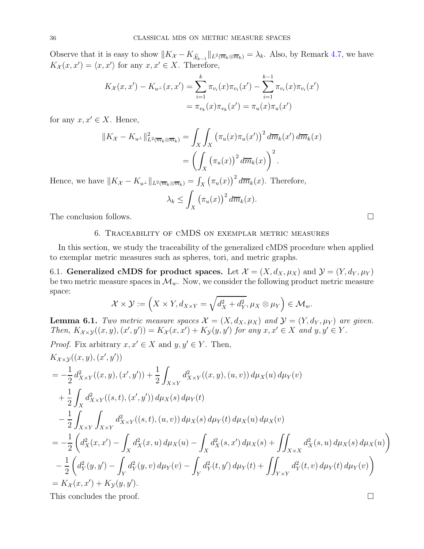Observe that it is easy to show  $||K_{\mathcal{X}} - K_{\widehat{\mathcal{X}}_{k-1}}||_{L^2(\overline{m}_k \otimes \overline{m}_k)} = \lambda_k$ . Also, by Remark [4.7,](#page-22-1) we have  $K_{\mathcal{X}}(x, x') = \langle x, x' \rangle$  for any  $x, x' \in X$ . Therefore,

$$
K_{\mathcal{X}}(x, x') - K_{u^{\perp}}(x, x') = \sum_{i=1}^{k} \pi_{v_i}(x) \pi_{v_i}(x') - \sum_{i=1}^{k-1} \pi_{v_i}(x) \pi_{v_i}(x')
$$
  
=  $\pi_{v_k}(x) \pi_{v_k}(x') = \pi_u(x) \pi_u(x')$ 

for any  $x, x' \in X$ . Hence,

$$
||K_{\mathcal{X}} - K_{u^{\perp}}||_{L^{2}(\overline{m}_{k} \otimes \overline{m}_{k})}^{2} = \int_{X} \int_{X} (\pi_{u}(x)\pi_{u}(x'))^{2} d\overline{m}_{k}(x') d\overline{m}_{k}(x)
$$

$$
= \left(\int_{X} (\pi_{u}(x))^{2} d\overline{m}_{k}(x)\right)^{2}.
$$

Hence, we have  $||K_{\mathcal{X}} - K_{u^{\perp}}||_{L^2(\overline{m}_k \otimes \overline{m}_k)} = \int_X (\pi_u(x))^2 d\overline{m}_k(x)$ . Therefore,

$$
\lambda_k \le \int_X \left(\pi_u(x)\right)^2 d\overline{m}_k(x).
$$

<span id="page-35-0"></span>The conclusion follows.

# 6. Traceability of cMDS on exemplar metric measures

In this section, we study the traceability of the generalized cMDS procedure when applied to exemplar metric measures such as spheres, tori, and metric graphs.

<span id="page-35-1"></span>6.1. Generalized cMDS for product spaces. Let  $\mathcal{X} = (X, d_X, \mu_X)$  and  $\mathcal{Y} = (Y, d_Y, \mu_Y)$ be two metric measure spaces in  $\mathcal{M}_w$ . Now, we consider the following product metric measure space:

$$
\mathcal{X} \times \mathcal{Y} := \left( X \times Y, d_{X \times Y} = \sqrt{d_X^2 + d_Y^2}, \mu_X \otimes \mu_Y \right) \in \mathcal{M}_w.
$$

<span id="page-35-2"></span>**Lemma 6.1.** Two metric measure spaces  $\mathcal{X} = (X, d_X, \mu_X)$  and  $\mathcal{Y} = (Y, d_Y, \mu_Y)$  are given. Then,  $K_{\mathcal{X}\times\mathcal{Y}}((x,y),(x',y'))=K_{\mathcal{X}}(x,x')+K_{\mathcal{Y}}(y,y')$  for any  $x,x'\in X$  and  $y,y'\in Y$ .

Proof. Fix arbitrary 
$$
x, x' \in X
$$
 and  $y, y' \in Y$ . Then,  
\n
$$
K_{X \times Y}((x, y), (x', y'))
$$
\n
$$
= -\frac{1}{2} d_{X \times Y}^2((x, y), (x', y')) + \frac{1}{2} \int_{X \times Y} d_{X \times Y}^2((x, y), (u, v)) d\mu_X(u) d\mu_Y(v)
$$
\n
$$
+ \frac{1}{2} \int_X d_{X \times Y}^2((s, t), (x', y')) d\mu_X(s) d\mu_Y(t)
$$
\n
$$
- \frac{1}{2} \int_{X \times Y} \int_{X \times Y} d_{X \times Y}^2((s, t), (u, v)) d\mu_X(s) d\mu_Y(t) d\mu_X(u) d\mu_X(v)
$$
\n
$$
= -\frac{1}{2} \left( d_X^2(x, x') - \int_X d_X^2(x, u) d\mu_X(u) - \int_X d_X^2(s, x') d\mu_X(s) + \iint_{X \times X} d_X^2(s, u) d\mu_X(s) d\mu_X(u) \right)
$$
\n
$$
- \frac{1}{2} \left( d_Y^2(y, y') - \int_Y d_Y^2(y, v) d\mu_Y(v) - \int_Y d_Y^2(t, y') d\mu_Y(t) + \iint_{Y \times Y} d_Y^2(t, v) d\mu_Y(t) d\mu_Y(v) \right)
$$
\n
$$
= K_X(x, x') + K_Y(y, y').
$$

This concludes the proof.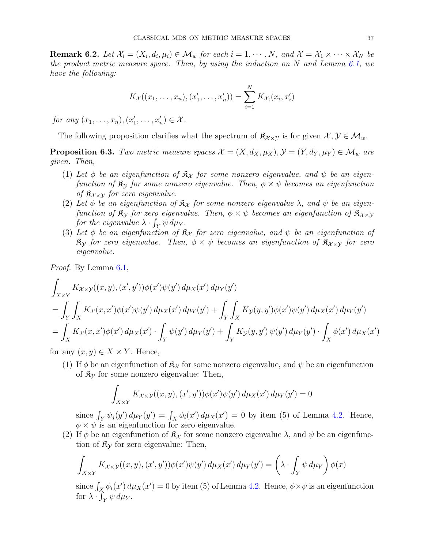<span id="page-36-1"></span>**Remark 6.2.** Let  $\mathcal{X}_i = (X_i, d_i, \mu_i) \in \mathcal{M}_w$  for each  $i = 1, \dots, N$ , and  $\mathcal{X} = \mathcal{X}_1 \times \dots \times \mathcal{X}_N$  be the product metric measure space. Then, by using the induction on N and Lemma [6.1,](#page-35-2) we have the following:

$$
K_{\mathcal{X}}((x_1,\ldots,x_n),(x'_1,\ldots,x'_n))=\sum_{i=1}^N K_{\mathcal{X}_i}(x_i,x'_i)
$$

for any  $(x_1, ..., x_n), (x'_1, ..., x'_n) \in \mathcal{X}$ .

The following proposition clarifies what the spectrum of  $\mathfrak{K}_{\chi\times\chi}$  is for given  $\chi, \mathcal{Y} \in \mathcal{M}_w$ .

<span id="page-36-0"></span>**Proposition 6.3.** Two metric measure spaces  $\mathcal{X} = (X, d_X, \mu_X), \mathcal{Y} = (Y, d_Y, \mu_Y) \in \mathcal{M}_w$  are given. Then,

- (1) Let  $\phi$  be an eigenfunction of  $\mathfrak{K}_{\mathcal{X}}$  for some nonzero eigenvalue, and  $\psi$  be an eigenfunction of  $\mathfrak{K}_{\mathcal{Y}}$  for some nonzero eigenvalue. Then,  $\phi \times \psi$  becomes an eigenfunction of  $\mathfrak{K}_{\mathcal{X}\times\mathcal{Y}}$  for zero eigenvalue.
- (2) Let  $\phi$  be an eigenfunction of  $\mathfrak{K}_{\mathcal{X}}$  for some nonzero eigenvalue  $\lambda$ , and  $\psi$  be an eigenfunction of  $\mathfrak{K}_{\mathcal{Y}}$  for zero eigenvalue. Then,  $\phi \times \psi$  becomes an eigenfunction of  $\mathfrak{K}_{\mathcal{X} \times \mathcal{Y}}$ for the eigenvalue  $\lambda \cdot \int_Y \psi \, d\mu_Y$ .
- (3) Let  $\phi$  be an eigenfunction of  $\mathfrak{K}_{\mathcal{X}}$  for zero eigenvalue, and  $\psi$  be an eigenfunction of  $\mathfrak{K}_{\mathcal{Y}}$  for zero eigenvalue. Then,  $\phi \times \psi$  becomes an eigenfunction of  $\mathfrak{K}_{\mathcal{X} \times \mathcal{Y}}$  for zero eigenvalue.

Proof. By Lemma [6.1,](#page-35-2)

$$
\int_{X \times Y} K_{\mathcal{X} \times \mathcal{Y}}((x, y), (x', y')) \phi(x') \psi(y') d\mu_X(x') d\mu_Y(y')
$$
\n
$$
= \int_Y \int_X K_{\mathcal{X}}(x, x') \phi(x') \psi(y') d\mu_X(x') d\mu_Y(y') + \int_Y \int_X K_{\mathcal{Y}}(y, y') \phi(x') \psi(y') d\mu_X(x') d\mu_Y(y')
$$
\n
$$
= \int_X K_{\mathcal{X}}(x, x') \phi(x') d\mu_X(x') \cdot \int_Y \psi(y') d\mu_Y(y') + \int_Y K_{\mathcal{Y}}(y, y') \psi(y') d\mu_Y(y') \cdot \int_X \phi(x') d\mu_X(x')
$$

for any  $(x, y) \in X \times Y$ . Hence,

(1) If  $\phi$  be an eigenfunction of  $\mathcal{R}_{\chi}$  for some nonzero eigenvalue, and  $\psi$  be an eigenfunction of  $\mathfrak{K}_{\mathcal{V}}$  for some nonzero eigenvalue: Then,

$$
\int_{X\times Y} K_{\mathcal{X}\times\mathcal{Y}}((x,y),(x',y'))\phi(x')\psi(y')\,d\mu_X(x')\,d\mu_Y(y')=0
$$

since  $\int_Y \psi_j(y') d\mu_Y(y') = \int_X \phi_i(x') d\mu_X(x') = 0$  by item (5) of Lemma [4.2.](#page-19-1) Hence,  $\phi \times \psi$  is an eigenfunction for zero eigenvalue.

(2) If  $\phi$  be an eigenfunction of  $\mathfrak{K}_{\mathcal{X}}$  for some nonzero eigenvalue  $\lambda$ , and  $\psi$  be an eigenfunction of  $\mathfrak{K}_{\mathcal{Y}}$  for zero eigenvalue: Then,

$$
\int_{X\times Y} K_{\mathcal{X}\times\mathcal{Y}}((x,y),(x',y'))\phi(x')\psi(y')\,d\mu_X(x')\,d\mu_Y(y') = \left(\lambda \cdot \int_Y \psi \,d\mu_Y\right)\phi(x)
$$

since  $\int_X \phi_i(x') d\mu_X(x') = 0$  by item (5) of Lemma [4.2.](#page-19-1) Hence,  $\phi \times \psi$  is an eigenfunction for  $\lambda \cdot \int_Y \psi \, d\mu_Y$ .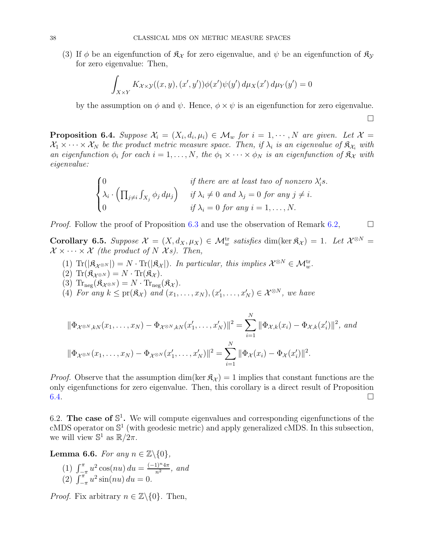(3) If  $\phi$  be an eigenfunction of  $\mathfrak{K}_{\mathcal{X}}$  for zero eigenvalue, and  $\psi$  be an eigenfunction of  $\mathfrak{K}_{\mathcal{Y}}$ for zero eigenvalue: Then,

$$
\int_{X\times Y} K_{\mathcal{X}\times\mathcal{Y}}((x,y),(x',y'))\phi(x')\psi(y')\,d\mu_X(x')\,d\mu_Y(y')=0
$$

by the assumption on  $\phi$  and  $\psi$ . Hence,  $\phi \times \psi$  is an eigenfunction for zero eigenvalue.

 $\Box$ 

<span id="page-37-1"></span>**Proposition 6.4.** Suppose  $\mathcal{X}_i = (X_i, d_i, \mu_i) \in \mathcal{M}_w$  for  $i = 1, \dots, N$  are given. Let  $\mathcal{X} = \mathcal{X}_i$  $X_1 \times \cdots \times X_N$  be the product metric measure space. Then, if  $\lambda_i$  is an eigenvalue of  $\mathfrak{K}_{\mathcal{X}_i}$  with an eigenfunction  $\phi_i$  for each  $i = 1, ..., N$ , the  $\phi_1 \times \cdots \times \phi_N$  is an eigenfunction of  $\mathfrak{K}_\mathcal{X}$  with eigenvalue:

$$
\begin{cases}\n0 & \text{if there are at least two of nonzero } \lambda_i's. \\
\lambda_i \cdot \left( \prod_{j \neq i} \int_{X_j} \phi_j d\mu_j \right) & \text{if } \lambda_i \neq 0 \text{ and } \lambda_j = 0 \text{ for any } j \neq i. \\
0 & \text{if } \lambda_i = 0 \text{ for any } i = 1, ..., N.\n\end{cases}
$$

*Proof.* Follow the proof of Proposition [6.3](#page-36-0) and use the observation of Remark [6.2,](#page-36-1)

<span id="page-37-3"></span>Corollary 6.5. Suppose  $\mathcal{X} = (X, d_X, \mu_X) \in \mathcal{M}_w^{\text{tr}}$  satisfies dim(ker  $\mathfrak{K}_{\mathcal{X}}$ ) = 1. Let  $\mathcal{X}^{\otimes N}$  =  $\mathcal{X} \times \cdots \times \mathcal{X}$  (the product of N Xs). Then,

- (1)  $\text{Tr}(|\mathfrak{K}_{\mathcal{X}^{\otimes N}}|) = N \cdot \text{Tr}(|\mathfrak{K}_{\mathcal{X}}|)$ . In particular, this implies  $\mathcal{X}^{\otimes N} \in \mathcal{M}_w^{\text{tr}}$ .
- (2)  $\text{Tr}(\mathfrak{K}_{\mathcal{X}^{\otimes N}}) = N \cdot \text{Tr}(\mathfrak{K}_{\mathcal{X}}).$
- (3)  $\text{Tr}_{\text{neg}}(\mathfrak{K}_{\mathcal{X}^{\otimes N}}) = N \cdot \text{Tr}_{\text{neg}}(\mathfrak{K}_{\mathcal{X}}).$
- (4) For any  $k \leq pr(\mathfrak{K}_{\mathcal{X}})$  and  $(x_1, \ldots, x_N), (x'_1, \ldots, x'_N) \in \mathcal{X}^{\otimes N}$ , we have

$$
\|\Phi_{\mathcal{X}^{\otimes N},kN}(x_1,\ldots,x_N) - \Phi_{\mathcal{X}^{\otimes N},kN}(x'_1,\ldots,x'_N)\|^2 = \sum_{i=1}^N \|\Phi_{\mathcal{X},k}(x_i) - \Phi_{\mathcal{X},k}(x'_i)\|^2, \text{ and}
$$
  

$$
\|\Phi_{\mathcal{X}^{\otimes N}}(x_1,\ldots,x_N) - \Phi_{\mathcal{X}^{\otimes N}}(x'_1,\ldots,x'_N)\|^2 = \sum_{i=1}^N \|\Phi_{\mathcal{X}}(x_i) - \Phi_{\mathcal{X}}(x'_i)\|^2.
$$

*Proof.* Observe that the assumption dim(ker  $\mathcal{R}_{\chi}$ ) = 1 implies that constant functions are the only eigenfunctions for zero eigenvalue. Then, this corollary is a direct result of Proposition  $6.4.$ 

<span id="page-37-0"></span>6.2. The case of  $\mathbb{S}^1$ . We will compute eigenvalues and corresponding eigenfunctions of the cMDS operator on S 1 (with geodesic metric) and apply generalized cMDS. In this subsection, we will view  $\mathbb{S}^1$  as  $\mathbb{R}/2\pi$ .

<span id="page-37-2"></span>Lemma 6.6. For any  $n \in \mathbb{Z} \backslash \{0\}$ ,

(1)  $\int_{-\pi}^{\pi} u^2 \cos(nu) du = \frac{(-1)^n 4\pi}{n^2}$ , and (2)  $\int_{-\pi}^{\pi} u^2 \sin(nu) \, du = 0.$ 

*Proof.* Fix arbitrary  $n \in \mathbb{Z}\backslash\{0\}$ . Then,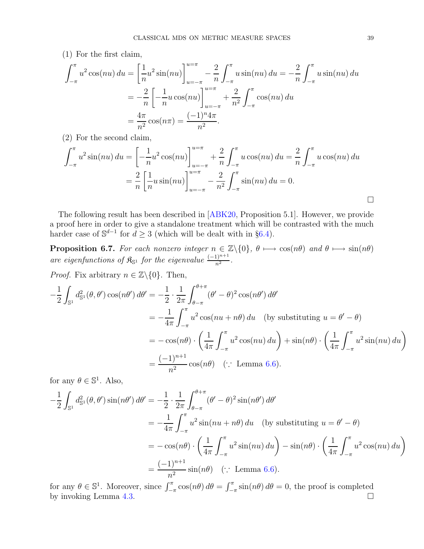(1) For the first claim,

$$
\int_{-\pi}^{\pi} u^2 \cos(nu) \, du = \left[ \frac{1}{n} u^2 \sin(nu) \right]_{u=-\pi}^{u=\pi} - \frac{2}{n} \int_{-\pi}^{\pi} u \sin(nu) \, du = -\frac{2}{n} \int_{-\pi}^{\pi} u \sin(nu) \, du
$$

$$
= -\frac{2}{n} \left[ -\frac{1}{n} u \cos(nu) \right]_{u=-\pi}^{u=\pi} + \frac{2}{n^2} \int_{-\pi}^{\pi} \cos(nu) \, du
$$

$$
= \frac{4\pi}{n^2} \cos(n\pi) = \frac{(-1)^n 4\pi}{n^2}.
$$

(2) For the second claim,

$$
\int_{-\pi}^{\pi} u^2 \sin(nu) \, du = \left[ -\frac{1}{n} u^2 \cos(nu) \right]_{u=-\pi}^{u=\pi} + \frac{2}{n} \int_{-\pi}^{\pi} u \cos(nu) \, du = \frac{2}{n} \int_{-\pi}^{\pi} u \cos(nu) \, du
$$

$$
= \frac{2}{n} \left[ \frac{1}{n} u \sin(nu) \right]_{u=-\pi}^{u=\pi} - \frac{2}{n^2} \int_{-\pi}^{\pi} \sin(nu) \, du = 0.
$$

The following result has been described in [\[ABK20,](#page-59-5) Proposition 5.1]. However, we provide a proof here in order to give a standalone treatment which will be contrasted with the much harder case of  $\mathbb{S}^{d-1}$  for  $d \geq 3$  (which will be dealt with in §[6.4\)](#page-40-1).

<span id="page-38-0"></span>**Proposition 6.7.** For each nonzero integer  $n \in \mathbb{Z}\backslash\{0\}$ ,  $\theta \mapsto \cos(n\theta)$  and  $\theta \mapsto \sin(n\theta)$ are eigenfunctions of  $\mathfrak{K}_{\mathbb{S}^1}$  for the eigenvalue  $\frac{(-1)^{n+1}}{n^2}$ .

*Proof.* Fix arbitrary  $n \in \mathbb{Z}\backslash\{0\}$ . Then,

$$
-\frac{1}{2} \int_{\mathbb{S}^1} d_{\mathbb{S}^1}^2(\theta, \theta') \cos(n\theta') d\theta' = -\frac{1}{2} \cdot \frac{1}{2\pi} \int_{\theta-\pi}^{\theta+\pi} (\theta' - \theta)^2 \cos(n\theta') d\theta'
$$
  
\n
$$
= -\frac{1}{4\pi} \int_{-\pi}^{\pi} u^2 \cos(nu + n\theta) du \quad \text{(by substituting } u = \theta' - \theta)
$$
  
\n
$$
= -\cos(n\theta) \cdot \left(\frac{1}{4\pi} \int_{-\pi}^{\pi} u^2 \cos(nu) du\right) + \sin(n\theta) \cdot \left(\frac{1}{4\pi} \int_{-\pi}^{\pi} u^2 \sin(nu) du\right)
$$
  
\n
$$
= \frac{(-1)^{n+1}}{n^2} \cos(n\theta) \quad (\because \text{ Lemma 6.6}).
$$

for any  $\theta \in \mathbb{S}^1$ . Also,

$$
-\frac{1}{2} \int_{\mathbb{S}^1} d_{\mathbb{S}^1}^2(\theta, \theta') \sin(n\theta') d\theta' = -\frac{1}{2} \cdot \frac{1}{2\pi} \int_{\theta-\pi}^{\theta+\pi} (\theta' - \theta)^2 \sin(n\theta') d\theta'
$$
  
\n
$$
= -\frac{1}{4\pi} \int_{-\pi}^{\pi} u^2 \sin(nu + n\theta) du \quad \text{(by substituting } u = \theta' - \theta)
$$
  
\n
$$
= -\cos(n\theta) \cdot \left(\frac{1}{4\pi} \int_{-\pi}^{\pi} u^2 \sin(nu) du\right) - \sin(n\theta) \cdot \left(\frac{1}{4\pi} \int_{-\pi}^{\pi} u^2 \cos(nu) du\right)
$$
  
\n
$$
= \frac{(-1)^{n+1}}{n^2} \sin(n\theta) \quad (\because \text{ Lemma 6.6}).
$$

for any  $\theta \in \mathbb{S}^1$ . Moreover, since  $\int_{-\pi}^{\pi} \cos(n\theta) d\theta = \int_{-\pi}^{\pi}$  $-\pi \sin(n\theta) d\theta = 0$ , the proof is completed by invoking Lemma [4.3.](#page-21-0)  $\Box$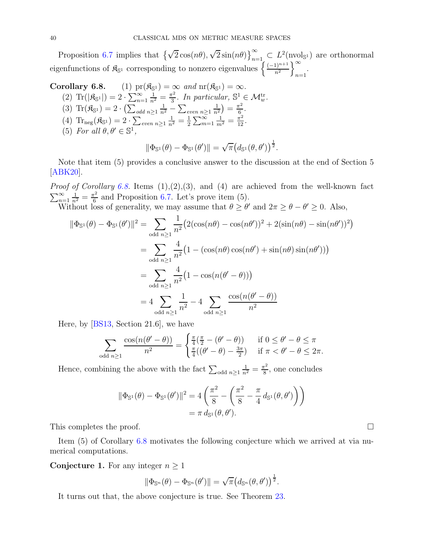Proposition [6.7](#page-38-0) implies that  $\left\{\sqrt{2}\cos(n\theta), \sqrt{2}\sin(n\theta)\right\}_{n=1}^{\infty} \subset L^2(\text{nvol}_{\mathbb{S}^1})$  are orthonormal eigenfunctions of  $\mathfrak{K}_{\mathbb{S}^1}$  corresponding to nonzero eigenvalues  $\left\{\frac{(-1)^{n+1}}{n^2}\right\}$  $\int_0^\infty$  $n=1$ 

Corollary 6.8. (1) 
$$
pr(\mathfrak{K}_{\mathbb{S}^1}) = \infty
$$
 and  $nr(\mathfrak{K}_{\mathbb{S}^1}) = \infty$ .  
\n(2)  $Tr(|\mathfrak{K}_{\mathbb{S}^1}|) = 2 \cdot \sum_{n=1}^{\infty} \frac{1}{n^2} = \frac{\pi^2}{3}$ . In particular,  $\mathbb{S}^1 \in \mathcal{M}_w^{\text{tr}}$ .  
\n(3)  $Tr(\mathfrak{K}_{\mathbb{S}^1}) = 2 \cdot (\sum_{odd} \sum_{n \geq 1} \frac{1}{n^2} - \sum_{even} \sum_{n \geq 1} \frac{1}{n^2}) = \frac{\pi^2}{6}$ .  
\n(4)  $Tr_{\text{neg}}(\mathfrak{K}_{\mathbb{S}^1}) = 2 \cdot \sum_{even} \sum_{n \geq 1} \frac{1}{n^2} = \frac{1}{2} \sum_{m=1}^{\infty} \frac{1}{m^2} = \frac{\pi^2}{12}$ .  
\n(5) For all  $\theta, \theta' \in \mathbb{S}^1$ ,  
\n $\|\Phi_{\mathbb{S}^1}(\theta) - \Phi_{\mathbb{S}^1}(\theta')\| = \sqrt{\pi} (d_{\mathbb{S}^1}(\theta, \theta'))^{\frac{1}{2}}$ .

Note that item 
$$
(5)
$$
 provides a conclusive answer to the discussion at the end of Section 5 [ABK20].

*Proof of Corollary 6.8.* Items  $(1), (2), (3),$  and  $(4)$  are achieved from the well-known fact  $\sum_{n=1}^{\infty}$  $\frac{1}{n^2} = \frac{\pi^2}{6}$  $\frac{r^2}{6}$  and Proposition [6.7.](#page-38-0) Let's prove item (5).

Without loss of generality, we may assume that  $\theta \ge \theta'$  and  $2\pi \ge \theta - \theta' \ge 0$ . Also,

$$
\|\Phi_{\mathbb{S}^1}(\theta) - \Phi_{\mathbb{S}^1}(\theta')\|^2 = \sum_{\text{odd } n \ge 1} \frac{1}{n^2} \left(2(\cos(n\theta) - \cos(n\theta'))^2 + 2(\sin(n\theta) - \sin(n\theta'))^2\right)
$$

$$
= \sum_{\text{odd } n \ge 1} \frac{4}{n^2} \left(1 - (\cos(n\theta)\cos(n\theta') + \sin(n\theta)\sin(n\theta'))\right)
$$

$$
= \sum_{\text{odd } n \ge 1} \frac{4}{n^2} \left(1 - \cos(n(\theta' - \theta))\right)
$$

$$
= 4 \sum_{\text{odd } n \ge 1} \frac{1}{n^2} - 4 \sum_{\text{odd } n \ge 1} \frac{\cos(n(\theta' - \theta))}{n^2}
$$

Here, by [\[BS13,](#page-59-11) Section 21.6], we have

$$
\sum_{\text{odd }n\geq 1}\frac{\cos(n(\theta'-\theta))}{n^2} = \begin{cases} \frac{\pi}{4}(\frac{\pi}{2}-(\theta'-\theta)) & \text{if } 0 \leq \theta'-\theta \leq \pi \\ \frac{\pi}{4}((\theta'-\theta)-\frac{3\pi}{2}) & \text{if } \pi < \theta'-\theta \leq 2\pi. \end{cases}
$$

Hence, combining the above with the fact  $\sum_{\text{odd }n\geq 1}$  $\frac{1}{n^2} = \frac{\pi^2}{8}$  $\frac{\pi^2}{8}$ , one concludes

$$
\|\Phi_{\mathbb{S}^1}(\theta) - \Phi_{\mathbb{S}^1}(\theta')\|^2 = 4\left(\frac{\pi^2}{8} - \left(\frac{\pi^2}{8} - \frac{\pi}{4}d_{\mathbb{S}^1}(\theta, \theta')\right)\right)
$$
  
=  $\pi d_{\mathbb{S}^1}(\theta, \theta').$ 

This completes the proof.

Item (5) of Corollary 6.8 motivates the following conjecture which we arrived at via numerical computations.

<span id="page-39-0"></span>**Conjecture 1.** For any integer  $n \geq 1$ 

$$
\|\Phi_{\mathbb{S}^n}(\theta)-\Phi_{\mathbb{S}^n}(\theta')\|=\sqrt{\pi}\big(d_{\mathbb{S}^n}(\theta,\theta')\big)^{\frac{1}{2}}.
$$

It turns out that, the above conjecture is true. See Theorem [23.](#page-46-0)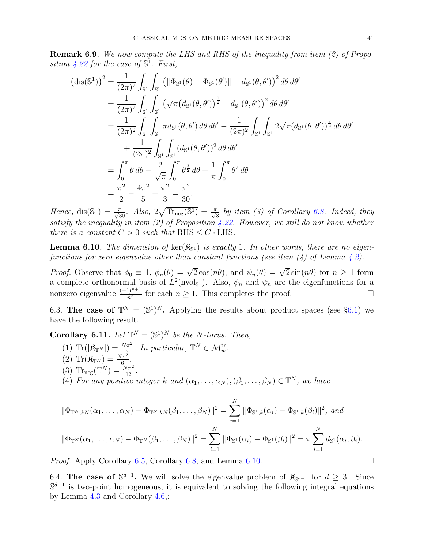<span id="page-40-3"></span>Remark 6.9. We now compute the LHS and RHS of the inequality from item (2) of Propo-sition [4.22](#page-28-1) for the case of  $\mathbb{S}^1$ . First,

$$
(\text{dis}(\mathbb{S}^1))^2 = \frac{1}{(2\pi)^2} \int_{\mathbb{S}^1} \int_{\mathbb{S}^1} \left( \|\Phi_{\mathbb{S}^1}(\theta) - \Phi_{\mathbb{S}^1}(\theta')\| - d_{\mathbb{S}^1}(\theta, \theta') \right)^2 d\theta d\theta'
$$
  
\n
$$
= \frac{1}{(2\pi)^2} \int_{\mathbb{S}^1} \int_{\mathbb{S}^1} \left( \sqrt{\pi} \left( d_{\mathbb{S}^1}(\theta, \theta') \right)^{\frac{1}{2}} - d_{\mathbb{S}^1}(\theta, \theta') \right)^2 d\theta d\theta'
$$
  
\n
$$
= \frac{1}{(2\pi)^2} \int_{\mathbb{S}^1} \int_{\mathbb{S}^1} \pi d_{\mathbb{S}^1}(\theta, \theta') d\theta d\theta' - \frac{1}{(2\pi)^2} \int_{\mathbb{S}^1} \int_{\mathbb{S}^1} 2\sqrt{\pi} (d_{\mathbb{S}^1}(\theta, \theta'))^{\frac{3}{2}} d\theta d\theta'
$$
  
\n
$$
+ \frac{1}{(2\pi)^2} \int_{\mathbb{S}^1} \int_{\mathbb{S}^1} (d_{\mathbb{S}^1}(\theta, \theta'))^2 d\theta d\theta'
$$
  
\n
$$
= \int_0^{\pi} \theta d\theta - \frac{2}{\sqrt{\pi}} \int_0^{\pi} \theta^{\frac{3}{2}} d\theta + \frac{1}{\pi} \int_0^{\pi} \theta^2 d\theta
$$
  
\n
$$
= \frac{\pi^2}{2} - \frac{4\pi^2}{5} + \frac{\pi^2}{3} = \frac{\pi^2}{30}.
$$

Hence,  $dis(\mathbb{S}^1) = \frac{\pi}{\sqrt{30}}$ . Also,  $2\sqrt{\text{Tr}_{\text{neg}}(\mathbb{S}^1)} = \frac{\pi}{\sqrt{3}}$  by item (3) of Corollary 6.8. Indeed, they satisfy the inequality in item (2) of Proposition [4.22.](#page-28-1) However, we still do not know whether there is a constant  $C > 0$  such that RHS  $\leq C \cdot$  LHS.

<span id="page-40-2"></span>**Lemma 6.10.** The dimension of  $\text{ker}(\mathfrak{K}_{S^1})$  is exactly 1. In other words, there are no eigenfunctions for zero eigenvalue other than constant functions (see item  $(4)$  of Lemma [4.2\)](#page-19-1).

*Proof.* Observe that  $\phi_0 \equiv 1$ ,  $\phi_n(\theta) = \sqrt{2} \cos(n\theta)$ , and  $\psi_n(\theta) = \sqrt{2} \sin(n\theta)$  for  $n \ge 1$  form a complete orthonormal basis of  $L^2(\text{nvol}_s)$ . Also,  $\phi_n$  and  $\psi_n$  are the eigenfunctions for a nonzero eigenvalue  $\frac{(-1)^{n+1}}{n^2}$  for each  $n \ge 1$ . This completes the proof.

<span id="page-40-0"></span>6.3. The case of  $\mathbb{T}^N = (\mathbb{S}^1)^N$ . Applying the results about product spaces (see §[6.1\)](#page-35-1) we have the following result.

**Corollary 6.11.** Let  $\mathbb{T}^N = (\mathbb{S}^1)^N$  be the N-torus. Then,

(1)  $\text{Tr}(|\mathfrak{K}_{\mathbb{T}^N}|) = \frac{N\pi^2}{3}$ . In particular,  $\mathbb{T}^N \in \mathcal{M}_w^{\text{tr}}$ . (2)  $\text{Tr}(\mathfrak{K}_{\mathbb{T}^N}) = \frac{N\pi^2}{6}$ . (3) Tr<sub>neg</sub> $(\mathbb{T}^N) = \frac{N\pi^2}{12}$ . (4) For any positive integer k and  $(\alpha_1, \ldots, \alpha_N)$ ,  $(\beta_1, \ldots, \beta_N) \in \mathbb{T}^N$ , we have  $\lambda$ <sub>T</sub>

$$
\|\Phi_{\mathbb{T}^N,kN}(\alpha_1,\ldots,\alpha_N) - \Phi_{\mathbb{T}^N,kN}(\beta_1,\ldots,\beta_N)\|^2 = \sum_{i=1}^N \|\Phi_{\mathbb{S}^1,k}(\alpha_i) - \Phi_{\mathbb{S}^1,k}(\beta_i)\|^2, \text{ and}
$$
  

$$
\|\Phi_{\mathbb{T}^N}(\alpha_1,\ldots,\alpha_N) - \Phi_{\mathbb{T}^N}(\beta_1,\ldots,\beta_N)\|^2 = \sum_{i=1}^N \|\Phi_{\mathbb{S}^1}(\alpha_i) - \Phi_{\mathbb{S}^1}(\beta_i)\|^2 = \pi \sum_{i=1}^N d_{\mathbb{S}^1}(\alpha_i,\beta_i).
$$

*Proof.* Apply Corollary [6.5,](#page-37-3) Corollary 6.8, and Lemma [6.10.](#page-40-2)

<span id="page-40-1"></span>6.4. The case of  $\mathbb{S}^{d-1}$ . We will solve the eigenvalue problem of  $\mathfrak{K}_{\mathbb{S}^{d-1}}$  for  $d \geq 3$ . Since  $\mathbb{S}^{d-1}$  is two-point homogeneous, it is equivalent to solving the following integral equations by Lemma [4.3](#page-21-0) and Corollary [4.6,](#page-22-0):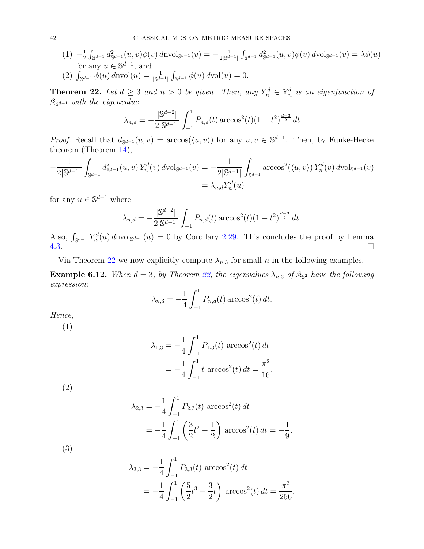- $(1) -\frac{1}{2}$  $\frac{1}{2} \int_{\mathbb{S}^{d-1}} d_{\mathbb{S}^{d-1}}^2(u,v) \phi(v) d\mathrm{nvol}_{\mathbb{S}^{d-1}}(v) = -\frac{1}{2|\mathbb{S}^{d-1}|}$  $\int_{\mathbb{S}^{d-1}} d_{\mathbb{S}^{d-1}}^2(u, v) \phi(v) dvol_{\mathbb{S}^{d-1}}(v) = \lambda \phi(u)$ for any  $u \in \mathbb{S}^{d-1}$ , and
- (2)  $\int_{\mathbb{S}^{d-1}} \phi(u) d\text{nvol}(u) = \frac{1}{|\mathbb{S}^{d-1}|}$  $\int_{\mathbb{S}^{d-1}} \phi(u) d\text{vol}(u) = 0.$

<span id="page-41-0"></span>**Theorem 22.** Let  $d \geq 3$  and  $n > 0$  be given. Then, any  $Y_n^d \in \mathbb{Y}_n^d$  is an eigenfunction of  $\mathfrak{K}_{\mathbb{S}^{d-1}}$  with the eigenvalue

$$
\lambda_{n,d} = -\frac{|\mathbb{S}^{d-2}|}{2|\mathbb{S}^{d-1}|} \int_{-1}^{1} P_{n,d}(t) \arccos^{2}(t) (1-t^{2})^{\frac{d-3}{2}} dt
$$

*Proof.* Recall that  $d_{\mathbb{S}^{d-1}}(u, v) = \arccos(\langle u, v \rangle)$  for any  $u, v \in \mathbb{S}^{d-1}$ . Then, by Funke-Hecke theorem (Theorem [14\)](#page-11-0),

$$
-\frac{1}{2|\mathbb{S}^{d-1}|}\int_{\mathbb{S}^{d-1}}d_{\mathbb{S}^{d-1}}^2(u,v)Y_n^d(v)\,d\mathrm{vol}_{\mathbb{S}^{d-1}}(v) = -\frac{1}{2|\mathbb{S}^{d-1}|}\int_{\mathbb{S}^{d-1}}\arccos^2(\langle u,v\rangle)Y_n^d(v)\,d\mathrm{vol}_{\mathbb{S}^{d-1}}(v)
$$

$$
=\lambda_{n,d}Y_n^d(u)
$$

for any  $u \in \mathbb{S}^{d-1}$  where

$$
\lambda_{n,d} = -\frac{|\mathbb{S}^{d-2}|}{2|\mathbb{S}^{d-1}|} \int_{-1}^{1} P_{n,d}(t) \arccos^{2}(t) (1-t^{2})^{\frac{d-3}{2}} dt.
$$

Also,  $\int_{\mathbb{S}^{d-1}} Y_n^d(u) d\text{nvol}_{\mathbb{S}^{d-1}}(u) = 0$  by Corollary [2.29.](#page-10-1) This concludes the proof by Lemma  $4.3.$ 

Via Theorem [22](#page-41-0) we now explicitly compute  $\lambda_{n,3}$  for small n in the following examples.

**Example 6.12.** When  $d = 3$ , by Theorem [22,](#page-41-0) the eigenvalues  $\lambda_{n,3}$  of  $\mathfrak{K}_{\mathbb{S}^2}$  have the following expression:

$$
\lambda_{n,3} = -\frac{1}{4} \int_{-1}^{1} P_{n,d}(t) \arccos^{2}(t) dt.
$$

Hence,

(1)

$$
\lambda_{1,3} = -\frac{1}{4} \int_{-1}^{1} P_{1,3}(t) \arccos^{2}(t) dt
$$

$$
= -\frac{1}{4} \int_{-1}^{1} t \arccos^{2}(t) dt = \frac{\pi^{2}}{16}
$$

.

(2)

$$
\lambda_{2,3} = -\frac{1}{4} \int_{-1}^{1} P_{2,3}(t) \arccos^{2}(t) dt
$$
  
=  $-\frac{1}{4} \int_{-1}^{1} \left(\frac{3}{2}t^{2} - \frac{1}{2}\right) \arccos^{2}(t) dt = -\frac{1}{9}.$ 

(3)

$$
\lambda_{3,3} = -\frac{1}{4} \int_{-1}^{1} P_{3,3}(t) \arccos^{2}(t) dt
$$
  
=  $-\frac{1}{4} \int_{-1}^{1} \left(\frac{5}{2}t^{3} - \frac{3}{2}t\right) \arccos^{2}(t) dt = \frac{\pi^{2}}{256}.$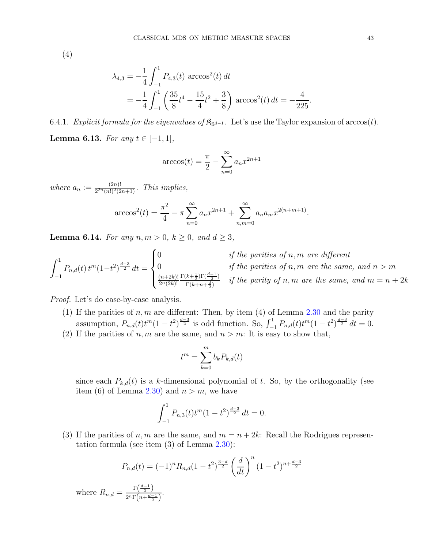(4)

$$
\lambda_{4,3} = -\frac{1}{4} \int_{-1}^{1} P_{4,3}(t) \arccos^{2}(t) dt
$$
  
=  $-\frac{1}{4} \int_{-1}^{1} \left( \frac{35}{8} t^{4} - \frac{15}{4} t^{2} + \frac{3}{8} \right) \arccos^{2}(t) dt = -\frac{4}{225}.$ 

6.4.1. Explicit formula for the eigenvalues of  $\mathfrak{K}_{S^{d-1}}$ . Let's use the Taylor expansion of  $arccos(t)$ .

<span id="page-42-0"></span>**Lemma 6.13.** For any  $t \in [-1, 1]$ ,

$$
\arccos(t) = \frac{\pi}{2} - \sum_{n=0}^{\infty} a_n x^{2n+1}
$$

where  $a_n := \frac{(2n)!}{2^{2n} (n!)^2 (2)}$  $\frac{(2n)!}{2^{2n}(n!)^2(2n+1)}$ . This implies,

$$
\arccos^{2}(t) = \frac{\pi^{2}}{4} - \pi \sum_{n=0}^{\infty} a_{n} x^{2n+1} + \sum_{n,m=0}^{\infty} a_{n} a_{m} x^{2(n+m+1)}.
$$

<span id="page-42-1"></span>**Lemma 6.14.** For any  $n, m > 0, k \ge 0$ , and  $d \ge 3$ ,

$$
\int_{-1}^{1} P_{n,d}(t) t^{m} (1-t^{2})^{\frac{d-3}{2}} dt = \begin{cases} 0 & \text{if the parities of } n, m \text{ are different} \\ 0 & \text{if the parities of } n, m \text{ are the same, and } n > m \\ \frac{(n+2k)!}{2^{n}(2k)!} \frac{\Gamma(k+\frac{1}{2})\Gamma(\frac{d-1}{2})}{\Gamma(k+n+\frac{d}{2})} & \text{if the parity of } n, m \text{ are the same, and } m = n+2k \end{cases}
$$

Proof. Let's do case-by-case analysis.

- (1) If the parities of  $n, m$  are different: Then, by item (4) of Lemma [2.30](#page-10-2) and the parity assumption,  $P_{n,d}(t)t^m(1-t^2)^{\frac{d-3}{2}}$  is odd function. So,  $\int_{-1}^1 P_{n,d}(t)t^m(1-t^2)^{\frac{d-3}{2}} dt = 0$ .
- (2) If the parities of n, m are the same, and  $n > m$ : It is easy to show that,

$$
t^m = \sum_{k=0}^m b_k P_{k,d}(t)
$$

since each  $P_{k,d}(t)$  is a k-dimensional polynomial of t. So, by the orthogonality (see item (6) of Lemma [2.30\)](#page-10-2) and  $n > m$ , we have

$$
\int_{-1}^{1} P_{n,3}(t)t^{m} (1-t^{2})^{\frac{d-3}{2}} dt = 0.
$$

(3) If the parities of n, m are the same, and  $m = n + 2k$ : Recall the Rodrigues representation formula (see item  $(3)$  of Lemma  $2.30$ ):

$$
P_{n,d}(t) = (-1)^n R_{n,d} (1-t^2)^{\frac{3-d}{2}} \left(\frac{d}{dt}\right)^n (1-t^2)^{n+\frac{d-3}{2}}
$$

where  $R_{n,d} = \frac{\Gamma(\frac{d-1}{2})}{2^n \Gamma(n + d)}$  $\frac{1}{2^n\Gamma\left(n+\frac{d-1}{2}\right)}$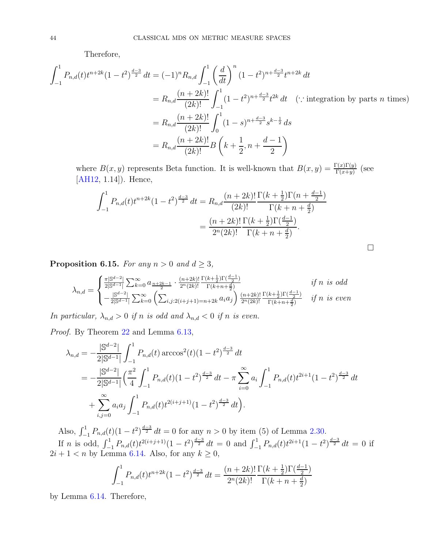Therefore,

$$
\int_{-1}^{1} P_{n,d}(t)t^{n+2k}(1-t^2)^{\frac{d-3}{2}} dt = (-1)^n R_{n,d} \int_{-1}^{1} \left(\frac{d}{dt}\right)^n (1-t^2)^{n+\frac{d-3}{2}} t^{n+2k} dt
$$
  
\n
$$
= R_{n,d} \frac{(n+2k)!}{(2k)!} \int_{-1}^{1} (1-t^2)^{n+\frac{d-3}{2}} t^{2k} dt \quad (\because \text{ integration by parts } n \text{ times})
$$
  
\n
$$
= R_{n,d} \frac{(n+2k)!}{(2k)!} \int_0^1 (1-s)^{n+\frac{d-3}{2}} s^{k-\frac{1}{2}} ds
$$
  
\n
$$
= R_{n,d} \frac{(n+2k)!}{(2k)!} B\left(k+\frac{1}{2}, n+\frac{d-1}{2}\right)
$$

where  $B(x, y)$  represents Beta function. It is well-known that  $B(x, y) = \frac{\Gamma(x)\Gamma(y)}{\Gamma(x+y)}$  (see [\[AH12,](#page-59-8) 1.14]). Hence,

$$
\int_{-1}^{1} P_{n,d}(t)t^{n+2k} (1-t^2)^{\frac{d-3}{2}} dt = R_{n,d} \frac{(n+2k)!}{(2k)!} \frac{\Gamma(k+\frac{1}{2})\Gamma(n+\frac{d-1}{2})}{\Gamma(k+n+\frac{d}{2})}
$$

$$
= \frac{(n+2k)!}{2^n (2k)!} \frac{\Gamma(k+\frac{1}{2})\Gamma(\frac{d-1}{2})}{\Gamma(k+n+\frac{d}{2})}.
$$

 $\Box$ 

<span id="page-43-0"></span>**Proposition 6.15.** For any  $n > 0$  and  $d \geq 3$ ,

$$
\lambda_{n,d} = \begin{cases} \frac{\pi |\mathbb{S}^{d-2}|}{2|\mathbb{S}^{d-1}|} \sum_{k=0}^{\infty} a_{\frac{n+2k-1}{2}} \cdot \frac{(n+2k)!}{2^n (2k)!} \frac{\Gamma(k+\frac{1}{2}) \Gamma(\frac{d-1}{2})}{\Gamma(k+n+\frac{d}{2})} & \text{if } n \text{ is odd} \\ -\frac{|\mathbb{S}^{d-2}|}{2|\mathbb{S}^{d-1}|} \sum_{k=0}^{\infty} \left( \sum_{i,j:2(i+j+1)=n+2k} a_i a_j \right) \frac{(n+2k)!}{2^n (2k)!} \frac{\Gamma(k+\frac{1}{2}) \Gamma(\frac{d-1}{2})}{\Gamma(k+n+\frac{d}{2})} & \text{if } n \text{ is even} \end{cases}
$$

In particular,  $\lambda_{n,d} > 0$  if n is odd and  $\lambda_{n,d} < 0$  if n is even.

Proof. By Theorem [22](#page-41-0) and Lemma [6.13,](#page-42-0)

$$
\lambda_{n,d} = -\frac{|\mathbb{S}^{d-2}|}{2|\mathbb{S}^{d-1}|} \int_{-1}^{1} P_{n,d}(t) \arccos^{2}(t) (1-t^{2})^{\frac{d-3}{2}} dt \n= -\frac{|\mathbb{S}^{d-2}|}{2|\mathbb{S}^{d-1}|} \left(\frac{\pi^{2}}{4} \int_{-1}^{1} P_{n,d}(t) (1-t^{2})^{\frac{d-3}{2}} dt - \pi \sum_{i=0}^{\infty} a_{i} \int_{-1}^{1} P_{n,d}(t) t^{2i+1} (1-t^{2})^{\frac{d-3}{2}} dt \n+ \sum_{i,j=0}^{\infty} a_{i} a_{j} \int_{-1}^{1} P_{n,d}(t) t^{2(i+j+1)} (1-t^{2})^{\frac{d-3}{2}} dt.
$$

Also,  $\int_{-1}^{1} P_{n,d}(t) (1 - t^2)^{\frac{d-3}{2}} dt = 0$  for any  $n > 0$  by item (5) of Lemma [2.30.](#page-10-2) If n is odd,  $\int_{-1}^{1} P_{n,d}(t) t^{2(i+j+1)} (1-t^2)^{\frac{d-3}{2}} dt = 0$  and  $\int_{-1}^{1} P_{n,d}(t) t^{2i+1} (1-t^2)^{\frac{d-3}{2}} dt = 0$  if  $2i + 1 < n$  by Lemma [6.14.](#page-42-1) Also, for any  $k \ge 0$ ,

$$
\int_{-1}^{1} P_{n,d}(t)t^{n+2k} (1-t^2)^{\frac{d-3}{2}} dt = \frac{(n+2k)!}{2^n (2k)!} \frac{\Gamma(k+\frac{1}{2}) \Gamma(\frac{d-1}{2})}{\Gamma(k+n+\frac{d}{2})}
$$

by Lemma [6.14.](#page-42-1) Therefore,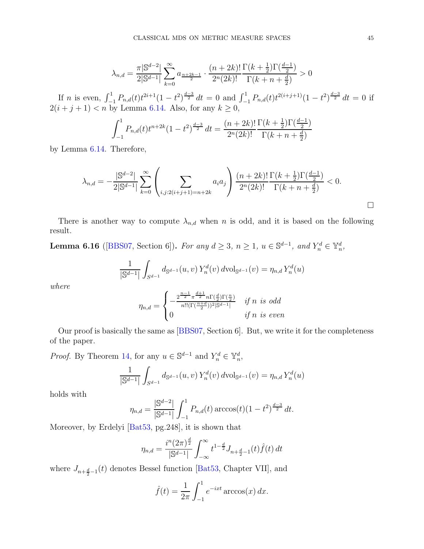$$
\lambda_{n,d} = \frac{\pi |\mathbb{S}^{d-2}|}{2|\mathbb{S}^{d-1}|} \sum_{k=0}^{\infty} a_{\frac{n+2k-1}{2}} \cdot \frac{(n+2k)!}{2^n (2k)!} \frac{\Gamma(k+\frac{1}{2}) \Gamma(\frac{d-1}{2})}{\Gamma(k+n+\frac{d}{2})} > 0
$$

If n is even,  $\int_{-1}^{1} P_{n,d}(t) t^{2i+1} (1-t^2)^{\frac{d-3}{2}} dt = 0$  and  $\int_{-1}^{1} P_{n,d}(t) t^{2(i+j+1)} (1-t^2)^{\frac{d-3}{2}} dt = 0$  if  $2(i + j + 1) < n$  by Lemma [6.14.](#page-42-1) Also, for any  $k \ge 0$ ,

$$
\int_{-1}^{1} P_{n,d}(t) t^{n+2k} (1-t^2)^{\frac{d-3}{2}} dt = \frac{(n+2k)!}{2^n (2k)!} \frac{\Gamma(k+\frac{1}{2}) \Gamma(\frac{d-1}{2})}{\Gamma(k+n+\frac{d}{2})}
$$

by Lemma [6.14.](#page-42-1) Therefore,

$$
\lambda_{n,d} = -\frac{|S^{d-2}|}{2|S^{d-1}|} \sum_{k=0}^{\infty} \left( \sum_{i,j:2(i+j+1)=n+2k} a_i a_j \right) \frac{(n+2k)!}{2^n (2k)!} \frac{\Gamma(k+\frac{1}{2}) \Gamma(\frac{d-1}{2})}{\Gamma(k+n+\frac{d}{2})} < 0.
$$

There is another way to compute  $\lambda_{n,d}$  when n is odd, and it is based on the following result.

<span id="page-44-0"></span>**Lemma 6.16** ([\[BBS07,](#page-59-12) Section 6]). For any  $d \ge 3$ ,  $n \ge 1$ ,  $u \in \mathbb{S}^{d-1}$ , and  $Y_n^d \in \mathbb{Y}_n^d$ ,

$$
\frac{1}{|\mathbb{S}^{d-1}|} \int_{S^{d-1}} d_{\mathbb{S}^{d-1}}(u, v) Y_n^d(v) d\mathrm{vol}_{\mathbb{S}^{d-1}}(v) = \eta_{n,d} Y_n^d(u)
$$

where

$$
\eta_{n,d} = \begin{cases}\n-\frac{2^{\frac{n-1}{2}} \pi^{\frac{d+1}{2}} n \Gamma(\frac{d}{2}) \Gamma(\frac{n}{2})}{n!! (\Gamma(\frac{n+d}{2}))^2 |\mathbb{S}^{d-1}|} & \text{if } n \text{ is odd} \\
0 & \text{if } n \text{ is even}\n\end{cases}
$$

Our proof is basically the same as [\[BBS07,](#page-59-12) Section 6]. But, we write it for the completeness of the paper.

*Proof.* By Theorem [14,](#page-11-0) for any  $u \in \mathbb{S}^{d-1}$  and  $Y_n^d \in \mathbb{Y}_n^d$ ,

$$
\frac{1}{|\mathbb{S}^{d-1}|} \int_{S^{d-1}} d_{\mathbb{S}^{d-1}}(u, v) Y_n^d(v) d\text{vol}_{\mathbb{S}^{d-1}}(v) = \eta_{n,d} Y_n^d(u)
$$

holds with

$$
\eta_{n,d} = \frac{|\mathbb{S}^{d-2}|}{|\mathbb{S}^{d-1}|} \int_{-1}^{1} P_{n,d}(t) \arccos(t) (1-t^2)^{\frac{d-3}{2}} dt.
$$

Moreover, by Erdelyi [\[Bat53,](#page-59-13) pg.248], it is shown that

$$
\eta_{n,d} = \frac{i^n (2\pi)^{\frac{d}{2}}}{|\mathbb{S}^{d-1}|} \int_{-\infty}^{\infty} t^{1-\frac{d}{2}} J_{n+\frac{d}{2}-1}(t) \hat{f}(t) dt
$$

where  $J_{n+\frac{d}{2}-1}(t)$  denotes Bessel function [\[Bat53,](#page-59-13) Chapter VII], and

$$
\hat{f}(t) = \frac{1}{2\pi} \int_{-1}^{1} e^{-ixt} \arccos(x) dx.
$$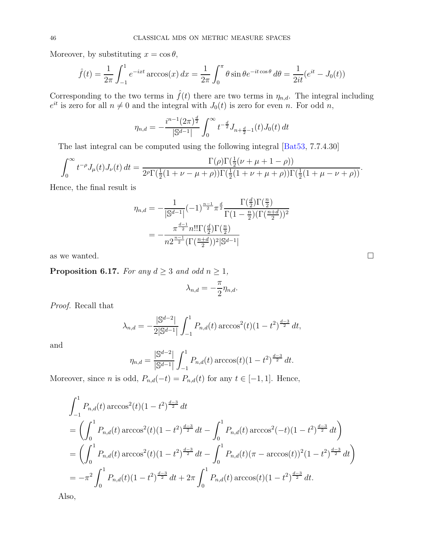Moreover, by substituting  $x = \cos \theta$ ,

$$
\hat{f}(t) = \frac{1}{2\pi} \int_{-1}^{1} e^{-ixt} \arccos(x) \, dx = \frac{1}{2\pi} \int_{0}^{\pi} \theta \sin \theta e^{-it \cos \theta} \, d\theta = \frac{1}{2it} (e^{it} - J_0(t))
$$

Corresponding to the two terms in  $\hat{f}(t)$  there are two terms in  $\eta_{n,d}$ . The integral including  $e^{it}$  is zero for all  $n \neq 0$  and the integral with  $J_0(t)$  is zero for even n. For odd n,

$$
\eta_{n,d} = -\frac{i^{n-1}(2\pi)^{\frac{d}{2}}}{|\mathbb{S}^{d-1}|} \int_0^\infty t^{-\frac{d}{2}} J_{n+\frac{d}{2}-1}(t) J_0(t) dt
$$

The last integral can be computed using the following integral [\[Bat53,](#page-59-13) 7.7.4.30]

$$
\int_0^\infty t^{-\rho} J_\mu(t) J_\nu(t) dt = \frac{\Gamma(\rho) \Gamma(\frac{1}{2}(\nu + \mu + 1 - \rho))}{2^{\rho} \Gamma(\frac{1}{2}(1 + \nu - \mu + \rho)) \Gamma(\frac{1}{2}(1 + \nu + \mu + \rho)) \Gamma(\frac{1}{2}(1 + \mu - \nu + \rho))}.
$$

Hence, the final result is

$$
\eta_{n,d} = -\frac{1}{|\mathbb{S}^{d-1}|} (-1)^{\frac{n-1}{2}} \pi^{\frac{d}{2}} \frac{\Gamma(\frac{d}{2}) \Gamma(\frac{n}{2})}{\Gamma(1-\frac{n}{2}) (\Gamma(\frac{n+d}{2}))^2}
$$

$$
= -\frac{\pi^{\frac{d-1}{2}} n! \Gamma(\frac{d}{2}) \Gamma(\frac{n}{2})}{n 2^{\frac{n-1}{2}} (\Gamma(\frac{n+d}{2}))^2 |\mathbb{S}^{d-1}|}
$$

as we wanted.  $\square$ 

<span id="page-45-0"></span>**Proposition 6.17.** For any  $d \geq 3$  and odd  $n \geq 1$ ,

$$
\lambda_{n,d} = -\frac{\pi}{2} \eta_{n,d}.
$$

Proof. Recall that

$$
\lambda_{n,d} = -\frac{|\mathbb{S}^{d-2}|}{2|\mathbb{S}^{d-1}|} \int_{-1}^{1} P_{n,d}(t) \arccos^{2}(t) (1-t^{2})^{\frac{d-3}{2}} dt,
$$

and

$$
\eta_{n,d} = \frac{|\mathbb{S}^{d-2}|}{|\mathbb{S}^{d-1}|} \int_{-1}^{1} P_{n,d}(t) \arccos(t) (1-t^2)^{\frac{d-3}{2}} dt.
$$

Moreover, since n is odd,  $P_{n,d}(-t) = P_{n,d}(t)$  for any  $t \in [-1,1]$ . Hence,

$$
\int_{-1}^{1} P_{n,d}(t) \arccos^{2}(t) (1 - t^{2})^{\frac{d-3}{2}} dt
$$
\n
$$
= \left( \int_{0}^{1} P_{n,d}(t) \arccos^{2}(t) (1 - t^{2})^{\frac{d-3}{2}} dt - \int_{0}^{1} P_{n,d}(t) \arccos^{2}(-t) (1 - t^{2})^{\frac{d-3}{2}} dt \right)
$$
\n
$$
= \left( \int_{0}^{1} P_{n,d}(t) \arccos^{2}(t) (1 - t^{2})^{\frac{d-3}{2}} dt - \int_{0}^{1} P_{n,d}(t) (\pi - \arccos(t))^{2} (1 - t^{2})^{\frac{d-3}{2}} dt \right)
$$
\n
$$
= -\pi^{2} \int_{0}^{1} P_{n,d}(t) (1 - t^{2})^{\frac{d-3}{2}} dt + 2\pi \int_{0}^{1} P_{n,d}(t) \arccos(t) (1 - t^{2})^{\frac{d-3}{2}} dt.
$$

Also,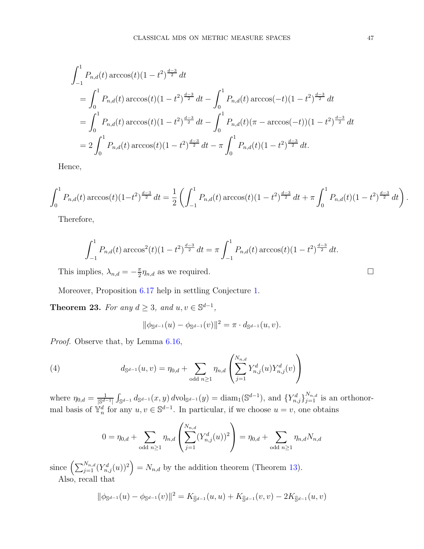$$
\int_{-1}^{1} P_{n,d}(t) \arccos(t) (1 - t^2)^{\frac{d-3}{2}} dt
$$
\n
$$
= \int_{0}^{1} P_{n,d}(t) \arccos(t) (1 - t^2)^{\frac{d-3}{2}} dt - \int_{0}^{1} P_{n,d}(t) \arccos(-t) (1 - t^2)^{\frac{d-3}{2}} dt
$$
\n
$$
= \int_{0}^{1} P_{n,d}(t) \arccos(t) (1 - t^2)^{\frac{d-3}{2}} dt - \int_{0}^{1} P_{n,d}(t) (\pi - \arccos(-t)) (1 - t^2)^{\frac{d-3}{2}} dt
$$
\n
$$
= 2 \int_{0}^{1} P_{n,d}(t) \arccos(t) (1 - t^2)^{\frac{d-3}{2}} dt - \pi \int_{0}^{1} P_{n,d}(t) (1 - t^2)^{\frac{d-3}{2}} dt.
$$

Hence,

$$
\int_0^1 P_{n,d}(t) \arccos(t) (1-t^2)^{\frac{d-3}{2}} dt = \frac{1}{2} \left( \int_{-1}^1 P_{n,d}(t) \arccos(t) (1-t^2)^{\frac{d-3}{2}} dt + \pi \int_0^1 P_{n,d}(t) (1-t^2)^{\frac{d-3}{2}} dt \right).
$$

Therefore,

$$
\int_{-1}^{1} P_{n,d}(t) \arccos^{2}(t) (1-t^{2})^{\frac{d-3}{2}} dt = \pi \int_{-1}^{1} P_{n,d}(t) \arccos(t) (1-t^{2})^{\frac{d-3}{2}} dt.
$$

This implies,  $\lambda_{n,d} = -\frac{\pi}{2}$  $\frac{\pi}{2}\eta_{n,d}$  as we required.

Moreover, Proposition [6.17](#page-45-0) help in settling Conjecture [1.](#page-39-0)

<span id="page-46-0"></span>**Theorem 23.** For any  $d \geq 3$ , and  $u, v \in \mathbb{S}^{d-1}$ ,

<span id="page-46-1"></span>
$$
\|\phi_{\mathbb{S}^{d-1}}(u)-\phi_{\mathbb{S}^{d-1}}(v)\|^2=\pi\cdot d_{\mathbb{S}^{d-1}}(u,v).
$$

Proof. Observe that, by Lemma [6.16,](#page-44-0)

(4) 
$$
d_{\mathbb{S}^{d-1}}(u,v) = \eta_{0,d} + \sum_{\text{odd } n \geq 1} \eta_{n,d} \left( \sum_{j=1}^{N_{n,d}} Y_{n,j}^d(u) Y_{n,j}^d(v) \right)
$$

where  $\eta_{0,d} = \frac{1}{|\mathbb{S}^{d-1}|}$  $\int_{\mathbb{S}^{d-1}} d_{\mathbb{S}^{d-1}}(x, y) d\text{vol}_{\mathbb{S}^{d-1}}(y) = \text{diam}_1(\mathbb{S}^{d-1}), \text{ and } \{Y_{n,j}^d\}_{j=1}^{N_{n,d}} \text{ is an orthonor-}$ mal basis of  $\mathbb{Y}_n^d$  for any  $u, v \in \mathbb{S}^{d-1}$ . In particular, if we choose  $u = v$ , one obtains

$$
0 = \eta_{0,d} + \sum_{\text{odd } n \ge 1} \eta_{n,d} \left( \sum_{j=1}^{N_{n,d}} (Y_{n,j}^d(u))^2 \right) = \eta_{0,d} + \sum_{\text{odd } n \ge 1} \eta_{n,d} N_{n,d}
$$

since  $\left(\sum_{j=1}^{N_{n,d}} (Y_{n,j}^d(u))^2\right) = N_{n,d}$  by the addition theorem (Theorem [13\)](#page-10-3). Also, recall that

$$
\|\phi_{\mathbb{S}^{d-1}}(u) - \phi_{\mathbb{S}^{d-1}}(v)\|^2 = K_{\widehat{\mathbb{S}}^{d-1}}(u, u) + K_{\widehat{\mathbb{S}}^{d-1}}(v, v) - 2K_{\widehat{\mathbb{S}}^{d-1}}(u, v)
$$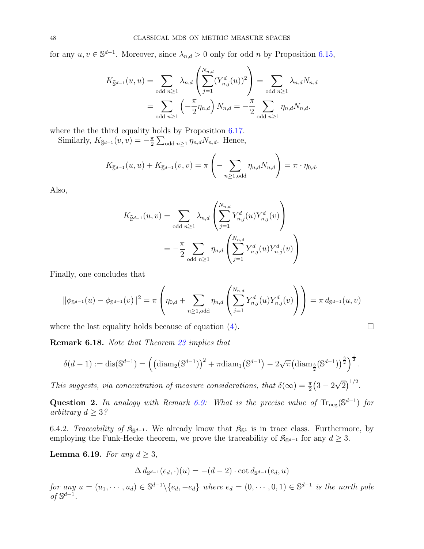for any  $u, v \in \mathbb{S}^{d-1}$ . Moreover, since  $\lambda_{n,d} > 0$  only for odd n by Proposition [6.15,](#page-43-0)

$$
K_{\hat{S}^{d-1}}(u, u) = \sum_{\text{odd } n \ge 1} \lambda_{n,d} \left( \sum_{j=1}^{N_{n,d}} (Y_{n,j}^d(u))^2 \right) = \sum_{\text{odd } n \ge 1} \lambda_{n,d} N_{n,d}
$$
  
= 
$$
\sum_{\text{odd } n \ge 1} \left( -\frac{\pi}{2} \eta_{n,d} \right) N_{n,d} = -\frac{\pi}{2} \sum_{\text{odd } n \ge 1} \eta_{n,d} N_{n,d}.
$$

where the the third equality holds by Proposition [6.17.](#page-45-0)

Similarly,  $K_{\widehat{\mathbb{S}}^{d-1}}(v, v) = -\frac{\pi}{2}$  $\frac{\pi}{2} \sum_{\text{odd } n \geq 1} \eta_{n,d} N_{n,d}$ . Hence,

$$
K_{\widehat{\mathbb{S}}^{d-1}}(u,u)+K_{\widehat{\mathbb{S}}^{d-1}}(v,v)=\pi\left(-\sum_{n\geq 1,\text{odd}}\eta_{n,d}N_{n,d}\right)=\pi\cdot\eta_{0,d}.
$$

Also,

$$
K_{\widehat{\mathbb{S}}^{d-1}}(u,v) = \sum_{\text{odd } n \ge 1} \lambda_{n,d} \left( \sum_{j=1}^{N_{n,d}} Y_{n,j}^d(u) Y_{n,j}^d(v) \right)
$$
  
= 
$$
-\frac{\pi}{2} \sum_{\text{odd } n \ge 1} \eta_{n,d} \left( \sum_{j=1}^{N_{n,d}} Y_{n,j}^d(u) Y_{n,j}^d(v) \right)
$$

Finally, one concludes that

$$
\|\phi_{\mathbb{S}^{d-1}}(u) - \phi_{\mathbb{S}^{d-1}}(v)\|^2 = \pi \left(\eta_{0,d} + \sum_{n \ge 1, \text{odd}} \eta_{n,d} \left(\sum_{j=1}^{N_{n,d}} Y_{n,j}^d(u) Y_{n,j}^d(v)\right)\right) = \pi d_{\mathbb{S}^{d-1}}(u,v)
$$

where the last equality holds because of equation [\(4\)](#page-46-1).

Remark 6.18. Note that Theorem [23](#page-46-0) implies that

$$
\delta(d-1) := \text{dis}(\mathbb{S}^{d-1}) = \left( \left( \text{diam}_2(\mathbb{S}^{d-1}) \right)^2 + \pi \text{diam}_1(\mathbb{S}^{d-1}) - 2\sqrt{\pi} \left( \text{diam}_{\frac{3}{2}}(\mathbb{S}^{d-1}) \right)^{\frac{3}{2}} \right)^{\frac{1}{2}}.
$$

This suggests, via concentration of measure considerations, that  $\delta(\infty) = \frac{\pi}{2} (3 - 2\sqrt{2})^{1/2}$ .

Question 2. In analogy with Remark [6.9:](#page-40-3) What is the precise value of  $\text{Tr}_{\text{neg}}(\mathbb{S}^{d-1})$  for arbitrary  $d \geq 3$ ?

6.4.2. Traceability of  $\mathfrak{K}_{S^{d-1}}$ . We already know that  $\mathfrak{K}_{S^1}$  is in trace class. Furthermore, by employing the Funk-Hecke theorem, we prove the traceability of  $\mathfrak{K}_{\mathbb{S}^{d-1}}$  for any  $d \geq 3$ .

<span id="page-47-0"></span>Lemma 6.19. For any  $d \geq 3$ ,

$$
\Delta d_{\mathbb{S}^{d-1}}(e_d, \cdot)(u) = -(d-2) \cdot \cot d_{\mathbb{S}^{d-1}}(e_d, u)
$$

for any  $u = (u_1, \dots, u_d) \in \mathbb{S}^{d-1} \setminus \{e_d, -e_d\}$  where  $e_d = (0, \dots, 0, 1) \in \mathbb{S}^{d-1}$  is the north pole  $of$  \$<sup>d−1</sup>.

$$
\qquad \qquad \Box
$$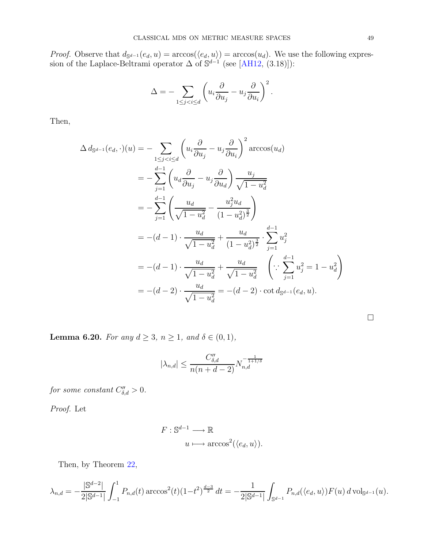*Proof.* Observe that  $d_{\mathbb{S}^{d-1}}(e_d, u) = \arccos(\langle e_d, u \rangle) = \arccos(u_d)$ . We use the following expression of the Laplace-Beltrami operator  $\Delta$  of  $\mathbb{S}^{d-1}$  (see [\[AH12,](#page-59-8) (3.18)]):

$$
\Delta = -\sum_{1 \leq j < i \leq d} \left( u_i \frac{\partial}{\partial u_j} - u_j \frac{\partial}{\partial u_i} \right)^2.
$$

Then,

$$
\Delta d_{\mathbb{S}^{d-1}}(e_d, \cdot)(u) = -\sum_{1 \le j < i \le d} \left( u_i \frac{\partial}{\partial u_j} - u_j \frac{\partial}{\partial u_i} \right)^2 \arccos(u_d)
$$
\n
$$
= -\sum_{j=1}^{d-1} \left( u_d \frac{\partial}{\partial u_j} - u_j \frac{\partial}{\partial u_d} \right) \frac{u_j}{\sqrt{1 - u_d^2}}
$$
\n
$$
= -\sum_{j=1}^{d-1} \left( \frac{u_d}{\sqrt{1 - u_d^2}} - \frac{u_j^2 u_d}{(1 - u_d^2)^{\frac{3}{2}}} \right)
$$
\n
$$
= -(d - 1) \cdot \frac{u_d}{\sqrt{1 - u_d^2}} + \frac{u_d}{(1 - u_d^2)^{\frac{3}{2}}} \cdot \sum_{j=1}^{d-1} u_j^2
$$
\n
$$
= -(d - 1) \cdot \frac{u_d}{\sqrt{1 - u_d^2}} + \frac{u_d}{\sqrt{1 - u_d^2}} \quad \left( \because \sum_{j=1}^{d-1} u_j^2 = 1 - u_d^2 \right)
$$
\n
$$
= -(d - 2) \cdot \frac{u_d}{\sqrt{1 - u_d^2}} = -(d - 2) \cdot \cot d_{\mathbb{S}^{d-1}}(e_d, u).
$$

<span id="page-48-0"></span>Lemma 6.20. For any  $d \geq 3$ ,  $n \geq 1$ , and  $\delta \in (0,1)$ ,

$$
|\lambda_{n,d}| \le \frac{C''_{\delta,d}}{n(n+d-2)} N_{n,d}^{-\frac{1}{1+1/\delta}}
$$

for some constant  $C''_{\delta,d} > 0$ .

Proof. Let

$$
F: \mathbb{S}^{d-1} \longrightarrow \mathbb{R}
$$
  

$$
u \longmapsto \arccos^2(\langle e_d, u \rangle).
$$

Then, by Theorem [22,](#page-41-0)

$$
\lambda_{n,d} = -\frac{|\mathbb{S}^{d-2}|}{2|\mathbb{S}^{d-1}|} \int_{-1}^1 P_{n,d}(t) \arccos^2(t) (1-t^2)^{\frac{d-3}{2}} dt = -\frac{1}{2|\mathbb{S}^{d-1}|} \int_{\mathbb{S}^{d-1}} P_{n,d}(\langle e_d, u \rangle) F(u) d\operatorname{vol}_{\mathbb{S}^{d-1}}(u).
$$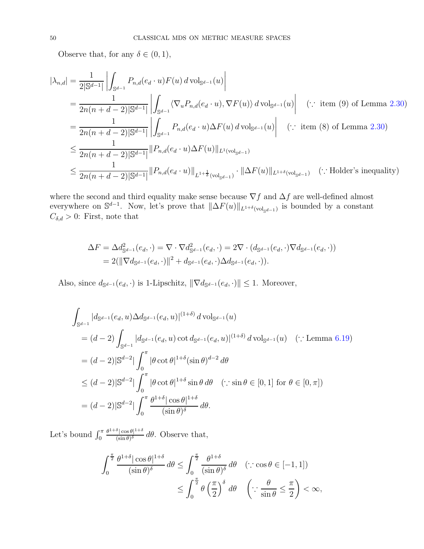Observe that, for any  $\delta \in (0, 1)$ ,

$$
\begin{split}\n|\lambda_{n,d}| &= \frac{1}{2|\mathbb{S}^{d-1}|} \left| \int_{\mathbb{S}^{d-1}} P_{n,d}(e_d \cdot u) F(u) \, d\,\text{vol}_{\mathbb{S}^{d-1}}(u) \right| \\
&= \frac{1}{2n(n+d-2)|\mathbb{S}^{d-1}|} \left| \int_{\mathbb{S}^{d-1}} \langle \nabla_u P_{n,d}(e_d \cdot u), \nabla F(u) \rangle \, d\,\text{vol}_{\mathbb{S}^{d-1}}(u) \right| \quad (\because \text{ item (9) of Lemma 2.30}) \\
&= \frac{1}{2n(n+d-2)|\mathbb{S}^{d-1}|} \left| \int_{\mathbb{S}^{d-1}} P_{n,d}(e_d \cdot u) \Delta F(u) \, d\,\text{vol}_{\mathbb{S}^{d-1}}(u) \right| \quad (\because \text{ item (8) of Lemma 2.30}) \\
&\leq \frac{1}{2n(n+d-2)|\mathbb{S}^{d-1}|} \| P_{n,d}(e_d \cdot u) \Delta F(u) \|_{L^1(\text{vol}_{\mathbb{S}^{d-1}})} \\
&\leq \frac{1}{2n(n+d-2)|\mathbb{S}^{d-1}|} \| P_{n,d}(e_d \cdot u) \|_{L^1 + \frac{1}{\delta}(\text{vol}_{\mathbb{S}^{d-1}})} \cdot \| \Delta F(u) \|_{L^1 + \delta(\text{vol}_{\mathbb{S}^{d-1}})} \quad (\because \text{Holder's inequality})\n\end{split}
$$

where the second and third equality make sense because  $\nabla f$  and  $\Delta f$  are well-defined almost everywhere on  $\mathbb{S}^{d-1}$ . Now, let's prove that  $\|\Delta F(u)\|_{L^{1+\delta}(\text{vol}_{\mathbb{S}^{d-1}})}$  is bounded by a constant  $C_{\delta,d} > 0$ : First, note that

$$
\Delta F = \Delta d_{\mathbb{S}^{d-1}}^2(e_d, \cdot) = \nabla \cdot \nabla d_{\mathbb{S}^{d-1}}^2(e_d, \cdot) = 2\nabla \cdot (d_{\mathbb{S}^{d-1}}(e_d, \cdot) \nabla d_{\mathbb{S}^{d-1}}(e_d, \cdot))
$$
  
= 2(||\nabla d\_{\mathbb{S}^{d-1}}(e\_d, \cdot)||^2 + d\_{\mathbb{S}^{d-1}}(e\_d, \cdot) \Delta d\_{\mathbb{S}^{d-1}}(e\_d, \cdot)).

Also, since  $d_{\mathbb{S}^{d-1}}(e_d, \cdot)$  is 1-Lipschitz,  $\|\nabla d_{\mathbb{S}^{d-1}}(e_d, \cdot)\| \leq 1$ . Moreover,

$$
\int_{\mathbb{S}^{d-1}} |d_{\mathbb{S}^{d-1}}(e_d, u) \Delta d_{\mathbb{S}^{d-1}}(e_d, u)|^{(1+\delta)} d \operatorname{vol}_{\mathbb{S}^{d-1}}(u)
$$
\n
$$
= (d-2) \int_{\mathbb{S}^{d-1}} |d_{\mathbb{S}^{d-1}}(e_d, u) \cot d_{\mathbb{S}^{d-1}}(e_d, u)|^{(1+\delta)} d \operatorname{vol}_{\mathbb{S}^{d-1}}(u) \quad (\because \operatorname{Lemma 6.19})
$$
\n
$$
= (d-2)|\mathbb{S}^{d-2}| \int_0^\pi |\theta \cot \theta|^{1+\delta} (\sin \theta)^{d-2} d\theta
$$
\n
$$
\leq (d-2)|\mathbb{S}^{d-2}| \int_0^\pi |\theta \cot \theta|^{1+\delta} \sin \theta d\theta \quad (\because \sin \theta \in [0, 1] \text{ for } \theta \in [0, \pi])
$$
\n
$$
= (d-2)|\mathbb{S}^{d-2}| \int_0^\pi \frac{\theta^{1+\delta} |\cos \theta|^{1+\delta}}{(\sin \theta)^{\delta}} d\theta.
$$

Let's bound  $\int_0^{\pi}$  $\theta^{1+\delta}$  | cos  $\theta$ | $^{1+\delta}$  $\frac{\sin \theta}{\sin \theta}$  de. Observe that,

$$
\int_0^{\frac{\pi}{2}} \frac{\theta^{1+\delta} |\cos \theta|^{1+\delta}}{(\sin \theta)^{\delta}} d\theta \le \int_0^{\frac{\pi}{2}} \frac{\theta^{1+\delta}}{(\sin \theta)^{\delta}} d\theta \quad (\because \cos \theta \in [-1, 1])
$$
  

$$
\le \int_0^{\frac{\pi}{2}} \theta \left(\frac{\pi}{2}\right)^{\delta} d\theta \quad \left(\because \frac{\theta}{\sin \theta} \le \frac{\pi}{2}\right) < \infty,
$$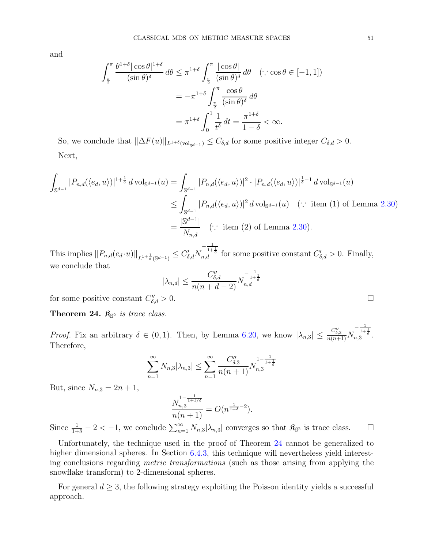and

$$
\int_{\frac{\pi}{2}}^{\pi} \frac{\theta^{1+\delta} |\cos \theta|^{1+\delta}}{(\sin \theta)^{\delta}} d\theta \le \pi^{1+\delta} \int_{\frac{\pi}{2}}^{\pi} \frac{|\cos \theta|}{(\sin \theta)^{\delta}} d\theta \quad (\because \cos \theta \in [-1, 1])
$$

$$
= -\pi^{1+\delta} \int_{\frac{\pi}{2}}^{\pi} \frac{\cos \theta}{(\sin \theta)^{\delta}} d\theta
$$

$$
= \pi^{1+\delta} \int_{0}^{1} \frac{1}{t^{\delta}} dt = \frac{\pi^{1+\delta}}{1-\delta} < \infty.
$$

So, we conclude that  $\|\Delta F(u)\|_{L^{1+\delta}(\text{vol}_{\mathbb{S}^{d-1}})} \leq C_{\delta,d}$  for some positive integer  $C_{\delta,d} > 0$ . Next,

$$
\int_{\mathbb{S}^{d-1}} |P_{n,d}(\langle e_d, u \rangle)|^{1+\frac{1}{\delta}} d\text{vol}_{\mathbb{S}^{d-1}}(u) = \int_{\mathbb{S}^{d-1}} |P_{n,d}(\langle e_d, u \rangle)|^2 \cdot |P_{n,d}(\langle e_d, u \rangle)|^{\frac{1}{\delta}-1} d\text{vol}_{\mathbb{S}^{d-1}}(u)
$$
\n
$$
\leq \int_{\mathbb{S}^{d-1}} |P_{n,d}(\langle e_d, u \rangle)|^2 d\text{ vol}_{\mathbb{S}^{d-1}}(u) \quad (\because \text{ item (1) of Lemma 2.30})
$$
\n
$$
= \frac{|\mathbb{S}^{d-1}|}{N_{n,d}} \quad (\because \text{ item (2) of Lemma 2.30}).
$$

This implies  $||P_{n,d}(e_d \cdot u)||_{L^{1+\frac{1}{\delta}}(\mathbb{S}^{d-1})} \leq C'_{\delta,d}N$  $-\frac{1}{1+\frac{1}{\delta}}$  for some positive constant  $C'_{\delta,d} > 0$ . Finally, we conclude that

$$
|\lambda_{n,d}| \le \frac{C''_{\delta,d}}{n(n+d-2)} N_{n,d}^{-\frac{1}{1+\frac{1}{\delta}}}
$$

for some positive constant  $C''_{\delta}$  $\int_{\delta,d}^{\prime\prime} > 0.$ 

<span id="page-50-0"></span>Theorem 24.  $\mathfrak{K}_{\mathbb{S}^2}$  is trace class.

*Proof.* Fix an arbitrary  $\delta \in (0, 1)$ . Then, by Lemma [6.20,](#page-48-0) we know  $|\lambda_{n,3}| \leq \frac{C_{\delta,3}''}{n(n+1)}N$  $-\frac{1}{1+\frac{1}{\delta}}$ <br>n,3 Therefore,

$$
\sum_{n=1}^{\infty} N_{n,3} |\lambda_{n,3}| \le \sum_{n=1}^{\infty} \frac{C_{\delta,3}''}{n(n+1)} N_{n,3}^{1-\frac{1}{1+\frac{1}{\delta}}}
$$

But, since  $N_{n,3} = 2n + 1$ ,

$$
\frac{N_{n,3}^{1-\frac{1}{1+1/\delta}}}{n(n+1)} = O(n^{\frac{1}{1+\delta}-2}).
$$

Since  $\frac{1}{1+\delta} - 2 < -1$ , we conclude  $\sum_{n=1}^{\infty} N_{n,3} |\lambda_{n,3}|$  converges so that  $\mathfrak{K}_{\mathbb{S}^2}$  is trace class.  $\square$ 

Unfortunately, the technique used in the proof of Theorem [24](#page-50-0) cannot be generalized to higher dimensional spheres. In Section [6.4.3,](#page-52-0) this technique will nevertheless yield interesting conclusions regarding metric transformations (such as those arising from applying the snowflake transform) to 2-dimensional spheres.

For general  $d \geq 3$ , the following strategy exploiting the Poisson identity yields a successful approach.

$$
\Box
$$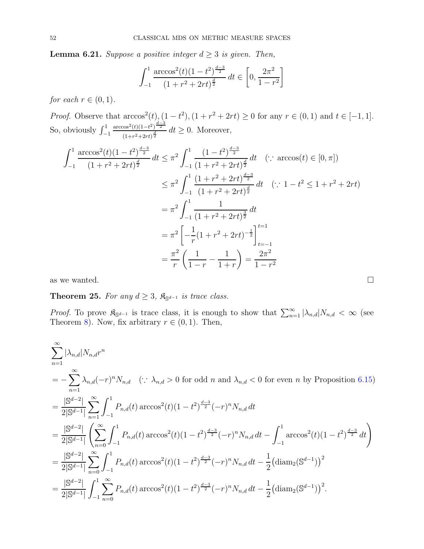<span id="page-51-0"></span>**Lemma 6.21.** Suppose a positive integer  $d \geq 3$  is given. Then,

$$
\int_{-1}^{1} \frac{\arccos^{2}(t)(1-t^{2})^{\frac{d-3}{2}}}{(1+r^{2}+2rt)^{\frac{d}{2}}} dt \in \left[0, \frac{2\pi^{2}}{1-r^{2}}\right]
$$

for each  $r \in (0,1)$ .

*Proof.* Observe that  $\arccos^2(t)$ ,  $(1 - t^2)$ ,  $(1 + r^2 + 2rt) \ge 0$  for any  $r \in (0, 1)$  and  $t \in [-1, 1]$ . So, obviously  $\int_{-1}^{1}$  $\arccos^2(t)(1-t^2)^{\frac{d-3}{2}}$  $\frac{d^{308}(t)(1-t^2)^{-2}}{(1+r^2+2rt)^{\frac{d}{2}}} dt \geq 0$ . Moreover,

$$
\int_{-1}^{1} \frac{\arccos^{2}(t)(1-t^{2})^{\frac{d-3}{2}}}{(1+r^{2}+2rt)^{\frac{d}{2}}} dt \leq \pi^{2} \int_{-1}^{1} \frac{(1-t^{2})^{\frac{d-3}{2}}}{(1+r^{2}+2rt)^{\frac{d}{2}}} dt \quad (\because \arccos(t) \in [0, \pi])
$$
  

$$
\leq \pi^{2} \int_{-1}^{1} \frac{(1+r^{2}+2rt)^{\frac{d-3}{2}}}{(1+r^{2}+2rt)^{\frac{d}{2}}} dt \quad (\because 1-t^{2} \leq 1+r^{2}+2rt)
$$
  

$$
= \pi^{2} \int_{-1}^{1} \frac{1}{(1+r^{2}+2rt)^{\frac{3}{2}}} dt
$$
  

$$
= \pi^{2} \left[ -\frac{1}{r} (1+r^{2}+2rt)^{-\frac{1}{2}} \right]_{t=-1}^{t=1}
$$
  

$$
= \frac{\pi^{2}}{r} \left( \frac{1}{1-r} - \frac{1}{1+r} \right) = \frac{2\pi^{2}}{1-r^{2}}
$$

as we wanted.  $\square$ 

<span id="page-51-1"></span>**Theorem 25.** For any  $d \geq 3$ ,  $\mathfrak{K}_{\mathbb{S}^{d-1}}$  is trace class.

*Proof.* To prove  $\mathfrak{K}_{\mathbb{S}^{d-1}}$  is trace class, it is enough to show that  $\sum_{n=1}^{\infty} |\lambda_{n,d}| N_{n,d} < \infty$  (see Theorem [8\)](#page-7-1). Now, fix arbitrary  $r \in (0, 1)$ . Then,

$$
\sum_{n=1}^{\infty} |\lambda_{n,d}| N_{n,d} r^n
$$
\n
$$
= -\sum_{n=1}^{\infty} \lambda_{n,d} (-r)^n N_{n,d} \quad (\because \lambda_{n,d} > 0 \text{ for odd } n \text{ and } \lambda_{n,d} < 0 \text{ for even } n \text{ by Proposition 6.15})
$$
\n
$$
= \frac{|S^{d-2}|}{2|S^{d-1}|} \sum_{n=1}^{\infty} \int_{-1}^{1} P_{n,d}(t) \arccos^{2}(t) (1-t^{2})^{\frac{d-3}{2}} (-r)^n N_{n,d} dt
$$
\n
$$
= \frac{|S^{d-2}|}{2|S^{d-1}|} \left( \sum_{n=0}^{\infty} \int_{-1}^{1} P_{n,d}(t) \arccos^{2}(t) (1-t^{2})^{\frac{d-3}{2}} (-r)^n N_{n,d} dt - \int_{-1}^{1} \arccos^{2}(t) (1-t^{2})^{\frac{d-3}{2}} dt \right)
$$
\n
$$
= \frac{|S^{d-2}|}{2|S^{d-1}|} \sum_{n=0}^{\infty} \int_{-1}^{1} P_{n,d}(t) \arccos^{2}(t) (1-t^{2})^{\frac{d-3}{2}} (-r)^n N_{n,d} dt - \frac{1}{2} (\text{diam}_{2}(S^{d-1}))^2
$$
\n
$$
= \frac{|S^{d-2}|}{2|S^{d-1}|} \int_{-1}^{1} \sum_{n=0}^{\infty} P_{n,d}(t) \arccos^{2}(t) (1-t^{2})^{\frac{d-3}{2}} (-r)^n N_{n,d} dt - \frac{1}{2} (\text{diam}_{2}(S^{d-1}))^2.
$$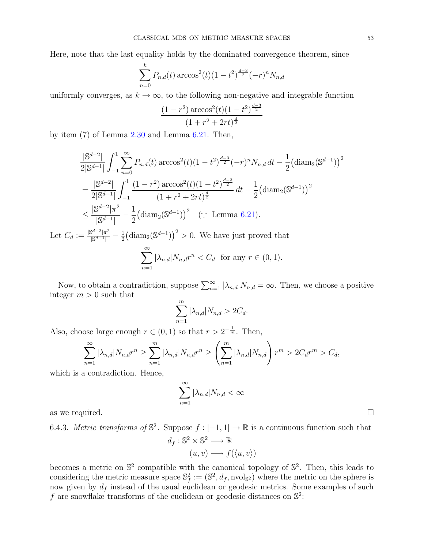Here, note that the last equality holds by the dominated convergence theorem, since

$$
\sum_{n=0}^{k} P_{n,d}(t) \arccos^{2}(t) (1-t^{2})^{\frac{d-3}{2}} (-r)^{n} N_{n,d}
$$

uniformly converges, as  $k \to \infty$ , to the following non-negative and integrable function

$$
\frac{(1-r^2)\arccos^2(t)(1-t^2)^{\frac{d-3}{2}}}{(1+r^2+2rt)^{\frac{d}{2}}}
$$

by item (7) of Lemma [2.30](#page-10-2) and Lemma [6.21.](#page-51-0) Then,

$$
\frac{|\mathbb{S}^{d-2}|}{2|\mathbb{S}^{d-1}|} \int_{-1}^{1} \sum_{n=0}^{\infty} P_{n,d}(t) \arccos^{2}(t) (1-t^{2})^{\frac{d-3}{2}} (-r)^{n} N_{n,d} dt - \frac{1}{2} (\text{diam}_{2}(\mathbb{S}^{d-1}))
$$
  
\n
$$
= \frac{|\mathbb{S}^{d-2}|}{2|\mathbb{S}^{d-1}|} \int_{-1}^{1} \frac{(1-r^{2}) \arccos^{2}(t) (1-t^{2})^{\frac{d-3}{2}}}{(1+r^{2}+2rt)^{\frac{d}{2}}} dt - \frac{1}{2} (\text{diam}_{2}(\mathbb{S}^{d-1}))^{2}
$$
  
\n
$$
\leq \frac{|\mathbb{S}^{d-2}| \pi^{2}}{|\mathbb{S}^{d-1}|} - \frac{1}{2} (\text{diam}_{2}(\mathbb{S}^{d-1}))^{2} \quad (\because \text{ Lemma 6.21}).
$$
  
\nLet  $C_{d} := \frac{|\mathbb{S}^{d-2}| \pi^{2}}{|\mathbb{S}^{d-1}|} - \frac{1}{2} (\text{diam}_{2}(\mathbb{S}^{d-1}))^{2} > 0$ . We have just proved that  
\n
$$
\sum_{n=1}^{\infty} |\lambda_{n,d}| N_{n,d} r^{n} < C_{d} \text{ for any } r \in (0, 1).
$$

Now, to obtain a contradiction, suppose  $\sum_{n=1}^{\infty} |\lambda_{n,d}| N_{n,d} = \infty$ . Then, we choose a positive integer  $m > 0$  such that

$$
\sum_{n=1}^{m} |\lambda_{n,d}| N_{n,d} > 2C_d.
$$

Also, choose large enough  $r \in (0,1)$  so that  $r > 2^{-\frac{1}{m}}$ . Then,

$$
\sum_{n=1}^{\infty} |\lambda_{n,d}| N_{n,d} r^n \ge \sum_{n=1}^m |\lambda_{n,d}| N_{n,d} r^n \ge \left(\sum_{n=1}^m |\lambda_{n,d}| N_{n,d}\right) r^m > 2C_d r^m > C_d,
$$

which is a contradiction. Hence,

$$
\sum_{n=1}^{\infty} |\lambda_{n,d}| N_{n,d} < \infty
$$
 as we required.

<span id="page-52-0"></span>

6.4.3. Metric transforms of  $\mathbb{S}^2$ . Suppose  $f: [-1, 1] \to \mathbb{R}$  is a continuous function such that  $d_f: \mathbb{S}^2 \times \mathbb{S}^2 \longrightarrow \mathbb{R}$  $(u, v) \longmapsto f(\langle u, v \rangle)$ 

becomes a metric on  $\mathbb{S}^2$  compatible with the canonical topology of  $\mathbb{S}^2$ . Then, this leads to considering the metric measure space  $\mathbb{S}^2_f := (\mathbb{S}^2, d_f, \text{nvol}_{\mathbb{S}^2})$  where the metric on the sphere is now given by  $d_f$  instead of the usual euclidean or geodesic metrics. Some examples of such f are snowflake transforms of the euclidean or geodesic distances on  $\mathbb{S}^2$ :

2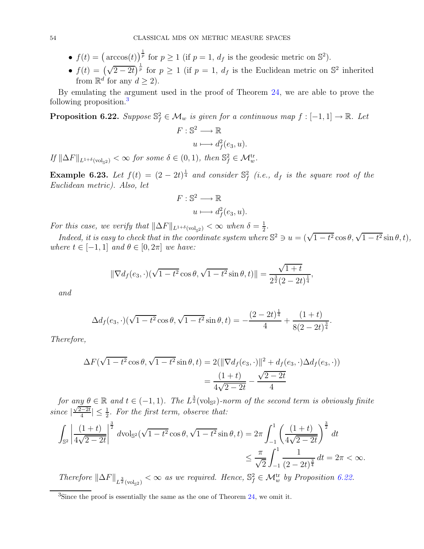- $f(t) = (\arccos(t))$ <sup> $\frac{1}{p}$ </sup> for  $p \ge 1$  (if  $p = 1$ ,  $d_f$  is the geodesic metric on  $\mathbb{S}^2$ ).
- $f(t) = (\sqrt{2-2t})^{\frac{1}{p}}$  for  $p \ge 1$  (if  $p = 1$ ,  $d_f$  is the Euclidean metric on  $\mathbb{S}^2$  inherited from  $\mathbb{R}^d$  for any  $d \geq 2$ ).

By emulating the argument used in the proof of Theorem [24,](#page-50-0) we are able to prove the following proposition.[3](#page-53-0)

<span id="page-53-1"></span>**Proposition 6.22.** Suppose  $\mathbb{S}_{f}^{2} \in \mathcal{M}_{w}$  is given for a continuous map  $f: [-1, 1] \to \mathbb{R}$ . Let  $F:\mathbb{S}^2\longrightarrow \mathbb{R}$ 

$$
u \longmapsto d_f^2(e_3, u).
$$

If  $\|\Delta F\|_{L^{1+\delta}(\text{vol}_{\mathbb{S}^2})} < \infty$  for some  $\delta \in (0,1)$ , then  $\mathbb{S}_f^2 \in \mathcal{M}_w^{\text{tr}}$ .

**Example 6.23.** Let  $f(t) = (2 - 2t)^{\frac{1}{4}}$  and consider  $\mathbb{S}^2_f$  (i.e.,  $d_f$  is the square root of the Euclidean metric). Also, let

$$
F: \mathbb{S}^2 \longrightarrow \mathbb{R}
$$

$$
u \longmapsto d_f^2(e_3, u).
$$

For this case, we verify that  $\|\Delta F\|_{L^{1+\delta}(\text{vol}_{\mathbb{S}^2})} < \infty$  when  $\delta = \frac{1}{2}$  $\frac{1}{2}$ .

Indeed, it is easy to check that in the coordinate system where  $\mathbb{S}^2 \ni u = (\sqrt{1-t^2} \cos \theta, \sqrt{1-t^2} \sin \theta, t),$ where  $t \in [-1, 1]$  and  $\theta \in [0, 2\pi]$  we have:

$$
\|\nabla d_f(e_3,\cdot)(\sqrt{1-t^2}\cos\theta,\sqrt{1-t^2}\sin\theta,t)\| = \frac{\sqrt{1+t}}{2^{\frac{3}{2}}(2-2t)^{\frac{1}{4}}},
$$

and

$$
\Delta d_f(e_3,\cdot)(\sqrt{1-t^2}\cos\theta,\sqrt{1-t^2}\sin\theta,t) = -\frac{(2-2t)^{\frac{1}{4}}}{4} + \frac{(1+t)}{8(2-2t)^{\frac{3}{4}}}.
$$

Therefore,

$$
\Delta F(\sqrt{1-t^2}\cos\theta, \sqrt{1-t^2}\sin\theta, t) = 2(||\nabla d_f(e_3, \cdot)||^2 + d_f(e_3, \cdot)\Delta d_f(e_3, \cdot))
$$

$$
= \frac{(1+t)}{4\sqrt{2-2t}} - \frac{\sqrt{2-2t}}{4}
$$

for any  $\theta \in \mathbb{R}$  and  $t \in (-1,1)$ . The  $L^{\frac{3}{2}}(\text{vol}_{\mathbb{S}^2})$ -norm of the second term is obviously finite since  $\left|\frac{\sqrt{2-2t}}{4}\right| \leq \frac{1}{2}$ . For the first term, observe that:

$$
\int_{\mathbb{S}^2} \left| \frac{(1+t)}{4\sqrt{2-2t}} \right|^{\frac{3}{2}} d\text{vol}_{\mathbb{S}^2}(\sqrt{1-t^2}\cos\theta, \sqrt{1-t^2}\sin\theta, t) = 2\pi \int_{-1}^1 \left( \frac{(1+t)}{4\sqrt{2-2t}} \right)^{\frac{3}{2}} dt
$$
  

$$
\leq \frac{\pi}{\sqrt{2}} \int_{-1}^1 \frac{1}{(2-2t)^{\frac{3}{4}}} dt = 2\pi < \infty.
$$

Therefore  $\|\Delta F\|_{L^{\frac{3}{2}}(\text{vol}_{\mathbb{S}^2})} < \infty$  as we required. Hence,  $\mathbb{S}^2_f \in \mathcal{M}_w^{\text{tr}}$  by Proposition [6.22.](#page-53-1)

<span id="page-53-0"></span><sup>3</sup>Since the proof is essentially the same as the one of Theorem [24,](#page-50-0) we omit it.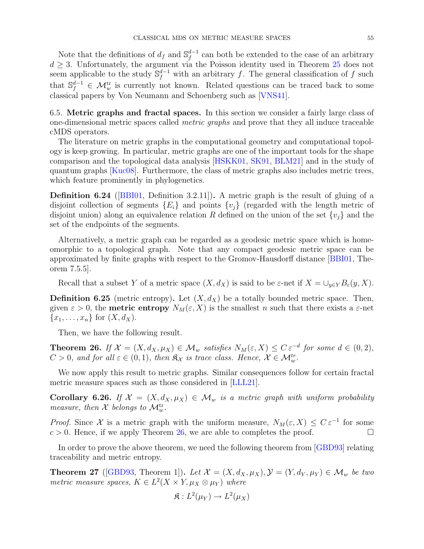Note that the definitions of  $d_f$  and  $\mathbb{S}_f^{d-1}$  can both be extended to the case of an arbitrary  $d \geq 3$ . Unfortunately, the argument via the Poisson identity used in Theorem [25](#page-51-1) does not seem applicable to the study  $\mathbb{S}_f^{d-1}$  with an arbitrary f. The general classification of f such that  $\mathbb{S}_f^{d-1} \in \mathcal{M}_w^{\text{tr}}$  is currently not known. Related questions can be traced back to some classical papers by Von Neumann and Schoenberg such as [\[VNS41\]](#page-61-8).

<span id="page-54-0"></span>6.5. Metric graphs and fractal spaces. In this section we consider a fairly large class of one-dimensional metric spaces called metric graphs and prove that they all induce traceable cMDS operators.

The literature on metric graphs in the computational geometry and computational topology is keep growing. In particular, metric graphs are one of the important tools for the shape comparison and the topological data analysis [\[HSKK01,](#page-60-22) [SK91,](#page-61-9) [BLM21\]](#page-59-14) and in the study of quantum graphs [\[Kuc08\]](#page-60-23). Furthermore, the class of metric graphs also includes metric trees, which feature prominently in phylogenetics.

**Definition 6.24** ([\[BBI01,](#page-59-15) Definition 3.2.11]). A metric graph is the result of gluing of a disjoint collection of segments  ${E_i}$  and points  ${v_i}$  (regarded with the length metric of disjoint union) along an equivalence relation R defined on the union of the set  $\{v_i\}$  and the set of the endpoints of the segments.

Alternatively, a metric graph can be regarded as a geodesic metric space which is homeomorphic to a topological graph. Note that any compact geodesic metric space can be approximated by finite graphs with respect to the Gromov-Hausdorff distance [\[BBI01,](#page-59-15) Theorem 7.5.5].

Recall that a subset Y of a metric space  $(X, d_X)$  is said to be  $\varepsilon$ -net if  $X = \bigcup_{y \in Y} B_{\varepsilon}(y, X)$ .

**Definition 6.25** (metric entropy). Let  $(X, d_X)$  be a totally bounded metric space. Then, given  $\varepsilon > 0$ , the **metric entropy**  $N_M(\varepsilon, X)$  is the smallest n such that there exists a  $\varepsilon$ -net  ${x_1, \ldots, x_n}$  for  $(X, d_X)$ .

Then, we have the following result.

<span id="page-54-1"></span>**Theorem 26.** If  $\mathcal{X} = (X, d_X, \mu_X) \in \mathcal{M}_w$  satisfies  $N_M(\varepsilon, X) \leq C \varepsilon^{-d}$  for some  $d \in (0, 2)$ ,  $C > 0$ , and for all  $\varepsilon \in (0, 1)$ , then  $\mathfrak{K}_{\mathcal{X}}$  is trace class. Hence,  $\mathcal{X} \in \mathcal{M}_{w}^{tr}$ .

We now apply this result to metric graphs. Similar consequences follow for certain fractal metric measure spaces such as those considered in [\[LLL21\]](#page-60-24).

Corollary 6.26. If  $\mathcal{X} = (X, d_X, \mu_X) \in \mathcal{M}_w$  is a metric graph with uniform probability measure, then  $\mathcal X$  belongs to  $\mathcal M^{\text{tr}}_{w}$ .

*Proof.* Since X is a metric graph with the uniform measure,  $N_M(\varepsilon, X) \leq C \varepsilon^{-1}$  for some  $c > 0$ . Hence, if we apply Theorem [26,](#page-54-1) we are able to completes the proof.

In order to prove the above theorem, we need the following theorem from [\[GBD93\]](#page-60-25) relating traceability and metric entropy.

**Theorem 27** ([\[GBD93,](#page-60-25) Theorem 1]). Let  $\mathcal{X} = (X, d_X, \mu_X), \mathcal{Y} = (Y, d_Y, \mu_Y) \in \mathcal{M}_w$  be two metric measure spaces,  $K \in L^2(X \times Y, \mu_X \otimes \mu_Y)$  where

$$
\mathfrak{K}: L^2(\mu_Y) \to L^2(\mu_X)
$$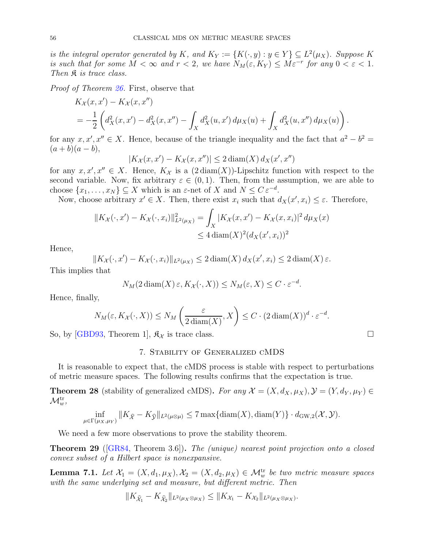is the integral operator generated by K, and  $K_Y := \{K(\cdot, y) : y \in Y\} \subseteq L^2(\mu_X)$ . Suppose K is such that for some  $M < \infty$  and  $r < 2$ , we have  $N_M(\varepsilon, K_Y) \le M\varepsilon^{-r}$  for any  $0 < \varepsilon < 1$ . Then  $\mathfrak K$  is trace class.

Proof of Theorem [26.](#page-54-1) First, observe that

$$
K_X(x, x') - K_X(x, x'')
$$
  
=  $-\frac{1}{2} \left( d_X^2(x, x') - d_X^2(x, x'') - \int_X d_X^2(u, x') d\mu_X(u) + \int_X d_X^2(u, x'') d\mu_X(u) \right).$ 

for any  $x, x', x'' \in X$ . Hence, because of the triangle inequality and the fact that  $a^2 - b^2 =$  $(a + b)(a - b),$ 

$$
|K_{\mathcal{X}}(x, x') - K_{\mathcal{X}}(x, x'')| \le 2 \operatorname{diam}(X) d_X(x', x'')
$$

for any  $x, x', x'' \in X$ . Hence,  $K_{\mathcal{X}}$  is a  $(2 \text{diam}(X))$ -Lipschitz function with respect to the second variable. Now, fix arbitrary  $\varepsilon \in (0,1)$ . Then, from the assumption, we are able to choose  $\{x_1, \ldots, x_N\} \subseteq X$  which is an  $\varepsilon$ -net of X and  $N \leq C \varepsilon^{-d}$ .

Now, choose arbitrary  $x' \in X$ . Then, there exist  $x_i$  such that  $d_X(x', x_i) \leq \varepsilon$ . Therefore,

$$
||K_{\mathcal{X}}(\cdot, x') - K_{\mathcal{X}}(\cdot, x_i)||_{L^2(\mu_X)}^2 = \int_X |K_{\mathcal{X}}(x, x') - K_{\mathcal{X}}(x, x_i)|^2 d\mu_X(x)
$$
  
\n
$$
\leq 4 \operatorname{diam}(X)^2 (d_X(x', x_i))^2
$$

Hence,

$$
||K_{\mathcal{X}}(\cdot,x') - K_{\mathcal{X}}(\cdot,x_i)||_{L^2(\mu_X)} \leq 2 \operatorname{diam}(X) d_X(x',x_i) \leq 2 \operatorname{diam}(X) \varepsilon.
$$

This implies that

$$
N_M(2\operatorname{diam}(X)\varepsilon, K_{\mathcal{X}}(\cdot, X)) \leq N_M(\varepsilon, X) \leq C \cdot \varepsilon^{-d}.
$$

Hence, finally,

$$
N_M(\varepsilon, K_{\mathcal{X}}(\cdot, X)) \le N_M\left(\frac{\varepsilon}{2\operatorname{diam}(X)}, X\right) \le C \cdot (2\operatorname{diam}(X))^{d} \cdot \varepsilon^{-d}.
$$

<span id="page-55-0"></span>So, by [\[GBD93,](#page-60-25) Theorem 1],  $\mathfrak{K}_{\mathcal{X}}$  is trace class.

#### 7. Stability of Generalized cMDS

It is reasonable to expect that, the cMDS process is stable with respect to perturbations of metric measure spaces. The following results confirms that the expectation is true.

<span id="page-55-2"></span>**Theorem 28** (stability of generalized cMDS). For any  $\mathcal{X} = (X, d_X, \mu_X), \mathcal{Y} = (Y, d_Y, \mu_Y) \in$  $\mathcal{M}_w^{\text{tr}},$ 

$$
\inf_{\mu \in \Gamma(\mu_X, \mu_Y)} \|K_{\widehat{\mathcal{X}}} - K_{\widehat{\mathcal{Y}}} \|_{L^2(\mu \otimes \mu)} \le 7 \max \{ \operatorname{diam}(X), \operatorname{diam}(Y) \} \cdot d_{\mathrm{GW},2}(\mathcal{X}, \mathcal{Y}).
$$

We need a few more observations to prove the stability theorem.

<span id="page-55-1"></span>Theorem 29 ([\[GR84,](#page-60-26) Theorem 3.6]). The (unique) nearest point projection onto a closed convex subset of a Hilbert space is nonexpansive.

<span id="page-55-3"></span>**Lemma 7.1.** Let  $\mathcal{X}_1 = (X, d_1, \mu_X), \mathcal{X}_2 = (X, d_2, \mu_X) \in \mathcal{M}_w^{\text{tr}}$  be two metric measure spaces with the same underlying set and measure, but different metric. Then

$$
||K_{\hat{\mathcal{X}}_1} - K_{\hat{\mathcal{X}}_2}||_{L^2(\mu_X \otimes \mu_X)} \le ||K_{\mathcal{X}_1} - K_{\mathcal{X}_2}||_{L^2(\mu_X \otimes \mu_X)}.
$$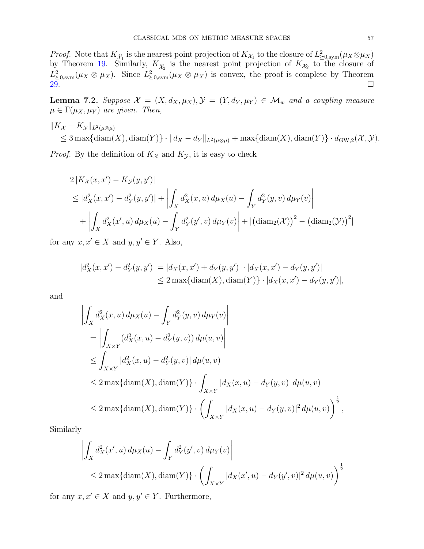*Proof.* Note that  $K_{\hat{\mathcal{X}}_1}$  is the nearest point projection of  $K_{\mathcal{X}_1}$  to the closure of  $L^2_{\geq 0, \text{sym}}(\mu_X \otimes \mu_X)$ by Theorem [19.](#page-30-1) Similarly,  $K_{\hat{\chi}_2}$  is the nearest point projection of  $K_{\mathcal{X}_2}$  to the closure of  $L^2_{\geq 0, \text{sym}}(\mu_X \otimes \mu_X)$ . Since  $L^2_{\geq 0, \text{sym}}(\mu_X \otimes \mu_X)$  is convex, the proof is complete by Theorem  $29.$   $\overline{29.}$   $\overline{29.}$   $\overline{29.}$   $\overline{29.}$   $\overline{29.}$   $\overline{29.}$   $\overline{29.}$   $\overline{29.}$   $\overline{29.}$   $\overline{29.}$   $\overline{29.}$   $\overline{20.}$   $\overline{20.}$   $\overline{20.}$   $\overline{20.}$   $\overline{20.}$   $\overline{20.}$   $\overline{20.}$   $\overline{20.}$   $\overline{2$ 

<span id="page-56-0"></span>**Lemma 7.2.** Suppose  $\mathcal{X} = (X, d_X, \mu_X), \mathcal{Y} = (Y, d_Y, \mu_Y) \in \mathcal{M}_w$  and a coupling measure  $\mu \in \Gamma(\mu_X, \mu_Y)$  are given. Then,

 $\|K_{\mathcal{X}} - K_{\mathcal{Y}}\|_{L^2(\mu\otimes\mu)}$  $\leq 3 \max\{\text{diam}(X),\text{diam}(Y)\}\cdot ||d_X-d_Y||_{L^2(\mu\otimes\mu)} + \max\{\text{diam}(X),\text{diam}(Y)\}\cdot d_{\text{GW},2}(\mathcal{X},\mathcal{Y}).$ 

*Proof.* By the definition of  $K_{\mathcal{X}}$  and  $K_{\mathcal{Y}}$ , it is easy to check

$$
2|K_{\mathcal{X}}(x, x') - K_{\mathcal{Y}}(y, y')|
$$
  
\n
$$
\leq |d_{X}^{2}(x, x') - d_{Y}^{2}(y, y')| + \left| \int_{X} d_{X}^{2}(x, u) d\mu_{X}(u) - \int_{Y} d_{Y}^{2}(y, v) d\mu_{Y}(v) \right|
$$
  
\n
$$
+ \left| \int_{X} d_{X}^{2}(x', u) d\mu_{X}(u) - \int_{Y} d_{Y}^{2}(y', v) d\mu_{Y}(v) \right| + |(\text{diam}_{2}(\mathcal{X}))^{2} - (\text{diam}_{2}(\mathcal{Y}))^{2}|
$$

for any  $x, x' \in X$  and  $y, y' \in Y$ . Also,

$$
|d_X^2(x, x') - d_Y^2(y, y')| = |d_X(x, x') + d_Y(y, y')| \cdot |d_X(x, x') - d_Y(y, y')|
$$
  
\n
$$
\leq 2 \max\{\text{diam}(X), \text{diam}(Y)\} \cdot |d_X(x, x') - d_Y(y, y')|,
$$

and

$$
\left| \int_X d_X^2(x, u) d\mu_X(u) - \int_Y d_Y^2(y, v) d\mu_Y(v) \right|
$$
  
\n
$$
= \left| \int_{X \times Y} (d_X^2(x, u) - d_Y^2(y, v)) d\mu(u, v) \right|
$$
  
\n
$$
\leq \int_{X \times Y} |d_X^2(x, u) - d_Y^2(y, v)| d\mu(u, v)
$$
  
\n
$$
\leq 2 \max\{\text{diam}(X), \text{diam}(Y)\} \cdot \int_{X \times Y} |d_X(x, u) - d_Y(y, v)| d\mu(u, v)
$$
  
\n
$$
\leq 2 \max\{\text{diam}(X), \text{diam}(Y)\} \cdot \left( \int_{X \times Y} |d_X(x, u) - d_Y(y, v)|^2 d\mu(u, v) \right)^{\frac{1}{2}},
$$

Similarly

$$
\left| \int_X d_X^2(x', u) \, d\mu_X(u) - \int_Y d_Y^2(y', v) \, d\mu_Y(v) \right|
$$
  
\n
$$
\leq 2 \max\{\text{diam}(X), \text{diam}(Y)\} \cdot \left( \int_{X \times Y} |d_X(x', u) - d_Y(y', v)|^2 \, d\mu(u, v) \right)^{\frac{1}{2}}
$$

for any  $x, x' \in X$  and  $y, y' \in Y$ . Furthermore,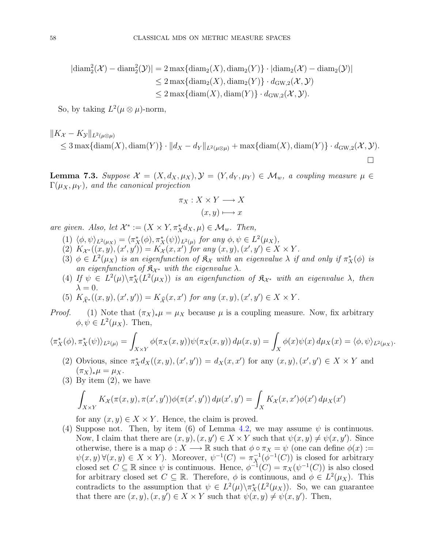$$
|\text{diam}_2^2(\mathcal{X}) - \text{diam}_2^2(\mathcal{Y})| = 2 \max\{\text{diam}_2(X), \text{diam}_2(Y)\} \cdot |\text{diam}_2(\mathcal{X}) - \text{diam}_2(\mathcal{Y})|
$$
  
\n
$$
\leq 2 \max\{\text{diam}_2(X), \text{diam}_2(Y)\} \cdot d_{\text{GW},2}(\mathcal{X}, \mathcal{Y})
$$
  
\n
$$
\leq 2 \max\{\text{diam}(X), \text{diam}(Y)\} \cdot d_{\text{GW},2}(\mathcal{X}, \mathcal{Y}).
$$

So, by taking  $L^2(\mu \otimes \mu)$ -norm,

$$
||K_{\mathcal{X}} - K_{\mathcal{Y}}||_{L^{2}(\mu\otimes\mu)} \leq 3 \max\{\text{diam}(X),\text{diam}(Y)\} \cdot ||d_{X} - d_{Y}||_{L^{2}(\mu\otimes\mu)} + \max\{\text{diam}(X),\text{diam}(Y)\} \cdot d_{\text{GW},2}(\mathcal{X},\mathcal{Y}).
$$

<span id="page-57-0"></span>**Lemma 7.3.** Suppose  $\mathcal{X} = (X, d_X, \mu_X), \mathcal{Y} = (Y, d_Y, \mu_Y) \in \mathcal{M}_w$ , a coupling measure  $\mu \in$  $\Gamma(\mu_X, \mu_Y)$ , and the canonical projection

$$
\pi_X: X \times Y \longrightarrow X
$$

$$
(x, y) \longmapsto x
$$

are given. Also, let  $\mathcal{X}^* := (X \times Y, \pi_X^* d_X, \mu) \in \mathcal{M}_w$ . Then,

- $(1)$   $\langle \phi, \psi \rangle_{L^2(\mu_X)} = \langle \pi_X^*(\phi), \pi_X^*(\psi) \rangle_{L^2(\mu)}$  for any  $\phi, \psi \in L^2(\mu_X)$ ,
- $(X(x), Y(x', y')) = K_{\mathcal{X}}(x, x')$  for any  $(x, y), (x', y') \in X \times Y$ .
- (3)  $\phi \in L^2(\mu_X)$  is an eigenfunction of  $\mathfrak{K}_\mathcal{X}$  with an eigenvalue  $\lambda$  if and only if  $\pi_X^*(\phi)$  is an eigenfunction of  $\mathfrak{K}_{\mathcal{X}^*}$  with the eigenvalue  $\lambda$ .
- (4) If  $\psi \in L^2(\mu)\setminus \pi_X^*(L^2(\mu_X))$  is an eigenfunction of  $\mathfrak{K}_{\mathcal{X}^*}$  with an eigenvalue  $\lambda$ , then  $\lambda = 0$ .
- (5)  $K_{\hat{\mathcal{X}}^*}((x, y), (x', y')) = K_{\hat{\mathcal{X}}}(x, x')$  for any  $(x, y), (x', y') \in X \times Y$ .
- *Proof.* (1) Note that  $(\pi_X)_*\mu = \mu_X$  because  $\mu$  is a coupling measure. Now, fix arbitrary  $\phi, \psi \in L^2(\mu_X)$ . Then,

$$
\langle \pi_X^*(\phi), \pi_X^*(\psi) \rangle_{L^2(\mu)} = \int_{X \times Y} \phi(\pi_X(x, y)) \psi(\pi_X(x, y)) d\mu(x, y) = \int_X \phi(x) \psi(x) d\mu_X(x) = \langle \phi, \psi \rangle_{L^2(\mu_X)}.
$$

- (2) Obvious, since  $\pi_X^* d_X((x, y), (x', y')) = d_X(x, x')$  for any  $(x, y), (x', y') \in X \times Y$  and  $(\pi_X)_*\mu = \mu_X.$
- (3) By item (2), we have

$$
\int_{X\times Y} K_{\mathcal{X}}(\pi(x,y),\pi(x',y'))\phi(\pi(x',y')) d\mu(x',y') = \int_X K_{\mathcal{X}}(x,x')\phi(x') d\mu_X(x')
$$

for any  $(x, y) \in X \times Y$ . Hence, the claim is proved.

(4) Suppose not. Then, by item (6) of Lemma [4.2,](#page-19-1) we may assume  $\psi$  is continuous. Now, I claim that there are  $(x, y), (x, y') \in X \times Y$  such that  $\psi(x, y) \neq \psi(x, y')$ . Since otherwise, there is a map  $\phi: X \longrightarrow \mathbb{R}$  such that  $\phi \circ \pi_X = \psi$  (one can define  $\phi(x) :=$  $\psi(x, y) \forall (x, y) \in X \times Y$ . Moreover,  $\psi^{-1}(C) = \pi_X^{-1}(\phi^{-1}(C))$  is closed for arbitrary closed set  $C \subseteq \mathbb{R}$  since  $\psi$  is continuous. Hence,  $\phi^{-1}(C) = \pi_X(\psi^{-1}(C))$  is also closed for arbitrary closed set  $C \subseteq \mathbb{R}$ . Therefore,  $\phi$  is continuous, and  $\phi \in L^2(\mu_X)$ . This contradicts to the assumption that  $\psi \in L^2(\mu)\setminus \pi_X^*(L^2(\mu_X))$ . So, we can guarantee that there are  $(x, y), (x, y') \in X \times Y$  such that  $\psi(x, y) \neq \psi(x, y')$ . Then,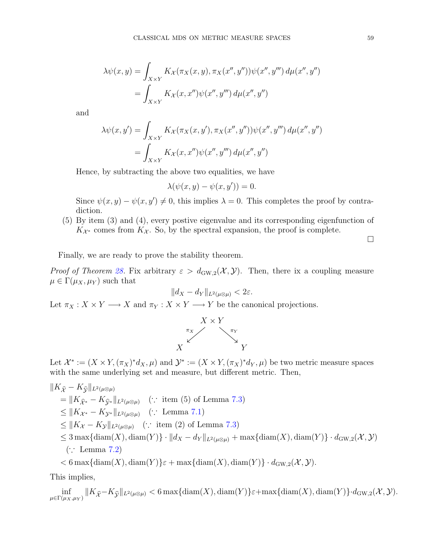$$
\lambda \psi(x, y) = \int_{X \times Y} K_{\mathcal{X}}(\pi_X(x, y), \pi_X(x'', y'')) \psi(x'', y''') d\mu(x'', y'')
$$
  
= 
$$
\int_{X \times Y} K_{\mathcal{X}}(x, x'') \psi(x'', y''') d\mu(x'', y'')
$$

and

$$
\lambda \psi(x, y') = \int_{X \times Y} K_{\mathcal{X}}(\pi_X(x, y'), \pi_X(x'', y'')) \psi(x'', y''') d\mu(x'', y'')
$$
  
= 
$$
\int_{X \times Y} K_{\mathcal{X}}(x, x'') \psi(x'', y''') d\mu(x'', y'')
$$

Hence, by subtracting the above two equalities, we have

$$
\lambda(\psi(x, y) - \psi(x, y')) = 0.
$$

Since  $\psi(x, y) - \psi(x, y') \neq 0$ , this implies  $\lambda = 0$ . This completes the proof by contradiction.

(5) By item (3) and (4), every postive eigenvalue and its corresponding eigenfunction of  $K_{\mathcal{X}^*}$  comes from  $K_{\mathcal{X}}$ . So, by the spectral expansion, the proof is complete.

 $\Box$ 

Finally, we are ready to prove the stability theorem.

*Proof of Theorem [28.](#page-55-2)* Fix arbitrary  $\varepsilon > d_{\text{GW},2}(\mathcal{X}, \mathcal{Y})$ . Then, there ix a coupling measure  $\mu \in \Gamma(\mu_X, \mu_Y)$  such that

$$
||d_X - d_Y||_{L^2(\mu \otimes \mu)} < 2\varepsilon.
$$

Let  $\pi_X : X \times Y \longrightarrow X$  and  $\pi_Y : X \times Y \longrightarrow Y$  be the canonical projections.



Let  $\mathcal{X}^* := (X \times Y, (\pi_X)^* d_X, \mu)$  and  $\mathcal{Y}^* := (X \times Y, (\pi_X)^* d_Y, \mu)$  be two metric measure spaces with the same underlying set and measure, but different metric. Then,

$$
||K_{\hat{\mathcal{X}}} - K_{\hat{\mathcal{Y}}}||_{L^{2}(\mu\otimes\mu)}
$$
  
\n
$$
= ||K_{\hat{\mathcal{X}}^{*}} - K_{\hat{\mathcal{Y}}^{*}}||_{L^{2}(\mu\otimes\mu)} \quad (\because \text{ item (5) of Lemma 7.3})
$$
  
\n
$$
\leq ||K_{\mathcal{X}^{*}} - K_{\mathcal{Y}^{*}}||_{L^{2}(\mu\otimes\mu)} \quad (\because \text{ Lemma 7.1})
$$
  
\n
$$
\leq ||K_{\mathcal{X}} - K_{\mathcal{Y}}||_{L^{2}(\mu\otimes\mu)} \quad (\because \text{ item (2) of Lemma 7.3})
$$
  
\n
$$
\leq 3 \max\{\text{diam}(X), \text{diam}(Y)\} \cdot ||d_{X} - d_{Y}||_{L^{2}(\mu\otimes\mu)} + \max\{\text{diam}(X), \text{diam}(Y)\} \cdot d_{\text{GW},2}(\mathcal{X}, \mathcal{Y})
$$
  
\n
$$
(\because \text{ Lemma 7.2})
$$

 $< 6 \max\{\text{diam}(X), \text{diam}(Y)\}\varepsilon + \max\{\text{diam}(X), \text{diam}(Y)\}\cdot d_{\text{GW},2}(\mathcal{X}, \mathcal{Y}).$ 

This implies,

inf  $\inf_{\mu \in \Gamma(\mu_X, \mu_Y)} \|K_{\hat{\mathcal{X}}} - K_{\hat{\mathcal{Y}}} \|_{L^2(\mu \otimes \mu)} < 6 \max\{ \text{diam}(X), \text{diam}(Y) \} \varepsilon + \max\{ \text{diam}(X), \text{diam}(Y) \} \cdot d_{\text{GW},2}(\mathcal{X}, \mathcal{Y}).$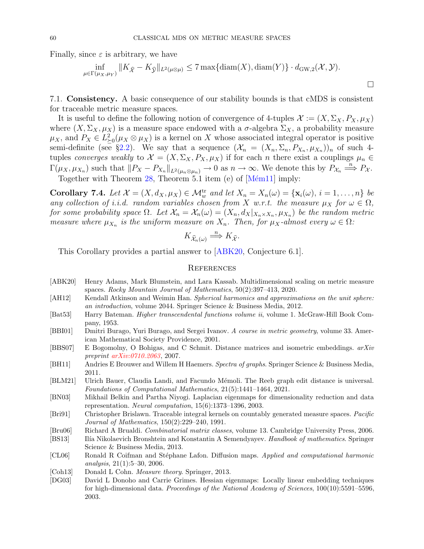Finally, since  $\varepsilon$  is arbitrary, we have

$$
\inf_{\mu \in \Gamma(\mu_X, \mu_Y)} \|K_{\widehat{\mathcal{X}}} - K_{\widehat{\mathcal{Y}}} \|_{L^2(\mu \otimes \mu)} \le 7 \max \{ \text{diam}(X), \text{diam}(Y) \} \cdot d_{\mathrm{GW},2}(\mathcal{X}, \mathcal{Y}).
$$

 $\Box$ 

<span id="page-59-0"></span>7.1. Consistency. A basic consequence of our stability bounds is that cMDS is consistent for traceable metric measure spaces.

It is useful to define the following notion of convergence of 4-tuples  $\mathcal{X} := (X, \Sigma_X, P_X, \mu_X)$ where  $(X, \Sigma_X, \mu_X)$  is a measure space endowed with a  $\sigma$ -algebra  $\Sigma_X$ , a probability measure  $\mu_X$ , and  $P_X \in L^2_{\geq 0}(\mu_X \otimes \mu_X)$  is a kernel on X whose associated integral operator is positive semi-definite (see §[2.2\)](#page-4-0). We say that a sequence  $(\mathcal{X}_n = (X_n, \Sigma_n, P_{X_n}, \mu_{X_n}))_n$  of such 4tuples converges weakly to  $\mathcal{X} = (X, \Sigma_X, P_X, \mu_X)$  if for each n there exist a couplings  $\mu_n \in$  $\Gamma(\mu_X, \mu_{X_n})$  such that  $||P_X - P_{X_n}||_{L^2(\mu_n \otimes \mu_n)} \to 0$  as  $n \to \infty$ . We denote this by  $P_{X_n} \stackrel{n}{\Longrightarrow} P_X$ . Together with Theorem  $28$ , Theorem 5.1 item (e) of  $[M<sub>em11</sub>]$  imply:

Corollary 7.4. Let  $\mathcal{X} = (X, d_X, \mu_X) \in \mathcal{M}_w^{\text{tr}}$  and let  $X_n = X_n(\omega) = {\mathbf{x}_i(\omega), i = 1, ..., n}$  be any collection of i.i.d. random variables chosen from X w.r.t. the measure  $\mu_X$  for  $\omega \in \Omega$ , for some probability space  $\Omega$ . Let  $\mathcal{X}_n = \mathcal{X}_n(\omega) = (X_n, d_X |_{X_n \times X_n}, \mu_{X_n})$  be the random metric measure where  $\mu_{X_n}$  is the uniform measure on  $X_n$ . Then, for  $\mu_X$ -almost every  $\omega \in \Omega$ :

$$
K_{\widehat{\mathcal{X}}_n(\omega)} \stackrel{n}{\Longrightarrow} K_{\widehat{\mathcal{X}}}.
$$

This Corollary provides a partial answer to [\[ABK20,](#page-59-5) Conjecture 6.1].

## <span id="page-59-1"></span>**REFERENCES**

- <span id="page-59-5"></span>[ABK20] Henry Adams, Mark Blumstein, and Lara Kassab. Multidimensional scaling on metric measure spaces. Rocky Mountain Journal of Mathematics, 50(2):397–413, 2020.
- <span id="page-59-8"></span>[AH12] Kendall Atkinson and Weimin Han. Spherical harmonics and approximations on the unit sphere: an introduction, volume 2044. Springer Science & Business Media, 2012.
- <span id="page-59-13"></span>[Bat53] Harry Bateman. Higher transcendental functions volume ii, volume 1. McGraw-Hill Book Company, 1953.
- <span id="page-59-15"></span>[BBI01] Dmitri Burago, Yuri Burago, and Sergei Ivanov. A course in metric geometry, volume 33. American Mathematical Society Providence, 2001.
- <span id="page-59-12"></span>[BBS07] E Bogomolny, O Bohigas, and C Schmit. Distance matrices and isometric embeddings. arXiv preprint [arXiv:0710.2063](http://arxiv.org/abs/0710.2063), 2007.
- <span id="page-59-10"></span>[BH11] Andries E Brouwer and Willem H Haemers. Spectra of graphs. Springer Science & Business Media, 2011.
- <span id="page-59-14"></span>[BLM21] Ulrich Bauer, Claudia Landi, and Facundo Mémoli. The Reeb graph edit distance is universal. Foundations of Computational Mathematics, 21(5):1441–1464, 2021.
- <span id="page-59-2"></span>[BN03] Mikhail Belkin and Partha Niyogi. Laplacian eigenmaps for dimensionality reduction and data representation. Neural computation, 15(6):1373–1396, 2003.
- <span id="page-59-7"></span>[Bri91] Christopher Brislawn. Traceable integral kernels on countably generated measure spaces. Pacific Journal of Mathematics, 150(2):229–240, 1991.
- <span id="page-59-9"></span>[Bru06] Richard A Brualdi. Combinatorial matrix classes, volume 13. Cambridge University Press, 2006.
- <span id="page-59-11"></span>[BS13] Ilía Nikolaevich Bronshtein and Konstantin A Semendyayev. Handbook of mathematics. Springer Science & Business Media, 2013.
- <span id="page-59-3"></span>[CL06] Ronald R Coifman and Stéphane Lafon. Diffusion maps. Applied and computational harmonic analysis, 21(1):5–30, 2006.
- <span id="page-59-6"></span>[Coh13] Donald L Cohn. *Measure theory*. Springer, 2013.
- <span id="page-59-4"></span>[DG03] David L Donoho and Carrie Grimes. Hessian eigenmaps: Locally linear embedding techniques for high-dimensional data. Proceedings of the National Academy of Sciences, 100(10):5591–5596, 2003.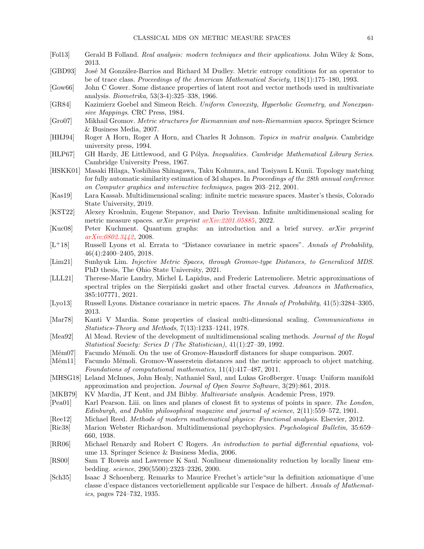- <span id="page-60-18"></span>[Fol13] Gerald B Folland. Real analysis: modern techniques and their applications. John Wiley & Sons, 2013.
- <span id="page-60-25"></span>[GBD93] Jos´e M Gonz´alez-Barrios and Richard M Dudley. Metric entropy conditions for an operator to be of trace class. Proceedings of the American Mathematical Society, 118(1):175–180, 1993.
- <span id="page-60-4"></span>[Gow66] John C Gower. Some distance properties of latent root and vector methods used in multivariate analysis. Biometrika, 53(3-4):325–338, 1966.
- <span id="page-60-26"></span>[GR84] Kazimierz Goebel and Simeon Reich. Uniform Convexity, Hyperbolic Geometry, and Nonexpansive Mappings. CRC Press, 1984.
- <span id="page-60-7"></span>[Gro07] Mikhail Gromov. Metric structures for Riemannian and non-Riemannian spaces. Springer Science & Business Media, 2007.
- <span id="page-60-21"></span>[HHJ94] Roger A Horn, Roger A Horn, and Charles R Johnson. Topics in matrix analysis. Cambridge university press, 1994.
- <span id="page-60-17"></span>[HLP67] GH Hardy, JE Littlewood, and G Pólya. Inequalities. Cambridge Mathematical Library Series. Cambridge University Press, 1967.
- <span id="page-60-22"></span>[HSKK01] Masaki Hilaga, Yoshihisa Shinagawa, Taku Kohmura, and Tosiyasu L Kunii. Topology matching for fully automatic similarity estimation of 3d shapes. In Proceedings of the 28th annual conference on Computer graphics and interactive techniques, pages 203–212, 2001.
- <span id="page-60-9"></span>[Kas19] Lara Kassab. Multidimensional scaling: infinite metric measure spaces. Master's thesis, Colorado State University, 2019.
- <span id="page-60-11"></span>[KST22] Alexey Kroshnin, Eugene Stepanov, and Dario Trevisan. Infinite multidimensional scaling for metric measure spaces. arXiv preprint [arXiv:2201.05885](http://arxiv.org/abs/2201.05885), 2022.
- <span id="page-60-23"></span>[Kuc08] Peter Kuchment. Quantum graphs: an introduction and a brief survey. arXiv preprint [arXiv:0802.3442](http://arxiv.org/abs/0802.3442), 2008.
- <span id="page-60-19"></span> $[L+18]$  Russell Lyons et al. Errata to "Distance covariance in metric spaces". Annals of Probability, 46(4):2400–2405, 2018.
- <span id="page-60-10"></span>[Lim21] Sunhyuk Lim. Injective Metric Spaces, through Gromov-type Distances, to Generalized MDS. PhD thesis, The Ohio State University, 2021.
- <span id="page-60-24"></span>[LLL21] Therese-Marie Landry, Michel L Lapidus, and Frederic Latremoliere. Metric approximations of spectral triples on the Sierpinski gasket and other fractal curves. Advances in Mathematics, 385:107771, 2021.
- <span id="page-60-20"></span>[Lyo13] Russell Lyons. Distance covariance in metric spaces. The Annals of Probability, 41(5):3284–3305, 2013.
- <span id="page-60-16"></span>[Mar78] Kanti V Mardia. Some properties of clasical multi-dimesional scaling. Communications in Statistics-Theory and Methods, 7(13):1233–1241, 1978.
- <span id="page-60-3"></span>[Mea92] Al Mead. Review of the development of multidimensional scaling methods. Journal of the Royal Statistical Society: Series D (The Statistician), 41(1):27–39, 1992.
- <span id="page-60-12"></span>[Mém07] Facundo Mémoli. On the use of Gromov-Hausdorff distances for shape comparison. 2007.
- <span id="page-60-8"></span>[Mém11] Facundo Mémoli. Gromov-Wasserstein distances and the metric approach to object matching. Foundations of computational mathematics, 11(4):417–487, 2011.
- <span id="page-60-6"></span>[MHSG18] Leland McInnes, John Healy, Nathaniel Saul, and Lukas Großberger. Umap: Uniform manifold approximation and projection. Journal of Open Source Software, 3(29):861, 2018.
- <span id="page-60-15"></span>[MKB79] KV Mardia, JT Kent, and JM Bibby. Multivariate analysis. Academic Press, 1979.
- <span id="page-60-0"></span>[Pea01] Karl Pearson. Liii. on lines and planes of closest fit to systems of points in space. The London, Edinburgh, and Dublin philosophical magazine and journal of science, 2(11):559–572, 1901.
- <span id="page-60-13"></span>[Ree12] Michael Reed. Methods of modern mathematical physics: Functional analysis. Elsevier, 2012.
- <span id="page-60-2"></span>[Ric38] Marion Webster Richardson. Multidimensional psychophysics. Psychological Bulletin, 35:659– 660, 1938.
- <span id="page-60-14"></span>[RR06] Michael Renardy and Robert C Rogers. An introduction to partial differential equations, volume 13. Springer Science & Business Media, 2006.
- <span id="page-60-5"></span>[RS00] Sam T Roweis and Lawrence K Saul. Nonlinear dimensionality reduction by locally linear embedding. science, 290(5500):2323–2326, 2000.
- <span id="page-60-1"></span>[Sch35] Isaac J Schoenberg. Remarks to Maurice Frechet's article"sur la definition axiomatique d'une classe d'espace distances vectoriellement applicable sur l'espace de hilbert. Annals of Mathematics, pages 724–732, 1935.